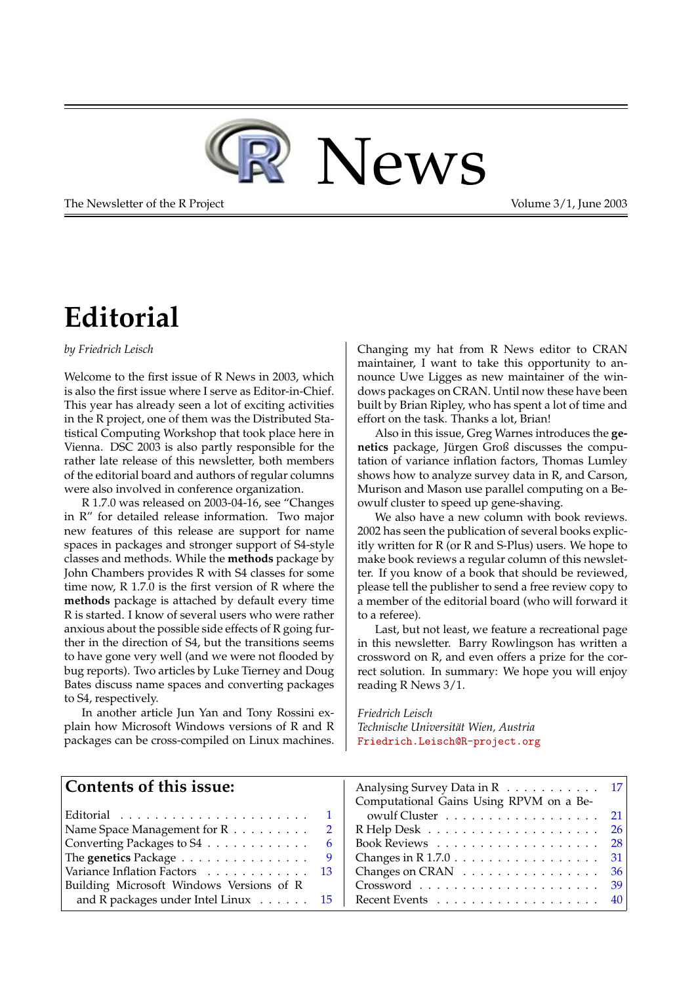

The Newsletter of the R Project **Volume 3/1, June 2003** 

# **Editorial**

<span id="page-0-0"></span>*by Friedrich Leisch*

Welcome to the first issue of R News in 2003, which is also the first issue where I serve as Editor-in-Chief. This year has already seen a lot of exciting activities in the R project, one of them was the Distributed Statistical Computing Workshop that took place here in Vienna. DSC 2003 is also partly responsible for the rather late release of this newsletter, both members of the editorial board and authors of regular columns were also involved in conference organization.

R 1.7.0 was released on 2003-04-16, see "Changes in R" for detailed release information. Two major new features of this release are support for name spaces in packages and stronger support of S4-style classes and methods. While the **methods** package by John Chambers provides R with S4 classes for some time now, R 1.7.0 is the first version of R where the **methods** package is attached by default every time R is started. I know of several users who were rather anxious about the possible side effects of R going further in the direction of S4, but the transitions seems to have gone very well (and we were not flooded by bug reports). Two articles by Luke Tierney and Doug Bates discuss name spaces and converting packages to S4, respectively.

In another article Jun Yan and Tony Rossini explain how Microsoft Windows versions of R and R packages can be cross-compiled on Linux machines. Changing my hat from R News editor to CRAN maintainer, I want to take this opportunity to announce Uwe Ligges as new maintainer of the windows packages on CRAN. Until now these have been built by Brian Ripley, who has spent a lot of time and effort on the task. Thanks a lot, Brian!

Also in this issue, Greg Warnes introduces the **genetics** package, Jürgen Groß discusses the computation of variance inflation factors, Thomas Lumley shows how to analyze survey data in R, and Carson, Murison and Mason use parallel computing on a Beowulf cluster to speed up gene-shaving.

We also have a new column with book reviews. 2002 has seen the publication of several books explicitly written for R (or R and S-Plus) users. We hope to make book reviews a regular column of this newsletter. If you know of a book that should be reviewed, please tell the publisher to send a free review copy to a member of the editorial board (who will forward it to a referee).

Last, but not least, we feature a recreational page in this newsletter. Barry Rowlingson has written a crossword on R, and even offers a prize for the correct solution. In summary: We hope you will enjoy reading R News 3/1.

*Friedrich Leisch Technische Universität Wien, Austria* [Friedrich.Leisch@R-project.org](mailto:Friedrich.Leisch@R-project.org)

| Contents of this issue:                                                         |   | Analysing Survey Data in R 17                                       |  |
|---------------------------------------------------------------------------------|---|---------------------------------------------------------------------|--|
|                                                                                 |   | Computational Gains Using RPVM on a Be-                             |  |
| $ \text{Editorial} \dots \dots \dots \dots \dots \dots \dots \dots \dots \dots$ |   | owulf Cluster $\ldots \ldots \ldots \ldots \ldots 21$               |  |
| Name Space Management for $R \ldots \ldots$                                     |   | R Help Desk $\ldots \ldots \ldots \ldots \ldots \ldots \ldots 26$   |  |
| Converting Packages to $S4$                                                     | 6 | Book Reviews $\ldots \ldots \ldots \ldots \ldots \ldots 28$         |  |
| The genetics Package $\dots \dots \dots \dots \dots$                            |   | Changes in R $1.7.0 \ldots \ldots \ldots \ldots \ldots 31$          |  |
| Variance Inflation Factors 13                                                   |   | Changes on CRAN $\ldots \ldots \ldots \ldots \ldots 36$             |  |
| Building Microsoft Windows Versions of R                                        |   |                                                                     |  |
| and R packages under Intel Linux $\ldots$ 15                                    |   | Recent Events $\ldots \ldots \ldots \ldots \ldots \ldots \ldots$ 40 |  |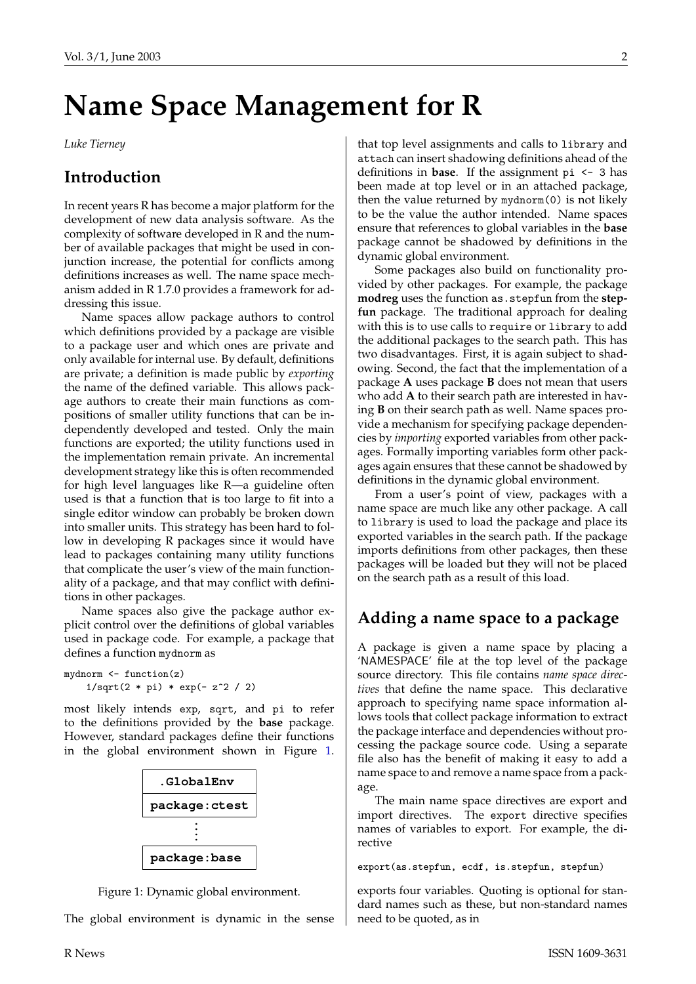# **Name Space Management for R**

<span id="page-1-0"></span>*Luke Tierney*

### **Introduction**

In recent years R has become a major platform for the development of new data analysis software. As the complexity of software developed in R and the number of available packages that might be used in conjunction increase, the potential for conflicts among definitions increases as well. The name space mechanism added in R 1.7.0 provides a framework for addressing this issue.

Name spaces allow package authors to control which definitions provided by a package are visible to a package user and which ones are private and only available for internal use. By default, definitions are private; a definition is made public by *exporting* the name of the defined variable. This allows package authors to create their main functions as compositions of smaller utility functions that can be independently developed and tested. Only the main functions are exported; the utility functions used in the implementation remain private. An incremental development strategy like this is often recommended for high level languages like R—a guideline often used is that a function that is too large to fit into a single editor window can probably be broken down into smaller units. This strategy has been hard to follow in developing R packages since it would have lead to packages containing many utility functions that complicate the user's view of the main functionality of a package, and that may conflict with definitions in other packages.

Name spaces also give the package author explicit control over the definitions of global variables used in package code. For example, a package that defines a function mydnorm as

```
mydnorm \leftarrow function(z)1/\sqrt{2 * pi} * exp(-z^2 / 2)
```
most likely intends exp, sqrt, and pi to refer to the definitions provided by the **base** package. However, standard packages define their functions in the global environment shown in Figure [1.](#page-1-1)



<span id="page-1-1"></span>Figure 1: Dynamic global environment.

The global environment is dynamic in the sense

that top level assignments and calls to library and attach can insert shadowing definitions ahead of the definitions in **base**. If the assignment pi <- 3 has been made at top level or in an attached package, then the value returned by mydnorm(0) is not likely to be the value the author intended. Name spaces ensure that references to global variables in the **base** package cannot be shadowed by definitions in the dynamic global environment.

Some packages also build on functionality provided by other packages. For example, the package **modreg** uses the function as.stepfun from the **stepfun** package. The traditional approach for dealing with this is to use calls to require or library to add the additional packages to the search path. This has two disadvantages. First, it is again subject to shadowing. Second, the fact that the implementation of a package **A** uses package **B** does not mean that users who add **A** to their search path are interested in having **B** on their search path as well. Name spaces provide a mechanism for specifying package dependencies by *importing* exported variables from other packages. Formally importing variables form other packages again ensures that these cannot be shadowed by definitions in the dynamic global environment.

From a user's point of view, packages with a name space are much like any other package. A call to library is used to load the package and place its exported variables in the search path. If the package imports definitions from other packages, then these packages will be loaded but they will not be placed on the search path as a result of this load.

### **Adding a name space to a package**

A package is given a name space by placing a 'NAMESPACE' file at the top level of the package source directory. This file contains *name space directives* that define the name space. This declarative approach to specifying name space information allows tools that collect package information to extract the package interface and dependencies without processing the package source code. Using a separate file also has the benefit of making it easy to add a name space to and remove a name space from a package.

The main name space directives are export and import directives. The export directive specifies names of variables to export. For example, the directive

export(as.stepfun, ecdf, is.stepfun, stepfun)

exports four variables. Quoting is optional for standard names such as these, but non-standard names need to be quoted, as in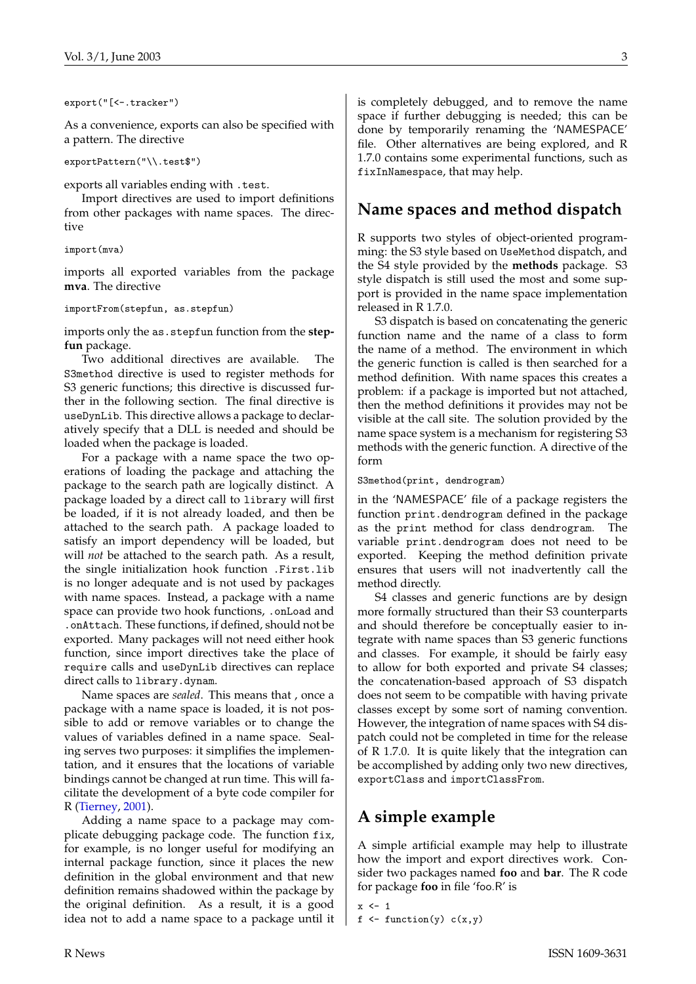<span id="page-2-0"></span>export("[<-.tracker")

As a convenience, exports can also be specified with a pattern. The directive

exportPattern("\\.test\$")

exports all variables ending with .test.

Import directives are used to import definitions from other packages with name spaces. The directive

```
import(mva)
```
imports all exported variables from the package **mva**. The directive

importFrom(stepfun, as.stepfun)

imports only the as.stepfun function from the **stepfun** package.

Two additional directives are available. The S3method directive is used to register methods for S3 generic functions; this directive is discussed further in the following section. The final directive is useDynLib. This directive allows a package to declaratively specify that a DLL is needed and should be loaded when the package is loaded.

For a package with a name space the two operations of loading the package and attaching the package to the search path are logically distinct. A package loaded by a direct call to library will first be loaded, if it is not already loaded, and then be attached to the search path. A package loaded to satisfy an import dependency will be loaded, but will *not* be attached to the search path. As a result, the single initialization hook function .First.lib is no longer adequate and is not used by packages with name spaces. Instead, a package with a name space can provide two hook functions, .onLoad and .onAttach. These functions, if defined, should not be exported. Many packages will not need either hook function, since import directives take the place of require calls and useDynLib directives can replace direct calls to library.dynam.

Name spaces are *sealed*. This means that , once a package with a name space is loaded, it is not possible to add or remove variables or to change the values of variables defined in a name space. Sealing serves two purposes: it simplifies the implementation, and it ensures that the locations of variable bindings cannot be changed at run time. This will facilitate the development of a byte code compiler for R [\(Tierney,](#page-4-0) [2001\)](#page-4-0).

Adding a name space to a package may complicate debugging package code. The function fix, for example, is no longer useful for modifying an internal package function, since it places the new definition in the global environment and that new definition remains shadowed within the package by the original definition. As a result, it is a good idea not to add a name space to a package until it is completely debugged, and to remove the name space if further debugging is needed; this can be done by temporarily renaming the 'NAMESPACE' file. Other alternatives are being explored, and R 1.7.0 contains some experimental functions, such as fixInNamespace, that may help.

## **Name spaces and method dispatch**

R supports two styles of object-oriented programming: the S3 style based on UseMethod dispatch, and the S4 style provided by the **methods** package. S3 style dispatch is still used the most and some support is provided in the name space implementation released in R 1.7.0.

S3 dispatch is based on concatenating the generic function name and the name of a class to form the name of a method. The environment in which the generic function is called is then searched for a method definition. With name spaces this creates a problem: if a package is imported but not attached, then the method definitions it provides may not be visible at the call site. The solution provided by the name space system is a mechanism for registering S3 methods with the generic function. A directive of the form

S3method(print, dendrogram)

in the 'NAMESPACE' file of a package registers the function print.dendrogram defined in the package as the print method for class dendrogram. The variable print.dendrogram does not need to be exported. Keeping the method definition private ensures that users will not inadvertently call the method directly.

S4 classes and generic functions are by design more formally structured than their S3 counterparts and should therefore be conceptually easier to integrate with name spaces than S3 generic functions and classes. For example, it should be fairly easy to allow for both exported and private S4 classes; the concatenation-based approach of S3 dispatch does not seem to be compatible with having private classes except by some sort of naming convention. However, the integration of name spaces with S4 dispatch could not be completed in time for the release of R 1.7.0. It is quite likely that the integration can be accomplished by adding only two new directives, exportClass and importClassFrom.

## **A simple example**

A simple artificial example may help to illustrate how the import and export directives work. Consider two packages named **foo** and **bar**. The R code for package **foo** in file 'foo.R' is

```
x \le -1
```

```
f \leftarrow function(y) c(x,y)
```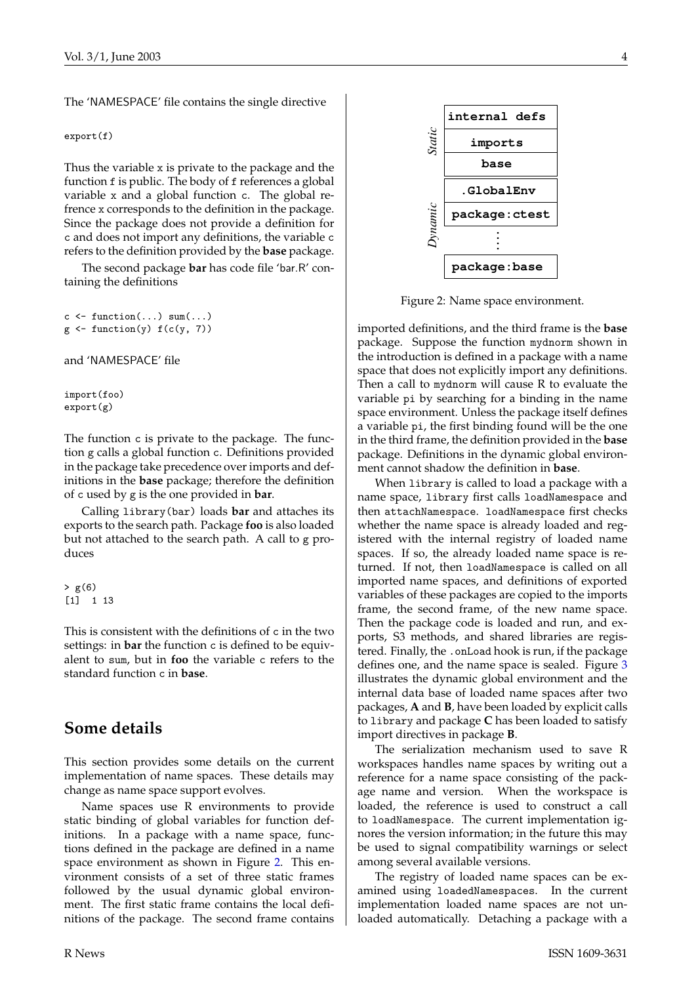The 'NAMESPACE' file contains the single directive

export(f)

Thus the variable x is private to the package and the function f is public. The body of f references a global variable x and a global function c. The global refrence x corresponds to the definition in the package. Since the package does not provide a definition for c and does not import any definitions, the variable c refers to the definition provided by the **base** package.

The second package **bar** has code file 'bar.R' containing the definitions

```
c \leftarrow function(...) sum(...)g \leftarrow function(y) f(c(y, 7))
```
and 'NAMESPACE' file

import(foo) export(g)

The function c is private to the package. The function g calls a global function c. Definitions provided in the package take precedence over imports and definitions in the **base** package; therefore the definition of c used by g is the one provided in **bar**.

Calling library(bar) loads **bar** and attaches its exports to the search path. Package **foo** is also loaded but not attached to the search path. A call to g produces

 $> g(6)$ [1] 1 13

This is consistent with the definitions of c in the two settings: in **bar** the function c is defined to be equivalent to sum, but in **foo** the variable c refers to the standard function c in **base**.

### **Some details**

This section provides some details on the current implementation of name spaces. These details may change as name space support evolves.

Name spaces use R environments to provide static binding of global variables for function definitions. In a package with a name space, functions defined in the package are defined in a name space environment as shown in Figure [2.](#page-3-0) This environment consists of a set of three static frames followed by the usual dynamic global environment. The first static frame contains the local definitions of the package. The second frame contains



<span id="page-3-0"></span>Figure 2: Name space environment.

imported definitions, and the third frame is the **base** package. Suppose the function mydnorm shown in the introduction is defined in a package with a name space that does not explicitly import any definitions. Then a call to mydnorm will cause R to evaluate the variable pi by searching for a binding in the name space environment. Unless the package itself defines a variable pi, the first binding found will be the one in the third frame, the definition provided in the **base** package. Definitions in the dynamic global environment cannot shadow the definition in **base**.

When library is called to load a package with a name space, library first calls loadNamespace and then attachNamespace. loadNamespace first checks whether the name space is already loaded and registered with the internal registry of loaded name spaces. If so, the already loaded name space is returned. If not, then loadNamespace is called on all imported name spaces, and definitions of exported variables of these packages are copied to the imports frame, the second frame, of the new name space. Then the package code is loaded and run, and exports, S3 methods, and shared libraries are registered. Finally, the .onLoad hook is run, if the package defines one, and the name space is sealed. Figure [3](#page-4-1) illustrates the dynamic global environment and the internal data base of loaded name spaces after two packages, **A** and **B**, have been loaded by explicit calls to library and package **C** has been loaded to satisfy import directives in package **B**.

The serialization mechanism used to save R workspaces handles name spaces by writing out a reference for a name space consisting of the package name and version. When the workspace is loaded, the reference is used to construct a call to loadNamespace. The current implementation ignores the version information; in the future this may be used to signal compatibility warnings or select among several available versions.

The registry of loaded name spaces can be examined using loadedNamespaces. In the current implementation loaded name spaces are not unloaded automatically. Detaching a package with a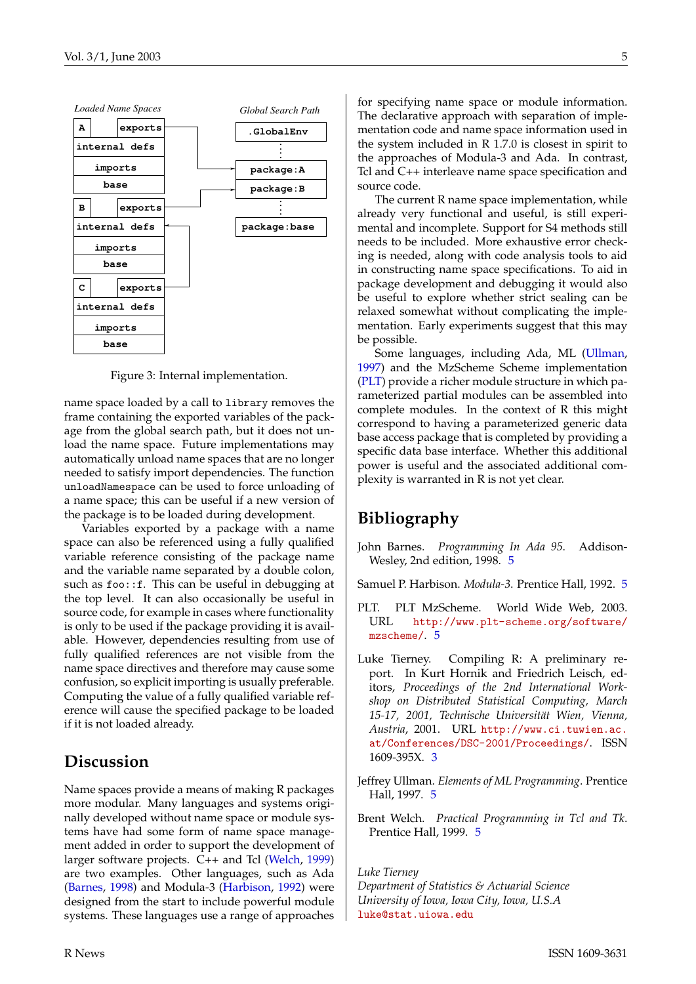<span id="page-4-7"></span>

<span id="page-4-1"></span>Figure 3: Internal implementation.

name space loaded by a call to library removes the frame containing the exported variables of the package from the global search path, but it does not unload the name space. Future implementations may automatically unload name spaces that are no longer needed to satisfy import dependencies. The function unloadNamespace can be used to force unloading of a name space; this can be useful if a new version of the package is to be loaded during development.

Variables exported by a package with a name space can also be referenced using a fully qualified variable reference consisting of the package name and the variable name separated by a double colon, such as foo::f. This can be useful in debugging at the top level. It can also occasionally be useful in source code, for example in cases where functionality is only to be used if the package providing it is available. However, dependencies resulting from use of fully qualified references are not visible from the name space directives and therefore may cause some confusion, so explicit importing is usually preferable. Computing the value of a fully qualified variable reference will cause the specified package to be loaded if it is not loaded already.

### **Discussion**

Name spaces provide a means of making R packages more modular. Many languages and systems originally developed without name space or module systems have had some form of name space management added in order to support the development of larger software projects. C++ and Tcl [\(Welch,](#page-4-2) [1999\)](#page-4-2) are two examples. Other languages, such as Ada [\(Barnes,](#page-4-3) [1998\)](#page-4-3) and Modula-3 [\(Harbison,](#page-4-4) [1992\)](#page-4-4) were designed from the start to include powerful module systems. These languages use a range of approaches

for specifying name space or module information. The declarative approach with separation of implementation code and name space information used in the system included in R 1.7.0 is closest in spirit to the approaches of Modula-3 and Ada. In contrast, Tcl and C++ interleave name space specification and source code.

The current R name space implementation, while already very functional and useful, is still experimental and incomplete. Support for S4 methods still needs to be included. More exhaustive error checking is needed, along with code analysis tools to aid in constructing name space specifications. To aid in package development and debugging it would also be useful to explore whether strict sealing can be relaxed somewhat without complicating the implementation. Early experiments suggest that this may be possible.

Some languages, including Ada, ML [\(Ullman,](#page-4-5) [1997\)](#page-4-5) and the MzScheme Scheme implementation [\(PLT\)](#page-4-6) provide a richer module structure in which parameterized partial modules can be assembled into complete modules. In the context of R this might correspond to having a parameterized generic data base access package that is completed by providing a specific data base interface. Whether this additional power is useful and the associated additional complexity is warranted in R is not yet clear.

## **Bibliography**

<span id="page-4-3"></span>John Barnes. *Programming In Ada 95*. Addison-Wesley, 2nd edition, 1998. [5](#page-4-7)

<span id="page-4-4"></span>Samuel P. Harbison. *Modula-3*. Prentice Hall, 1992. [5](#page-4-7)

- <span id="page-4-6"></span>PLT. PLT MzScheme. World Wide Web, 2003. URL [http://www.plt-scheme.org/software/](http://www.plt-scheme.org/software/mzscheme/) [mzscheme/](http://www.plt-scheme.org/software/mzscheme/). [5](#page-4-7)
- <span id="page-4-0"></span>Luke Tierney. Compiling R: A preliminary report. In Kurt Hornik and Friedrich Leisch, editors, *Proceedings of the 2nd International Workshop on Distributed Statistical Computing, March 15-17, 2001, Technische Universität Wien, Vienna, Austria*, 2001. URL [http://www.ci.tuwien.ac.](http://www.ci.tuwien.ac.at/Conferences/DSC-2001/Proceedings/) [at/Conferences/DSC-2001/Proceedings/](http://www.ci.tuwien.ac.at/Conferences/DSC-2001/Proceedings/). ISSN 1609-395X. [3](#page-2-0)
- <span id="page-4-5"></span>Jeffrey Ullman. *Elements of ML Programming*. Prentice Hall, 1997. [5](#page-4-7)
- <span id="page-4-2"></span>Brent Welch. *Practical Programming in Tcl and Tk*. Prentice Hall, 1999. [5](#page-4-7)

*Luke Tierney*

*Department of Statistics & Actuarial Science University of Iowa, Iowa City, Iowa, U.S.A* [luke@stat.uiowa.edu](mailto:luke@stat.uiowa.edu)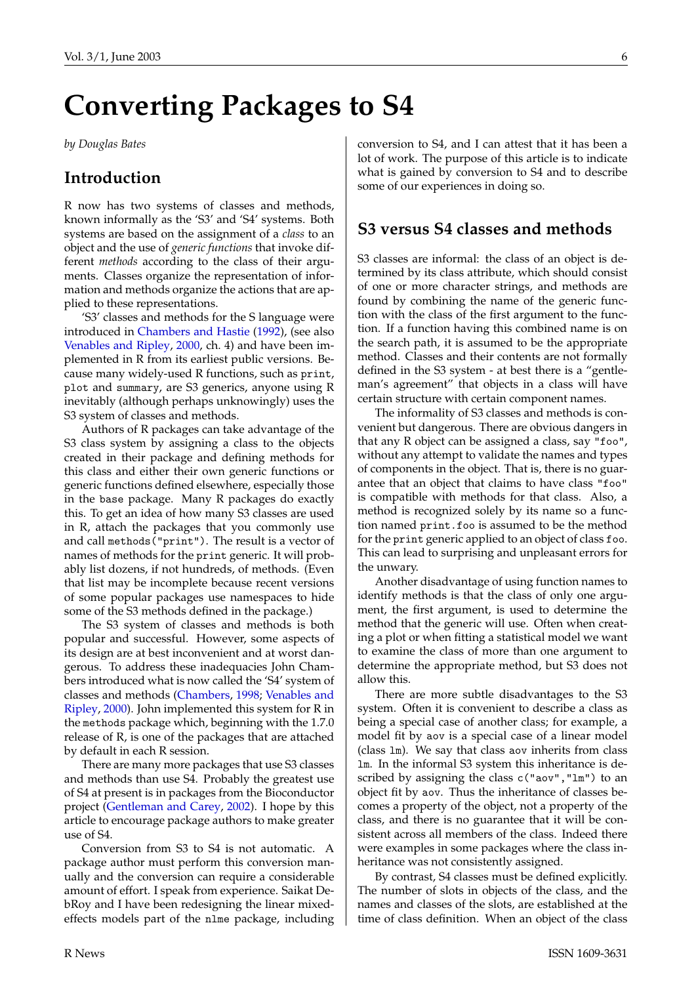# <span id="page-5-1"></span>**Converting Packages to S4**

<span id="page-5-0"></span>*by Douglas Bates*

### **Introduction**

R now has two systems of classes and methods, known informally as the 'S3' and 'S4' systems. Both systems are based on the assignment of a *class* to an object and the use of *generic functions* that invoke different *methods* according to the class of their arguments. Classes organize the representation of information and methods organize the actions that are applied to these representations.

'S3' classes and methods for the S language were introduced in [Chambers and Hastie](#page-7-0) [\(1992\)](#page-7-0), (see also [Venables and Ripley,](#page-7-1) [2000,](#page-7-1) ch. 4) and have been implemented in R from its earliest public versions. Because many widely-used R functions, such as print, plot and summary, are S3 generics, anyone using R inevitably (although perhaps unknowingly) uses the S3 system of classes and methods.

Authors of R packages can take advantage of the S3 class system by assigning a class to the objects created in their package and defining methods for this class and either their own generic functions or generic functions defined elsewhere, especially those in the base package. Many R packages do exactly this. To get an idea of how many S3 classes are used in R, attach the packages that you commonly use and call methods("print"). The result is a vector of names of methods for the print generic. It will probably list dozens, if not hundreds, of methods. (Even that list may be incomplete because recent versions of some popular packages use namespaces to hide some of the S3 methods defined in the package.)

The S3 system of classes and methods is both popular and successful. However, some aspects of its design are at best inconvenient and at worst dangerous. To address these inadequacies John Chambers introduced what is now called the 'S4' system of classes and methods [\(Chambers,](#page-7-2) [1998;](#page-7-2) [Venables and](#page-7-1) [Ripley,](#page-7-1) [2000\)](#page-7-1). John implemented this system for R in the methods package which, beginning with the 1.7.0 release of R, is one of the packages that are attached by default in each R session.

There are many more packages that use S3 classes and methods than use S4. Probably the greatest use of S4 at present is in packages from the Bioconductor project [\(Gentleman and Carey,](#page-7-3) [2002\)](#page-7-3). I hope by this article to encourage package authors to make greater use of S4.

Conversion from S3 to S4 is not automatic. A package author must perform this conversion manually and the conversion can require a considerable amount of effort. I speak from experience. Saikat DebRoy and I have been redesigning the linear mixedeffects models part of the nlme package, including conversion to S4, and I can attest that it has been a lot of work. The purpose of this article is to indicate what is gained by conversion to S4 and to describe some of our experiences in doing so.

### **S3 versus S4 classes and methods**

S3 classes are informal: the class of an object is determined by its class attribute, which should consist of one or more character strings, and methods are found by combining the name of the generic function with the class of the first argument to the function. If a function having this combined name is on the search path, it is assumed to be the appropriate method. Classes and their contents are not formally defined in the S3 system - at best there is a "gentleman's agreement" that objects in a class will have certain structure with certain component names.

The informality of S3 classes and methods is convenient but dangerous. There are obvious dangers in that any R object can be assigned a class, say "foo", without any attempt to validate the names and types of components in the object. That is, there is no guarantee that an object that claims to have class "foo" is compatible with methods for that class. Also, a method is recognized solely by its name so a function named print.foo is assumed to be the method for the print generic applied to an object of class foo. This can lead to surprising and unpleasant errors for the unwary.

Another disadvantage of using function names to identify methods is that the class of only one argument, the first argument, is used to determine the method that the generic will use. Often when creating a plot or when fitting a statistical model we want to examine the class of more than one argument to determine the appropriate method, but S3 does not allow this.

There are more subtle disadvantages to the S3 system. Often it is convenient to describe a class as being a special case of another class; for example, a model fit by aov is a special case of a linear model (class lm). We say that class aov inherits from class lm. In the informal S3 system this inheritance is described by assigning the class c("aov","lm") to an object fit by aov. Thus the inheritance of classes becomes a property of the object, not a property of the class, and there is no guarantee that it will be consistent across all members of the class. Indeed there were examples in some packages where the class inheritance was not consistently assigned.

By contrast, S4 classes must be defined explicitly. The number of slots in objects of the class, and the names and classes of the slots, are established at the time of class definition. When an object of the class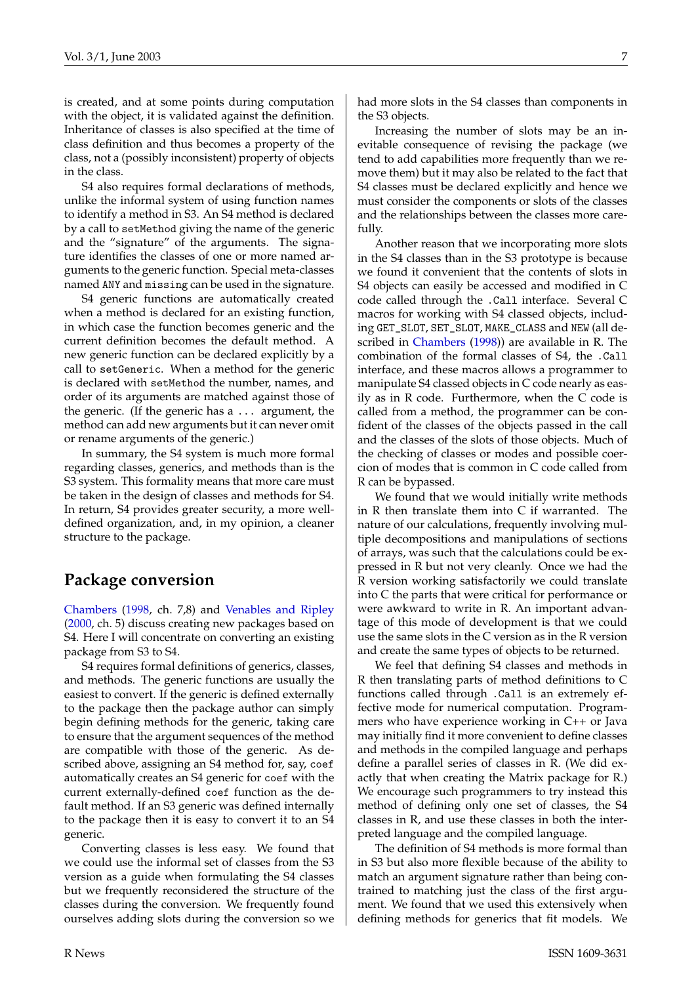<span id="page-6-0"></span>is created, and at some points during computation with the object, it is validated against the definition. Inheritance of classes is also specified at the time of class definition and thus becomes a property of the class, not a (possibly inconsistent) property of objects in the class.

S4 also requires formal declarations of methods, unlike the informal system of using function names to identify a method in S3. An S4 method is declared by a call to setMethod giving the name of the generic and the "signature" of the arguments. The signature identifies the classes of one or more named arguments to the generic function. Special meta-classes named ANY and missing can be used in the signature.

S4 generic functions are automatically created when a method is declared for an existing function, in which case the function becomes generic and the current definition becomes the default method. A new generic function can be declared explicitly by a call to setGeneric. When a method for the generic is declared with setMethod the number, names, and order of its arguments are matched against those of the generic. (If the generic has a ... argument, the method can add new arguments but it can never omit or rename arguments of the generic.)

In summary, the S4 system is much more formal regarding classes, generics, and methods than is the S3 system. This formality means that more care must be taken in the design of classes and methods for S4. In return, S4 provides greater security, a more welldefined organization, and, in my opinion, a cleaner structure to the package.

### **Package conversion**

[Chambers](#page-7-2) [\(1998,](#page-7-2) ch. 7,8) and [Venables and Ripley](#page-7-1) [\(2000,](#page-7-1) ch. 5) discuss creating new packages based on S4. Here I will concentrate on converting an existing package from S3 to S4.

S4 requires formal definitions of generics, classes, and methods. The generic functions are usually the easiest to convert. If the generic is defined externally to the package then the package author can simply begin defining methods for the generic, taking care to ensure that the argument sequences of the method are compatible with those of the generic. As described above, assigning an S4 method for, say, coef automatically creates an S4 generic for coef with the current externally-defined coef function as the default method. If an S3 generic was defined internally to the package then it is easy to convert it to an S4 generic.

Converting classes is less easy. We found that we could use the informal set of classes from the S3 version as a guide when formulating the S4 classes but we frequently reconsidered the structure of the classes during the conversion. We frequently found ourselves adding slots during the conversion so we had more slots in the S4 classes than components in the S3 objects.

Increasing the number of slots may be an inevitable consequence of revising the package (we tend to add capabilities more frequently than we remove them) but it may also be related to the fact that S4 classes must be declared explicitly and hence we must consider the components or slots of the classes and the relationships between the classes more carefully.

Another reason that we incorporating more slots in the S4 classes than in the S3 prototype is because we found it convenient that the contents of slots in S4 objects can easily be accessed and modified in C code called through the .Call interface. Several C macros for working with S4 classed objects, including GET\_SLOT, SET\_SLOT, MAKE\_CLASS and NEW (all described in [Chambers](#page-7-2) [\(1998\)](#page-7-2)) are available in R. The combination of the formal classes of S4, the .Call interface, and these macros allows a programmer to manipulate S4 classed objects in C code nearly as easily as in R code. Furthermore, when the C code is called from a method, the programmer can be confident of the classes of the objects passed in the call and the classes of the slots of those objects. Much of the checking of classes or modes and possible coercion of modes that is common in C code called from R can be bypassed.

We found that we would initially write methods in R then translate them into C if warranted. The nature of our calculations, frequently involving multiple decompositions and manipulations of sections of arrays, was such that the calculations could be expressed in R but not very cleanly. Once we had the R version working satisfactorily we could translate into C the parts that were critical for performance or were awkward to write in R. An important advantage of this mode of development is that we could use the same slots in the C version as in the R version and create the same types of objects to be returned.

We feel that defining S4 classes and methods in R then translating parts of method definitions to C functions called through .Call is an extremely effective mode for numerical computation. Programmers who have experience working in C++ or Java may initially find it more convenient to define classes and methods in the compiled language and perhaps define a parallel series of classes in R. (We did exactly that when creating the Matrix package for R.) We encourage such programmers to try instead this method of defining only one set of classes, the S4 classes in R, and use these classes in both the interpreted language and the compiled language.

The definition of S4 methods is more formal than in S3 but also more flexible because of the ability to match an argument signature rather than being contrained to matching just the class of the first argument. We found that we used this extensively when defining methods for generics that fit models. We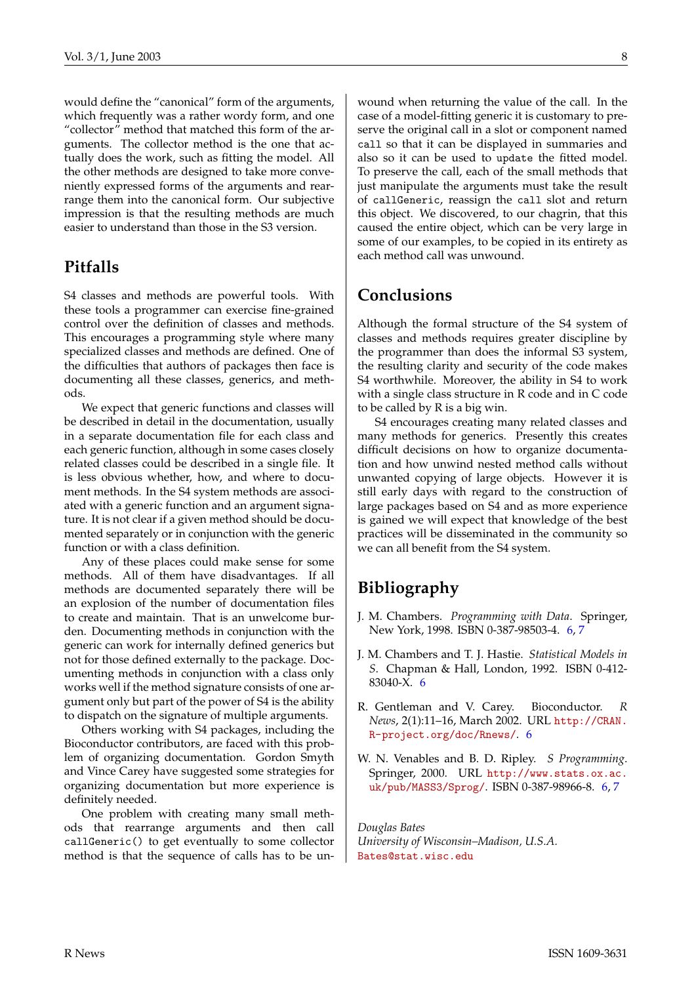would define the "canonical" form of the arguments, which frequently was a rather wordy form, and one "collector" method that matched this form of the arguments. The collector method is the one that actually does the work, such as fitting the model. All the other methods are designed to take more conveniently expressed forms of the arguments and rearrange them into the canonical form. Our subjective impression is that the resulting methods are much easier to understand than those in the S3 version.

#### **Pitfalls**

S4 classes and methods are powerful tools. With these tools a programmer can exercise fine-grained control over the definition of classes and methods. This encourages a programming style where many specialized classes and methods are defined. One of the difficulties that authors of packages then face is documenting all these classes, generics, and methods.

We expect that generic functions and classes will be described in detail in the documentation, usually in a separate documentation file for each class and each generic function, although in some cases closely related classes could be described in a single file. It is less obvious whether, how, and where to document methods. In the S4 system methods are associated with a generic function and an argument signature. It is not clear if a given method should be documented separately or in conjunction with the generic function or with a class definition.

Any of these places could make sense for some methods. All of them have disadvantages. If all methods are documented separately there will be an explosion of the number of documentation files to create and maintain. That is an unwelcome burden. Documenting methods in conjunction with the generic can work for internally defined generics but not for those defined externally to the package. Documenting methods in conjunction with a class only works well if the method signature consists of one argument only but part of the power of S4 is the ability to dispatch on the signature of multiple arguments.

Others working with S4 packages, including the Bioconductor contributors, are faced with this problem of organizing documentation. Gordon Smyth and Vince Carey have suggested some strategies for organizing documentation but more experience is definitely needed.

One problem with creating many small methods that rearrange arguments and then call callGeneric() to get eventually to some collector method is that the sequence of calls has to be unwound when returning the value of the call. In the case of a model-fitting generic it is customary to preserve the original call in a slot or component named call so that it can be displayed in summaries and also so it can be used to update the fitted model. To preserve the call, each of the small methods that just manipulate the arguments must take the result of callGeneric, reassign the call slot and return this object. We discovered, to our chagrin, that this caused the entire object, which can be very large in some of our examples, to be copied in its entirety as each method call was unwound.

#### **Conclusions**

Although the formal structure of the S4 system of classes and methods requires greater discipline by the programmer than does the informal S3 system, the resulting clarity and security of the code makes S4 worthwhile. Moreover, the ability in S4 to work with a single class structure in R code and in C code to be called by R is a big win.

S4 encourages creating many related classes and many methods for generics. Presently this creates difficult decisions on how to organize documentation and how unwind nested method calls without unwanted copying of large objects. However it is still early days with regard to the construction of large packages based on S4 and as more experience is gained we will expect that knowledge of the best practices will be disseminated in the community so we can all benefit from the S4 system.

## **Bibliography**

- <span id="page-7-2"></span>J. M. Chambers. *Programming with Data*. Springer, New York, 1998. ISBN 0-387-98503-4. [6,](#page-5-1) [7](#page-6-0)
- <span id="page-7-0"></span>J. M. Chambers and T. J. Hastie. *Statistical Models in S*. Chapman & Hall, London, 1992. ISBN 0-412- 83040-X. [6](#page-5-1)
- <span id="page-7-3"></span>R. Gentleman and V. Carey. Bioconductor. *R News*, 2(1):11–16, March 2002. URL [http://CRAN.](http://CRAN.R-project.org/doc/Rnews/) [R-project.org/doc/Rnews/](http://CRAN.R-project.org/doc/Rnews/). [6](#page-5-1)
- <span id="page-7-1"></span>W. N. Venables and B. D. Ripley. *S Programming*. Springer, 2000. URL [http://www.stats.ox.ac.](http://www.stats.ox.ac.uk/pub/MASS3/Sprog/) [uk/pub/MASS3/Sprog/](http://www.stats.ox.ac.uk/pub/MASS3/Sprog/). ISBN 0-387-98966-8. [6,](#page-5-1) [7](#page-6-0)

*Douglas Bates University of Wisconsin–Madison, U.S.A.* [Bates@stat.wisc.edu](mailto:Bates@stat.wisc.edu)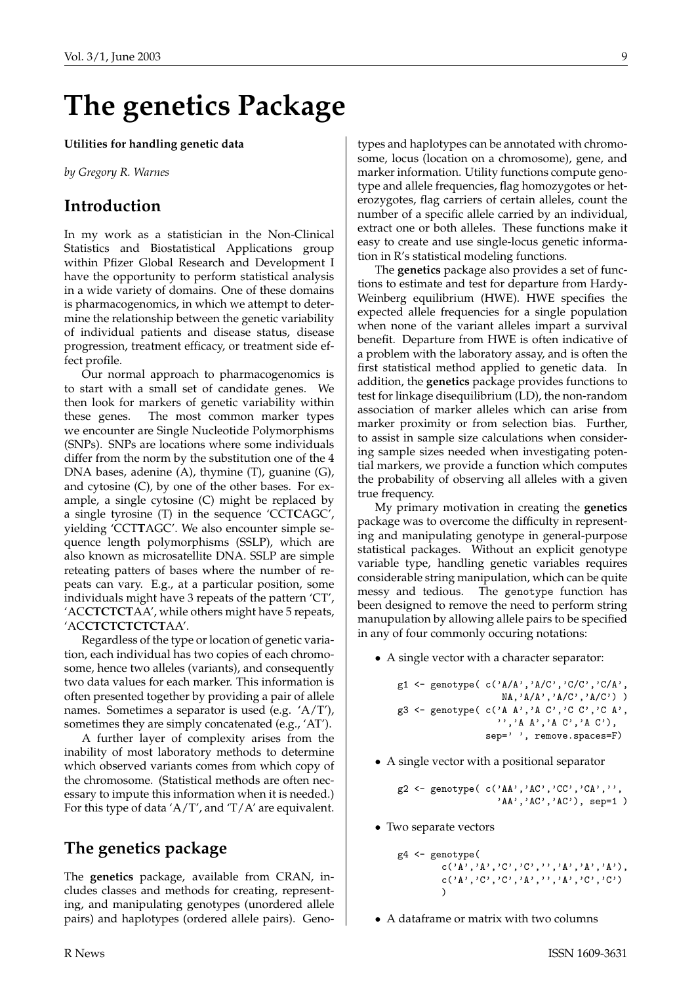# **The genetics Package**

#### <span id="page-8-0"></span>**Utilities for handling genetic data**

*by Gregory R. Warnes*

#### **Introduction**

In my work as a statistician in the Non-Clinical Statistics and Biostatistical Applications group within Pfizer Global Research and Development I have the opportunity to perform statistical analysis in a wide variety of domains. One of these domains is pharmacogenomics, in which we attempt to determine the relationship between the genetic variability of individual patients and disease status, disease progression, treatment efficacy, or treatment side effect profile.

Our normal approach to pharmacogenomics is to start with a small set of candidate genes. We then look for markers of genetic variability within these genes. The most common marker types we encounter are Single Nucleotide Polymorphisms (SNPs). SNPs are locations where some individuals differ from the norm by the substitution one of the 4 DNA bases, adenine (A), thymine (T), guanine (G), and cytosine (C), by one of the other bases. For example, a single cytosine (C) might be replaced by a single tyrosine (T) in the sequence 'CCT**C**AGC', yielding 'CCT**T**AGC'. We also encounter simple sequence length polymorphisms (SSLP), which are also known as microsatellite DNA. SSLP are simple reteating patters of bases where the number of repeats can vary. E.g., at a particular position, some individuals might have 3 repeats of the pattern 'CT', 'AC**CTCTCT**AA', while others might have 5 repeats, 'AC**CTCTCTCTCT**AA'.

Regardless of the type or location of genetic variation, each individual has two copies of each chromosome, hence two alleles (variants), and consequently two data values for each marker. This information is often presented together by providing a pair of allele names. Sometimes a separator is used (e.g. 'A/T'), sometimes they are simply concatenated (e.g., 'AT').

A further layer of complexity arises from the inability of most laboratory methods to determine which observed variants comes from which copy of the chromosome. (Statistical methods are often necessary to impute this information when it is needed.) For this type of data  $'A/T'$ , and  $T/A'$  are equivalent.

#### **The genetics package**

The **genetics** package, available from CRAN, includes classes and methods for creating, representing, and manipulating genotypes (unordered allele pairs) and haplotypes (ordered allele pairs). Genotypes and haplotypes can be annotated with chromosome, locus (location on a chromosome), gene, and marker information. Utility functions compute genotype and allele frequencies, flag homozygotes or heterozygotes, flag carriers of certain alleles, count the number of a specific allele carried by an individual, extract one or both alleles. These functions make it easy to create and use single-locus genetic information in R's statistical modeling functions.

The **genetics** package also provides a set of functions to estimate and test for departure from Hardy-Weinberg equilibrium (HWE). HWE specifies the expected allele frequencies for a single population when none of the variant alleles impart a survival benefit. Departure from HWE is often indicative of a problem with the laboratory assay, and is often the first statistical method applied to genetic data. In addition, the **genetics** package provides functions to test for linkage disequilibrium (LD), the non-random association of marker alleles which can arise from marker proximity or from selection bias. Further, to assist in sample size calculations when considering sample sizes needed when investigating potential markers, we provide a function which computes the probability of observing all alleles with a given true frequency.

My primary motivation in creating the **genetics** package was to overcome the difficulty in representing and manipulating genotype in general-purpose statistical packages. Without an explicit genotype variable type, handling genetic variables requires considerable string manipulation, which can be quite messy and tedious. The genotype function has been designed to remove the need to perform string manupulation by allowing allele pairs to be specified in any of four commonly occuring notations:

• A single vector with a character separator:

```
g1 \leftarrow \text{genotype}(c('A/A', 'A/C', 'C/C', 'C/A',NA,'A/A','A/C','A/C') )
g3 \leq - genotype( c('A A', 'A C', 'C C', 'C A'),
                     '','A A','A C','A C'),
                  sep='', remove.spaces=F)
```
• A single vector with a positional separator

```
g2 <- genotype( c('AA','AC','CC','CA','',
                  'AA', 'AC', 'AC'), sep=1)
```
• Two separate vectors

```
g4 <- genotype(
                                            c('A', 'A', 'C', 'C', ''), 'A', 'A', 'A'),
                                            \mathtt{c}(\,{}^\backprime\!\operatorname{A}\,{}^\backprime\,,{}^\backprime\!\operatorname{C}\,{}^\backprime\,,{}^\backprime\!\operatorname{C}\,{}^\backprime\,,{}^\backprime\!\operatorname{A}\,{}^\backprime\,,{}^\backprime\!\operatorname{A}\,{}^\backprime\,,{}^\backprime\!\operatorname{A}\,{}^\backprime\,,{}^\backprime\!\operatorname{C}\,{}^\backprime\,,{}^\backprime\!\operatorname{C}\,{}^\backprime\,))
```
• A dataframe or matrix with two columns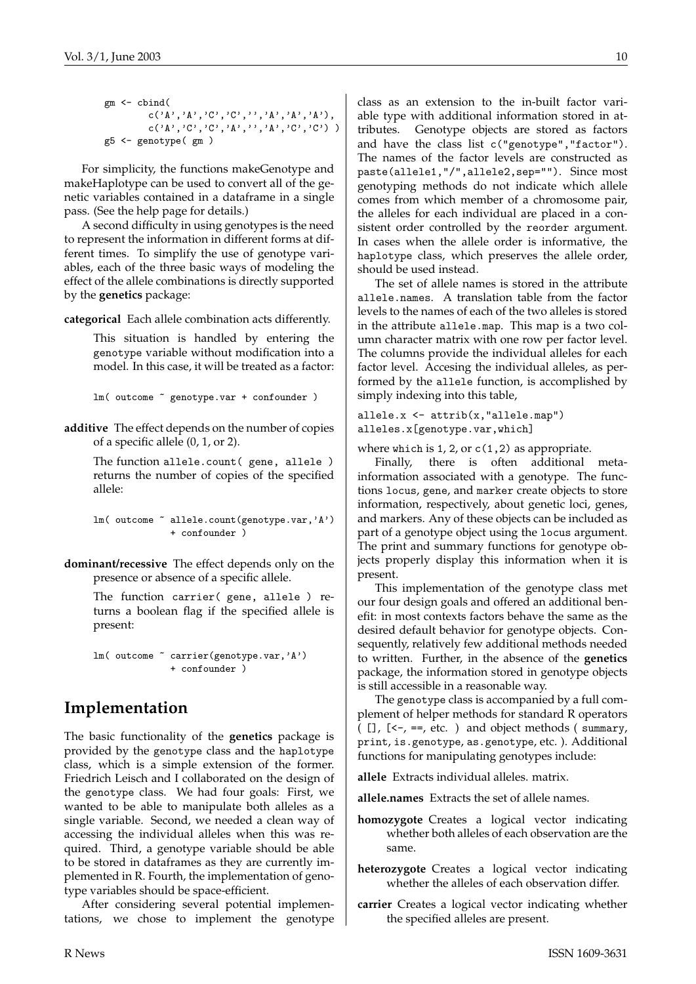```
gm <- cbind(
         c('A', 'A', 'C', 'C', '')', 'A', 'A', 'A', 'A'),
         c('A', 'C', 'C', 'A', '', 'A', 'C', 'C') )g5 <- genotype( gm )
```
For simplicity, the functions makeGenotype and makeHaplotype can be used to convert all of the genetic variables contained in a dataframe in a single pass. (See the help page for details.)

A second difficulty in using genotypes is the need to represent the information in different forms at different times. To simplify the use of genotype variables, each of the three basic ways of modeling the effect of the allele combinations is directly supported by the **genetics** package:

**categorical** Each allele combination acts differently.

This situation is handled by entering the genotype variable without modification into a model. In this case, it will be treated as a factor:

lm( outcome ~ genotype.var + confounder )

**additive** The effect depends on the number of copies of a specific allele (0, 1, or 2).

> The function allele.count( gene, allele ) returns the number of copies of the specified allele:

```
lm( outcome ~ allele.count(genotype.var,'A')
             + confounder )
```
**dominant/recessive** The effect depends only on the presence or absence of a specific allele.

> The function carrier( gene, allele ) returns a boolean flag if the specified allele is present:

lm( outcome ~ carrier(genotype.var,'A') + confounder )

#### **Implementation**

The basic functionality of the **genetics** package is provided by the genotype class and the haplotype class, which is a simple extension of the former. Friedrich Leisch and I collaborated on the design of the genotype class. We had four goals: First, we wanted to be able to manipulate both alleles as a single variable. Second, we needed a clean way of accessing the individual alleles when this was required. Third, a genotype variable should be able to be stored in dataframes as they are currently implemented in R. Fourth, the implementation of genotype variables should be space-efficient.

After considering several potential implementations, we chose to implement the genotype class as an extension to the in-built factor variable type with additional information stored in attributes. Genotype objects are stored as factors and have the class list c("genotype","factor"). The names of the factor levels are constructed as paste(allele1,"/",allele2,sep=""). Since most genotyping methods do not indicate which allele comes from which member of a chromosome pair, the alleles for each individual are placed in a consistent order controlled by the reorder argument. In cases when the allele order is informative, the haplotype class, which preserves the allele order, should be used instead.

The set of allele names is stored in the attribute allele.names. A translation table from the factor levels to the names of each of the two alleles is stored in the attribute allele.map. This map is a two column character matrix with one row per factor level. The columns provide the individual alleles for each factor level. Accesing the individual alleles, as performed by the allele function, is accomplished by simply indexing into this table,

allele.x <- attrib(x,"allele.map") alleles.x[genotype.var,which]

where which is  $1, 2$ , or  $c(1,2)$  as appropriate.

Finally, there is often additional metainformation associated with a genotype. The functions locus, gene, and marker create objects to store information, respectively, about genetic loci, genes, and markers. Any of these objects can be included as part of a genotype object using the locus argument. The print and summary functions for genotype objects properly display this information when it is present.

This implementation of the genotype class met our four design goals and offered an additional benefit: in most contexts factors behave the same as the desired default behavior for genotype objects. Consequently, relatively few additional methods needed to written. Further, in the absence of the **genetics** package, the information stored in genotype objects is still accessible in a reasonable way.

The genotype class is accompanied by a full complement of helper methods for standard R operators ( $[$ ],  $[$ <-, ==, etc. ) and object methods (summary, print, is.genotype, as.genotype, etc. ). Additional functions for manipulating genotypes include:

**allele** Extracts individual alleles. matrix.

**allele.names** Extracts the set of allele names.

- **homozygote** Creates a logical vector indicating whether both alleles of each observation are the same.
- **heterozygote** Creates a logical vector indicating whether the alleles of each observation differ.
- **carrier** Creates a logical vector indicating whether the specified alleles are present.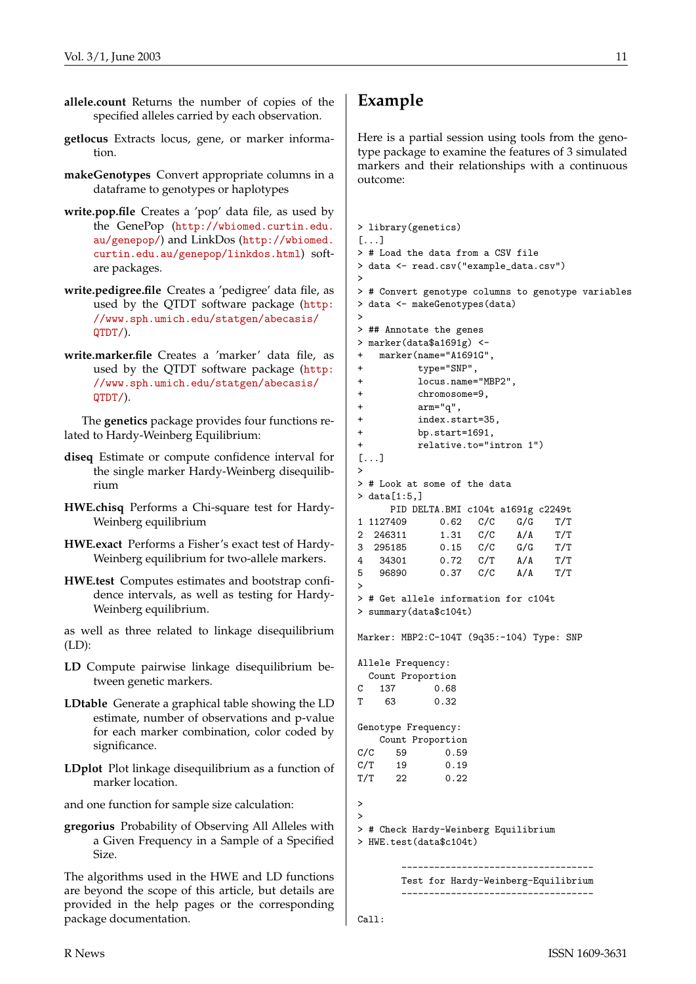- **allele.count** Returns the number of copies of the specified alleles carried by each observation.
- **getlocus** Extracts locus, gene, or marker information.
- **makeGenotypes** Convert appropriate columns in a dataframe to genotypes or haplotypes
- **write.pop.file** Creates a 'pop' data file, as used by the GenePop ([http://wbiomed.curtin.edu.](http://wbiomed.curtin.edu.au/genepop/) [au/genepop/](http://wbiomed.curtin.edu.au/genepop/)) and LinkDos ([http://wbiomed.](http://wbiomed.curtin.edu.au/genepop/linkdos.html) [curtin.edu.au/genepop/linkdos.html](http://wbiomed.curtin.edu.au/genepop/linkdos.html)) softare packages.
- **write.pedigree.file** Creates a 'pedigree' data file, as used by the QTDT software package ([http:](http://www.sph.umich.edu/statgen/abecasis/QTDT/) [//www.sph.umich.edu/statgen/abecasis/](http://www.sph.umich.edu/statgen/abecasis/QTDT/) [QTDT/](http://www.sph.umich.edu/statgen/abecasis/QTDT/)).
- **write.marker.file** Creates a 'marker' data file, as used by the QTDT software package ([http:](http://www.sph.umich.edu/statgen/abecasis/QTDT/) [//www.sph.umich.edu/statgen/abecasis/](http://www.sph.umich.edu/statgen/abecasis/QTDT/) [QTDT/](http://www.sph.umich.edu/statgen/abecasis/QTDT/)).

The **genetics** package provides four functions related to Hardy-Weinberg Equilibrium:

- **diseq** Estimate or compute confidence interval for the single marker Hardy-Weinberg disequilibrium
- **HWE.chisq** Performs a Chi-square test for Hardy-Weinberg equilibrium
- **HWE.exact** Performs a Fisher's exact test of Hardy-Weinberg equilibrium for two-allele markers.
- **HWE.test** Computes estimates and bootstrap confidence intervals, as well as testing for Hardy-Weinberg equilibrium.

as well as three related to linkage disequilibrium (LD):

- **LD** Compute pairwise linkage disequilibrium between genetic markers.
- **LDtable** Generate a graphical table showing the LD estimate, number of observations and p-value for each marker combination, color coded by significance.
- **LDplot** Plot linkage disequilibrium as a function of marker location.

and one function for sample size calculation:

**gregorius** Probability of Observing All Alleles with a Given Frequency in a Sample of a Specified Size.

The algorithms used in the HWE and LD functions are beyond the scope of this article, but details are provided in the help pages or the corresponding package documentation.

## **Example**

Here is a partial session using tools from the genotype package to examine the features of 3 simulated markers and their relationships with a continuous outcome:

```
> library(genetics)
\sqrt{2}> # Load the data from a CSV file
> data <- read.csv("example_data.csv")
>
> # Convert genotype columns to genotype variables
> data <- makeGenotypes(data)
>
> ## Annotate the genes
> marker(data$a1691g) <-
+ marker(name="A1691G",
+ type="SNP",
+ locus.name="MBP2",
+ chromosome=9,
+ arm="q",
+ index.start=35,
+ bp.start=1691,
+ relative.to="intron 1")
[...]
>
> # Look at some of the data
> data[1:5.]PID DELTA.BMI c104t a1691g c2249t
1 1127409 0.62 C/C G/G T/T
2 246311 1.31 C/C A/A T/T
3 295185 0.15 C/C G/G T/T
4 34301 0.72 C/T A/A T/T
5 96890 0.37 C/C A/A T/T
>
> # Get allele information for c104t
> summary(data$c104t)
Marker: MBP2:C-104T (9q35:-104) Type: SNP
Allele Frequency:
 Count Proportion
C 137 0.68
T 63 0.32
Genotype Frequency:
   Count Proportion
C/C 59 0.59
C/T 19 0.19
T/T 22 0.22
>
>
> # Check Hardy-Weinberg Equilibrium
> HWE.test(data$c104t)
       -----------------------------------
      Test for Hardy-Weinberg-Equilibrium
       -----------------------------------
```
Call: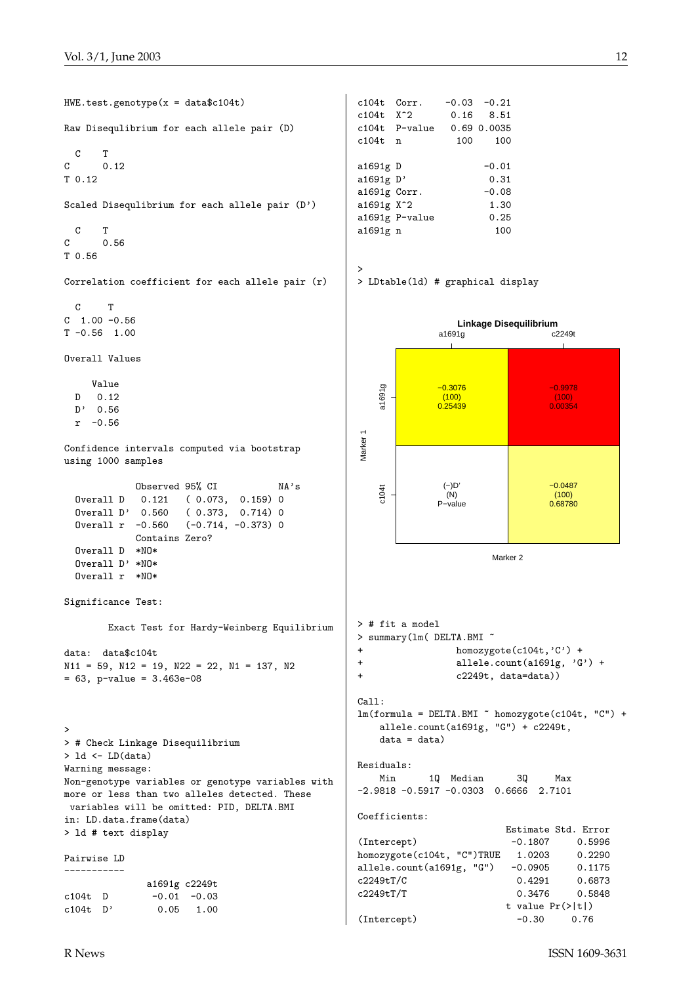HWE.test.genotype(x = data\$c104t) Raw Disequlibrium for each allele pair (D) C T C 0.12 T 0.12 Scaled Disequlibrium for each allele pair (D')  $\begin{matrix} C & T \\ C & 0 \end{matrix}$ 0.56 T 0.56 > Correlation coefficient for each allele pair (r) C T  $C$  1.00 -0.56  $T -0.56 1.00$ Overall Values Value a1691g c104t a1691g D 0.12 D' 0.56 r -0.56 Marker 1 Confidence intervals computed via bootstrap using 1000 samples Observed 95% CI NA's c104t Overall D 0.121 ( 0.073, 0.159) 0 Overall D' 0.560 ( 0.373, 0.714) 0 Overall r -0.560 (-0.714, -0.373) 0 Contains Zero? Overall D \*NO\* Overall D' \*NO\* Overall r \*NO\* Significance Test: Exact Test for Hardy-Weinberg Equilibrium data: data\$c104t  $N11 = 59$ ,  $N12 = 19$ ,  $N22 = 22$ ,  $N1 = 137$ ,  $N2$ = 63, p-value = 3.463e-08 Call: > > # Check Linkage Disequilibrium > ld <- LD(data) Warning message: Non-genotype variables or genotype variables with more or less than two alleles detected. These variables will be omitted: PID, DELTA.BMI in: LD.data.frame(data) > ld # text display Pairwise LD ---------- a1691g c2249t  $c104t$  D  $-0.01$   $-0.03$ c104t D' 0.05 1.00

c104t Corr. -0.03 -0.21 c104t X^2 0.16 8.51 c104t P-value 0.69 0.0035 c104t n 100 100 a1691g D -0.01 a1691g D' 0.31 a1691g Corr. -0.08 a1691g X<sup>2</sup> 1.30 a1691g P-value 0.25 a1691g n 100

> LDtable(ld) # graphical display



(Intercept)  $-0.30$  0.76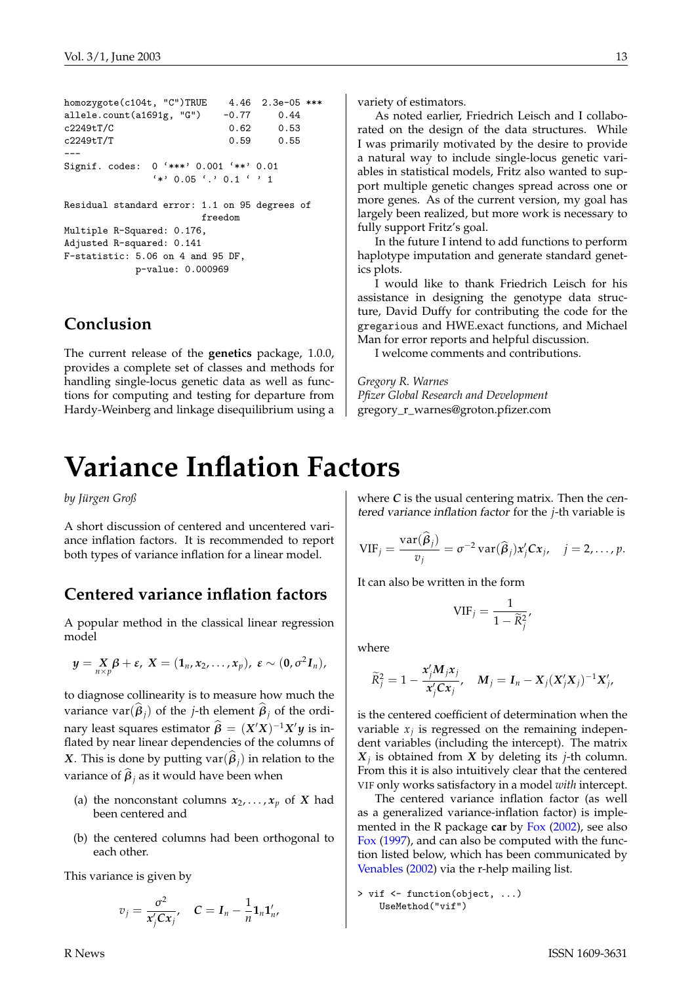```
homozygote(c104t, "C")TRUE 4.46 2.3e-05 ***
allele.count(a1691g, "G") -0.77 0.44
c2249tT/C 0.62 0.53
c2249tT/T 0.59 0.55
---
Signif. codes: 0 '***' 0.001 '**' 0.01
             '*' 0.05 '.' 0.1 ' ' 1
Residual standard error: 1.1 on 95 degrees of
                     freedom
Multiple R-Squared: 0.176,
Adjusted R-squared: 0.141
F-statistic: 5.06 on 4 and 95 DF,
           p-value: 0.000969
```
## **Conclusion**

The current release of the **genetics** package, 1.0.0, provides a complete set of classes and methods for handling single-locus genetic data as well as functions for computing and testing for departure from Hardy-Weinberg and linkage disequilibrium using a

# **Variance Inflation Factors**

<span id="page-12-0"></span>*by Jürgen Groß*

A short discussion of centered and uncentered variance inflation factors. It is recommended to report both types of variance inflation for a linear model.

## **Centered variance inflation factors**

A popular method in the classical linear regression model

$$
y = X_p \beta + \varepsilon, \ X = (1_n, x_2, \ldots, x_p), \ \varepsilon \sim (0, \sigma^2 I_n),
$$

to diagnose collinearity is to measure how much the variance  $\text{var}(\boldsymbol{\beta}_j)$  of the *j*-th element  $\boldsymbol{\beta}_j$  of the ordinary least squares estimator  $\hat{\beta} = (X'X)^{-1}X'y$  is inflated by near linear dependencies of the columns of *X*. This is done by putting  $var(\beta_j)$  in relation to the variance of  $\boldsymbol{\beta}_j$  as it would have been when

- (a) the nonconstant columns  $x_2, \ldots, x_p$  of *X* had been centered and
- (b) the centered columns had been orthogonal to each other.

This variance is given by

$$
v_j = \frac{\sigma^2}{x'_j C x_j}, \quad C = I_n - \frac{1}{n} \mathbf{1}_n \mathbf{1}'_n,
$$

variety of estimators.

As noted earlier, Friedrich Leisch and I collaborated on the design of the data structures. While I was primarily motivated by the desire to provide a natural way to include single-locus genetic variables in statistical models, Fritz also wanted to support multiple genetic changes spread across one or more genes. As of the current version, my goal has largely been realized, but more work is necessary to fully support Fritz's goal.

In the future I intend to add functions to perform haplotype imputation and generate standard genetics plots.

I would like to thank Friedrich Leisch for his assistance in designing the genotype data structure, David Duffy for contributing the code for the gregarious and HWE.exact functions, and Michael Man for error reports and helpful discussion.

I welcome comments and contributions.

*Gregory R. Warnes Pfizer Global Research and Development* gregory\_r\_warnes@groton.pfizer.com

where *C* is the usual centering matrix. Then the centered variance inflation factor for the *j*-th variable is

$$
\text{VIF}_{j} = \frac{\text{var}(\widehat{\boldsymbol{\beta}}_{j})}{v_{j}} = \sigma^{-2} \text{var}(\widehat{\boldsymbol{\beta}}_{j}) \boldsymbol{x}_{j}^{\prime} \boldsymbol{C} \boldsymbol{x}_{j}, \quad j = 2, \ldots, p.
$$

It can also be written in the form

$$
\text{VIF}_j = \frac{1}{1 - \widetilde{R}_j^2},
$$

where

$$
\widetilde{R}_j^2 = 1 - \frac{x_j'M_jx_j}{x_j'Cx_j}, \quad M_j = I_n - X_j(X_j'X_j)^{-1}X_j',
$$

is the centered coefficient of determination when the variable  $x_j$  is regressed on the remaining independent variables (including the intercept). The matrix *X j* is obtained from *X* by deleting its *j*-th column. From this it is also intuitively clear that the centered VIF only works satisfactory in a model *with* intercept.

The centered variance inflation factor (as well as a generalized variance-inflation factor) is implemented in the R package **car** by [Fox](#page-14-1) [\(2002\)](#page-14-1), see also [Fox](#page-14-2) [\(1997\)](#page-14-2), and can also be computed with the function listed below, which has been communicated by [Venables](#page-14-3) [\(2002\)](#page-14-3) via the r-help mailing list.

```
> vif <- function(object, ...)
   UseMethod("vif")
```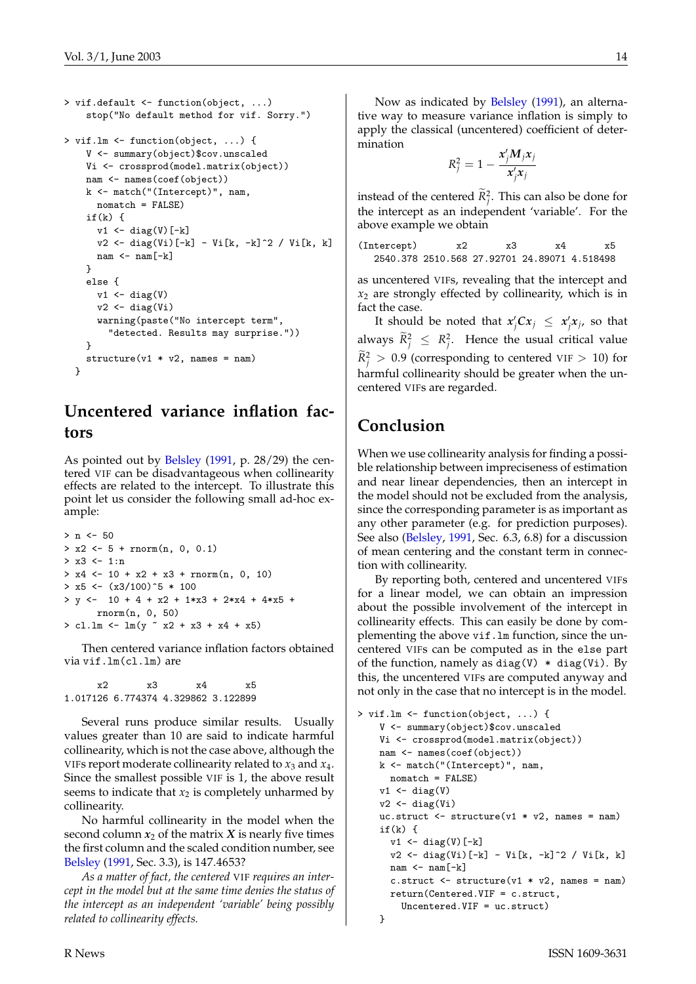```
> vif.default <- function(object, ...)
    stop("No default method for vif. Sorry.")
> vif.lm <- function(object, ...) {
    V <- summary(object)$cov.unscaled
    Vi <- crossprod(model.matrix(object))
    nam <- names(coef(object))
    k <- match("(Intercept)", nam,
      nomatch = FALSE)
    if(k) {
      v1 \leftarrow diag(V)[-k]v2 <- diag(Vi)[-k] - Vi[k, -k]^2 / Vi[k, k]
      nam \leftarrow nam[-k]}
    else {
      v1 \leftarrow diag(V)v2 \leftarrow diag(Vi)warning(paste("No intercept term",
         "detected. Results may surprise."))
    \mathbf{r}structure(v1 * v2, names = nam)}
```
# **Uncentered variance inflation factors**

As pointed out by [Belsley](#page-14-4) [\(1991,](#page-14-4) p. 28/29) the centered VIF can be disadvantageous when collinearity effects are related to the intercept. To illustrate this point let us consider the following small ad-hoc example:

```
> n < -50> x2 <- 5 + rnorm(n, 0, 0.1)
> x3 < -1:n> x4 \le -10 + x2 + x3 + \text{rnorm}(n, 0, 10)> x5 < - (x3/100)^{-5} * 100> y <- 10 + 4 + x2 + 1*x3 + 2*x4 + 4*x5 +
      rnorm(n, 0, 50)
> c1.1m < -1m(y \text{ x2} + x3 + x4 + x5)
```
Then centered variance inflation factors obtained via vif.lm(cl.lm) are

x2 x3 x4 x5 1.017126 6.774374 4.329862 3.122899

Several runs produce similar results. Usually values greater than 10 are said to indicate harmful collinearity, which is not the case above, although the VIFs report moderate collinearity related to *x*<sup>3</sup> and *x*4. Since the smallest possible VIF is 1, the above result seems to indicate that  $x_2$  is completely unharmed by collinearity.

No harmful collinearity in the model when the second column  $x_2$  of the matrix  $X$  is nearly five times the first column and the scaled condition number, see [Belsley](#page-14-4) [\(1991,](#page-14-4) Sec. 3.3), is 147.4653?

*As a matter of fact, the centered* VIF *requires an intercept in the model but at the same time denies the status of the intercept as an independent 'variable' being possibly related to collinearity effects.*

Now as indicated by [Belsley](#page-14-4) [\(1991\)](#page-14-4), an alternative way to measure variance inflation is simply to apply the classical (uncentered) coefficient of determination

$$
R_j^2 = 1 - \frac{x_j' M_j x_j}{x_j' x_j}
$$

instead of the centered  $R_j^2$ . This can also be done for the intercept as an independent 'variable'. For the above example we obtain

(Intercept) x2 x3 x4 x5 2540.378 2510.568 27.92701 24.89071 4.518498

as uncentered VIFs, revealing that the intercept and *x*<sup>2</sup> are strongly effected by collinearity, which is in fact the case.

It should be noted that  $x'_jCx_j \leq x'_jx_j$ , so that always  $R_j^2 \leq R_j^2$ . Hence the usual critical value  $R_j^2 > 0.9$  (corresponding to centered VIF > 10) for harmful collinearity should be greater when the uncentered VIFs are regarded.

## **Conclusion**

When we use collinearity analysis for finding a possible relationship between impreciseness of estimation and near linear dependencies, then an intercept in the model should not be excluded from the analysis, since the corresponding parameter is as important as any other parameter (e.g. for prediction purposes). See also [\(Belsley,](#page-14-4) [1991,](#page-14-4) Sec. 6.3, 6.8) for a discussion of mean centering and the constant term in connection with collinearity.

By reporting both, centered and uncentered VIFs for a linear model, we can obtain an impression about the possible involvement of the intercept in collinearity effects. This can easily be done by complementing the above vif.lm function, since the uncentered VIFs can be computed as in the else part of the function, namely as diag(V)  $*$  diag(Vi). By this, the uncentered VIFs are computed anyway and not only in the case that no intercept is in the model.

```
> vif.lm <- function(object, ...) {
    V <- summary(object)$cov.unscaled
    Vi <- crossprod(model.matrix(object))
    nam <- names(coef(object))
    k <- match("(Intercept)", nam,
      nomatch = FALSE)
    v1 <- diag(V)
    v2 \leftarrow diag(Vi)uc.struct \leq structure(v1 * v2, names = nam)
    if(k) {
      v1 \leftarrow diag(V)[-k]v2 \leftarrow diag(Vi) [-k] - Vi[k, -k] 2 / Vi[k, k]nam < - nam [-k]c.struct \le structure(v1 * v2, names = nam)
      return(Centered.VIF = c.struct,
        Uncentered.VIF = uc.struct)
    }
```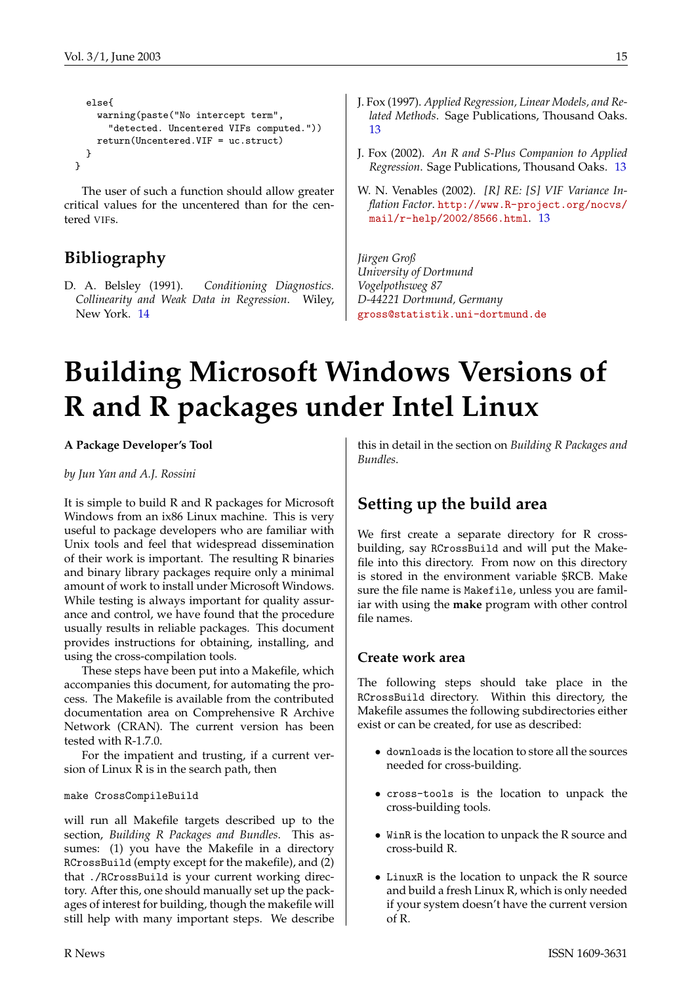```
else{
   warning(paste("No intercept term",
      "detected. Uncentered VIFs computed."))
   return(Uncentered.VIF = uc.struct)
  }
}
```
The user of such a function should allow greater critical values for the uncentered than for the centered VIFs.

# **Bibliography**

<span id="page-14-4"></span>D. A. Belsley (1991). *Conditioning Diagnostics. Collinearity and Weak Data in Regression*. Wiley, New York. [14](#page-13-0)

- <span id="page-14-2"></span>J. Fox (1997). *Applied Regression, Linear Models, and Related Methods*. Sage Publications, Thousand Oaks. [13](#page-12-1)
- <span id="page-14-1"></span>J. Fox (2002). *An R and S-Plus Companion to Applied Regression*. Sage Publications, Thousand Oaks. [13](#page-12-1)
- <span id="page-14-3"></span>W. N. Venables (2002). *[R] RE: [S] VIF Variance Inflation Factor*. [http://www.R-project.org/nocvs/](http://www.R-project.org/nocvs/mail/r-help/2002/8566.html) [mail/r-help/2002/8566.html](http://www.R-project.org/nocvs/mail/r-help/2002/8566.html). [13](#page-12-1)

*Jürgen Groß University of Dortmund Vogelpothsweg 87 D-44221 Dortmund, Germany* [gross@statistik.uni-dortmund.de](mailto:gross@statistik.uni-dortmund.de)

# **Building Microsoft Windows Versions of R and R packages under Intel Linux**

<span id="page-14-0"></span>**A Package Developer's Tool**

*by Jun Yan and A.J. Rossini*

It is simple to build R and R packages for Microsoft Windows from an ix86 Linux machine. This is very useful to package developers who are familiar with Unix tools and feel that widespread dissemination of their work is important. The resulting R binaries and binary library packages require only a minimal amount of work to install under Microsoft Windows. While testing is always important for quality assurance and control, we have found that the procedure usually results in reliable packages. This document provides instructions for obtaining, installing, and using the cross-compilation tools.

These steps have been put into a Makefile, which accompanies this document, for automating the process. The Makefile is available from the contributed documentation area on Comprehensive R Archive Network (CRAN). The current version has been tested with R-1.7.0.

For the impatient and trusting, if a current version of Linux R is in the search path, then

#### make CrossCompileBuild

will run all Makefile targets described up to the section, *Building R Packages and Bundles*. This assumes: (1) you have the Makefile in a directory RCrossBuild (empty except for the makefile), and (2) that ./RCrossBuild is your current working directory. After this, one should manually set up the packages of interest for building, though the makefile will still help with many important steps. We describe

this in detail in the section on *Building R Packages and Bundles*.

# **Setting up the build area**

We first create a separate directory for R crossbuilding, say RCrossBuild and will put the Makefile into this directory. From now on this directory is stored in the environment variable \$RCB. Make sure the file name is Makefile, unless you are familiar with using the **make** program with other control file names.

#### **Create work area**

The following steps should take place in the RCrossBuild directory. Within this directory, the Makefile assumes the following subdirectories either exist or can be created, for use as described:

- downloads is the location to store all the sources needed for cross-building.
- cross-tools is the location to unpack the cross-building tools.
- WinR is the location to unpack the R source and cross-build R.
- LinuxR is the location to unpack the R source and build a fresh Linux R, which is only needed if your system doesn't have the current version of R.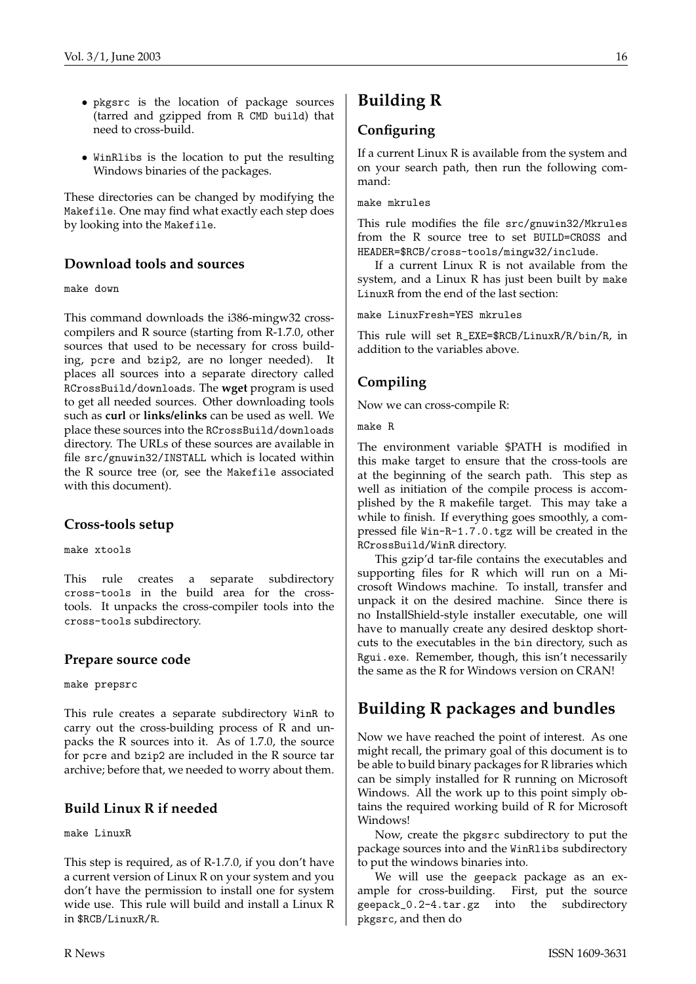- pkgsrc is the location of package sources (tarred and gzipped from R CMD build) that need to cross-build.
- WinRlibs is the location to put the resulting Windows binaries of the packages.

These directories can be changed by modifying the Makefile. One may find what exactly each step does by looking into the Makefile.

#### **Download tools and sources**

make down

This command downloads the i386-mingw32 crosscompilers and R source (starting from R-1.7.0, other sources that used to be necessary for cross building, pcre and bzip2, are no longer needed). It places all sources into a separate directory called RCrossBuild/downloads. The **wget** program is used to get all needed sources. Other downloading tools such as **curl** or **links/elinks** can be used as well. We place these sources into the RCrossBuild/downloads directory. The URLs of these sources are available in file src/gnuwin32/INSTALL which is located within the R source tree (or, see the Makefile associated with this document).

#### **Cross-tools setup**

make xtools

This rule creates a separate subdirectory cross-tools in the build area for the crosstools. It unpacks the cross-compiler tools into the cross-tools subdirectory.

#### **Prepare source code**

make prepsrc

This rule creates a separate subdirectory WinR to carry out the cross-building process of R and unpacks the R sources into it. As of 1.7.0, the source for pcre and bzip2 are included in the R source tar archive; before that, we needed to worry about them.

#### **Build Linux R if needed**

make LinuxR

This step is required, as of R-1.7.0, if you don't have a current version of Linux R on your system and you don't have the permission to install one for system wide use. This rule will build and install a Linux R in \$RCB/LinuxR/R.

# **Building R**

#### **Configuring**

If a current Linux R is available from the system and on your search path, then run the following command:

make mkrules

This rule modifies the file src/gnuwin32/Mkrules from the R source tree to set BUILD=CROSS and HEADER=\$RCB/cross-tools/mingw32/include.

If a current Linux R is not available from the system, and a Linux R has just been built by make LinuxR from the end of the last section:

make LinuxFresh=YES mkrules

This rule will set R\_EXE=\$RCB/LinuxR/R/bin/R, in addition to the variables above.

### **Compiling**

Now we can cross-compile R:

make R

The environment variable \$PATH is modified in this make target to ensure that the cross-tools are at the beginning of the search path. This step as well as initiation of the compile process is accomplished by the R makefile target. This may take a while to finish. If everything goes smoothly, a compressed file Win-R-1.7.0.tgz will be created in the RCrossBuild/WinR directory.

This gzip'd tar-file contains the executables and supporting files for R which will run on a Microsoft Windows machine. To install, transfer and unpack it on the desired machine. Since there is no InstallShield-style installer executable, one will have to manually create any desired desktop shortcuts to the executables in the bin directory, such as Rgui.exe. Remember, though, this isn't necessarily the same as the R for Windows version on CRAN!

# **Building R packages and bundles**

Now we have reached the point of interest. As one might recall, the primary goal of this document is to be able to build binary packages for R libraries which can be simply installed for R running on Microsoft Windows. All the work up to this point simply obtains the required working build of R for Microsoft Windows!

Now, create the pkgsrc subdirectory to put the package sources into and the WinRlibs subdirectory to put the windows binaries into.

We will use the geepack package as an example for cross-building. First, put the source geepack\_0.2-4.tar.gz into the subdirectory pkgsrc, and then do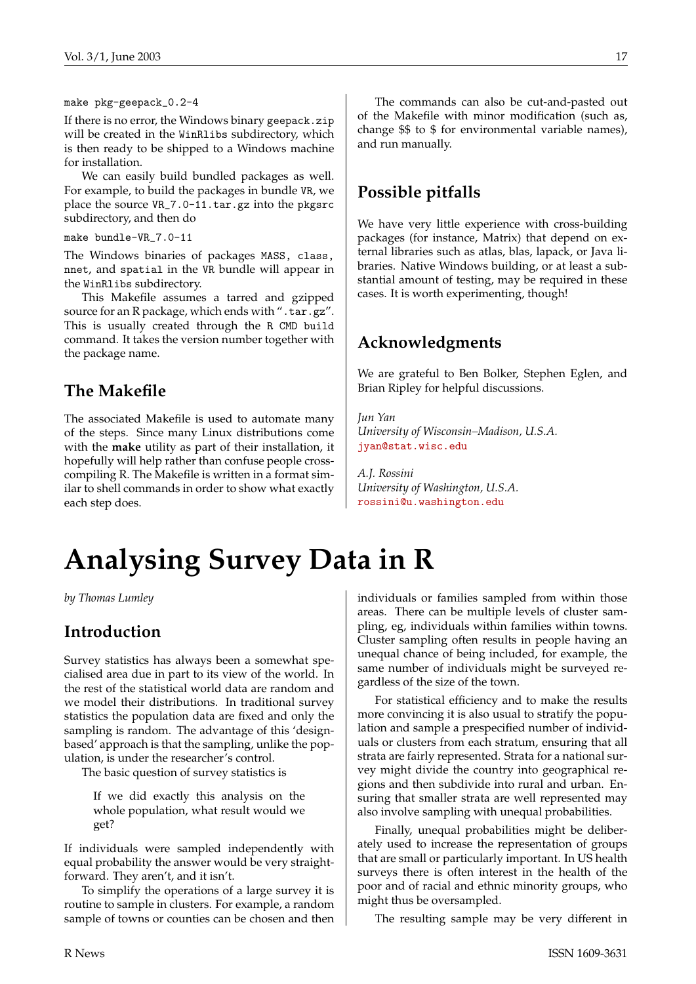#### make pkg-geepack\_0.2-4

If there is no error, the Windows binary geepack.zip will be created in the WinRlibs subdirectory, which is then ready to be shipped to a Windows machine for installation.

We can easily build bundled packages as well. For example, to build the packages in bundle VR, we place the source VR\_7.0-11.tar.gz into the pkgsrc subdirectory, and then do

make bundle-VR\_7.0-11

The Windows binaries of packages MASS, class, nnet, and spatial in the VR bundle will appear in the WinRlibs subdirectory.

This Makefile assumes a tarred and gzipped source for an R package, which ends with ".tar.gz". This is usually created through the R CMD build command. It takes the version number together with the package name.

### **The Makefile**

The associated Makefile is used to automate many of the steps. Since many Linux distributions come with the **make** utility as part of their installation, it hopefully will help rather than confuse people crosscompiling R. The Makefile is written in a format similar to shell commands in order to show what exactly each step does.

The commands can also be cut-and-pasted out of the Makefile with minor modification (such as, change \$\$ to \$ for environmental variable names), and run manually.

# **Possible pitfalls**

We have very little experience with cross-building packages (for instance, Matrix) that depend on external libraries such as atlas, blas, lapack, or Java libraries. Native Windows building, or at least a substantial amount of testing, may be required in these cases. It is worth experimenting, though!

## **Acknowledgments**

We are grateful to Ben Bolker, Stephen Eglen, and Brian Ripley for helpful discussions.

*Jun Yan University of Wisconsin–Madison, U.S.A.* [jyan@stat.wisc.edu](mailto:jyan@stat.wisc.edu)

*A.J. Rossini University of Washington, U.S.A.* [rossini@u.washington.edu](mailto:rossini@u.washington.edu)

# **Analysing Survey Data in R**

<span id="page-16-0"></span>*by Thomas Lumley*

### **Introduction**

Survey statistics has always been a somewhat specialised area due in part to its view of the world. In the rest of the statistical world data are random and we model their distributions. In traditional survey statistics the population data are fixed and only the sampling is random. The advantage of this 'designbased' approach is that the sampling, unlike the population, is under the researcher's control.

The basic question of survey statistics is

If we did exactly this analysis on the whole population, what result would we get?

If individuals were sampled independently with equal probability the answer would be very straightforward. They aren't, and it isn't.

To simplify the operations of a large survey it is routine to sample in clusters. For example, a random sample of towns or counties can be chosen and then individuals or families sampled from within those areas. There can be multiple levels of cluster sampling, eg, individuals within families within towns. Cluster sampling often results in people having an unequal chance of being included, for example, the same number of individuals might be surveyed regardless of the size of the town.

For statistical efficiency and to make the results more convincing it is also usual to stratify the population and sample a prespecified number of individuals or clusters from each stratum, ensuring that all strata are fairly represented. Strata for a national survey might divide the country into geographical regions and then subdivide into rural and urban. Ensuring that smaller strata are well represented may also involve sampling with unequal probabilities.

Finally, unequal probabilities might be deliberately used to increase the representation of groups that are small or particularly important. In US health surveys there is often interest in the health of the poor and of racial and ethnic minority groups, who might thus be oversampled.

The resulting sample may be very different in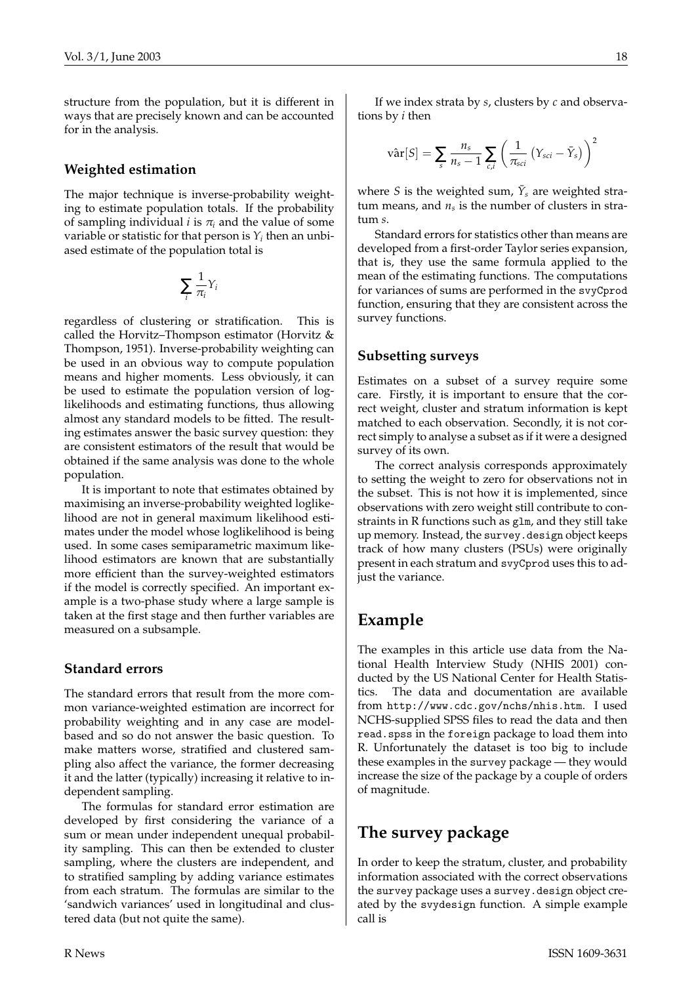structure from the population, but it is different in ways that are precisely known and can be accounted for in the analysis.

#### **Weighted estimation**

The major technique is inverse-probability weighting to estimate population totals. If the probability of sampling individual *i* is  $\pi$ <sub>*i*</sub> and the value of some variable or statistic for that person is  $Y_i$  then an unbiased estimate of the population total is

$$
\sum_i \frac{1}{\pi_i} Y_i
$$

regardless of clustering or stratification. This is called the Horvitz–Thompson estimator (Horvitz & Thompson, 1951). Inverse-probability weighting can be used in an obvious way to compute population means and higher moments. Less obviously, it can be used to estimate the population version of loglikelihoods and estimating functions, thus allowing almost any standard models to be fitted. The resulting estimates answer the basic survey question: they are consistent estimators of the result that would be obtained if the same analysis was done to the whole population.

It is important to note that estimates obtained by maximising an inverse-probability weighted loglikelihood are not in general maximum likelihood estimates under the model whose loglikelihood is being used. In some cases semiparametric maximum likelihood estimators are known that are substantially more efficient than the survey-weighted estimators if the model is correctly specified. An important example is a two-phase study where a large sample is taken at the first stage and then further variables are measured on a subsample.

#### **Standard errors**

The standard errors that result from the more common variance-weighted estimation are incorrect for probability weighting and in any case are modelbased and so do not answer the basic question. To make matters worse, stratified and clustered sampling also affect the variance, the former decreasing it and the latter (typically) increasing it relative to independent sampling.

The formulas for standard error estimation are developed by first considering the variance of a sum or mean under independent unequal probability sampling. This can then be extended to cluster sampling, where the clusters are independent, and to stratified sampling by adding variance estimates from each stratum. The formulas are similar to the 'sandwich variances' used in longitudinal and clustered data (but not quite the same).

If we index strata by *s*, clusters by *c* and observations by *i* then

$$
\text{var}[S] = \sum_{s} \frac{n_s}{n_s - 1} \sum_{c,i} \left( \frac{1}{\pi_{\text{sci}}}\left(Y_{\text{sci}} - \bar{Y}_s\right) \right)^2
$$

where *S* is the weighted sum,  $\bar{Y}_s$  are weighted stra $tum$  means, and  $n<sub>s</sub>$  is the number of clusters in stratum *s*.

Standard errors for statistics other than means are developed from a first-order Taylor series expansion, that is, they use the same formula applied to the mean of the estimating functions. The computations for variances of sums are performed in the svyCprod function, ensuring that they are consistent across the survey functions.

#### **Subsetting surveys**

Estimates on a subset of a survey require some care. Firstly, it is important to ensure that the correct weight, cluster and stratum information is kept matched to each observation. Secondly, it is not correct simply to analyse a subset as if it were a designed survey of its own.

The correct analysis corresponds approximately to setting the weight to zero for observations not in the subset. This is not how it is implemented, since observations with zero weight still contribute to constraints in R functions such as glm, and they still take up memory. Instead, the survey.design object keeps track of how many clusters (PSUs) were originally present in each stratum and svyCprod uses this to adjust the variance.

## **Example**

The examples in this article use data from the National Health Interview Study (NHIS 2001) conducted by the US National Center for Health Statistics. The data and documentation are available from http://www.cdc.gov/nchs/nhis.htm. I used NCHS-supplied SPSS files to read the data and then read.spss in the foreign package to load them into R. Unfortunately the dataset is too big to include these examples in the survey package — they would increase the size of the package by a couple of orders of magnitude.

## **The survey package**

In order to keep the stratum, cluster, and probability information associated with the correct observations the survey package uses a survey.design object created by the svydesign function. A simple example call is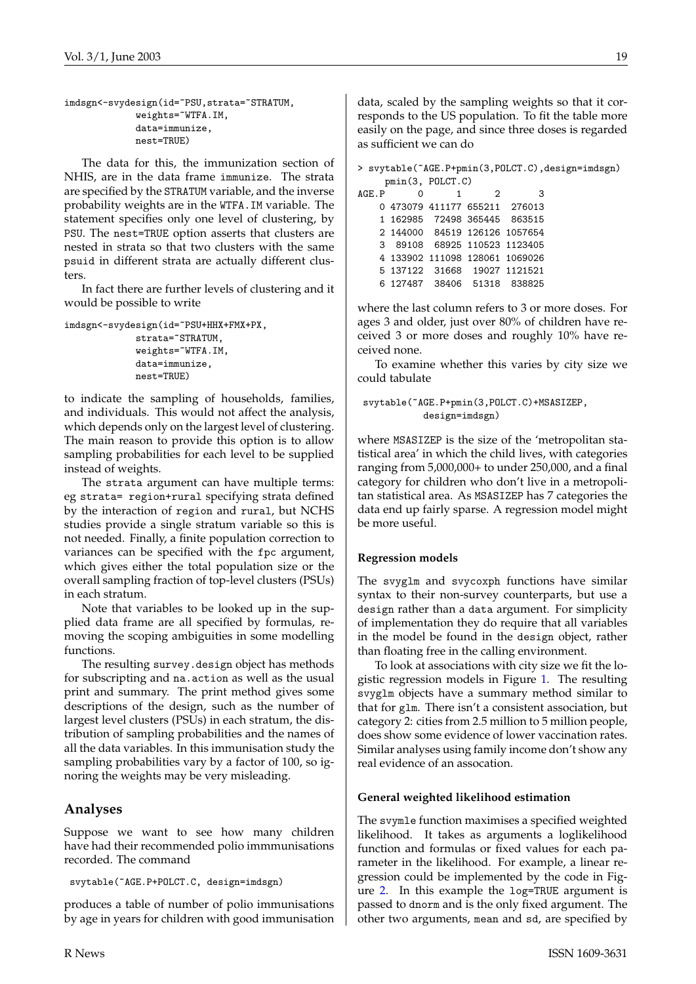```
imdsgn<-svydesign(id=~PSU,strata=~STRATUM,
             weights=~WTFA.IM,
             data=immunize,
             nest=TRUE)
```
The data for this, the immunization section of NHIS, are in the data frame immunize. The strata are specified by the STRATUM variable, and the inverse probability weights are in the WTFA.IM variable. The statement specifies only one level of clustering, by PSU. The nest=TRUE option asserts that clusters are nested in strata so that two clusters with the same psuid in different strata are actually different clusters.

In fact there are further levels of clustering and it would be possible to write

```
imdsgn<-svydesign(id=~PSU+HHX+FMX+PX,
             strata=~STRATUM,
             weights=~WTFA.IM,
             data=immunize,
             nest=TRUE)
```
to indicate the sampling of households, families, and individuals. This would not affect the analysis, which depends only on the largest level of clustering. The main reason to provide this option is to allow sampling probabilities for each level to be supplied instead of weights.

The strata argument can have multiple terms: eg strata= region+rural specifying strata defined by the interaction of region and rural, but NCHS studies provide a single stratum variable so this is not needed. Finally, a finite population correction to variances can be specified with the fpc argument, which gives either the total population size or the overall sampling fraction of top-level clusters (PSUs) in each stratum.

Note that variables to be looked up in the supplied data frame are all specified by formulas, removing the scoping ambiguities in some modelling functions.

The resulting survey.design object has methods for subscripting and na.action as well as the usual print and summary. The print method gives some descriptions of the design, such as the number of largest level clusters (PSUs) in each stratum, the distribution of sampling probabilities and the names of all the data variables. In this immunisation study the sampling probabilities vary by a factor of 100, so ignoring the weights may be very misleading.

#### **Analyses**

Suppose we want to see how many children have had their recommended polio immmunisations recorded. The command

svytable(~AGE.P+POLCT.C, design=imdsgn)

produces a table of number of polio immunisations by age in years for children with good immunisation data, scaled by the sampling weights so that it corresponds to the US population. To fit the table more easily on the page, and since three doses is regarded as sufficient we can do

```
> svytable(~AGE.P+pmin(3,POLCT.C),design=imdsgn)
    pmin(3, POLCT.C)
AGE.P 0 1 2 3
   0 473079 411177 655211 276013
   1 162985 72498 365445 863515
   2 144000 84519 126126 1057654
   3 89108 68925 110523 1123405
   4 133902 111098 128061 1069026
   5 137122 31668 19027 1121521
   6 127487 38406 51318 838825
```
where the last column refers to 3 or more doses. For ages 3 and older, just over 80% of children have received 3 or more doses and roughly 10% have received none.

To examine whether this varies by city size we could tabulate

```
svytable(~AGE.P+pmin(3,POLCT.C)+MSASIZEP,
           design=imdsgn)
```
where MSASIZEP is the size of the 'metropolitan statistical area' in which the child lives, with categories ranging from 5,000,000+ to under 250,000, and a final category for children who don't live in a metropolitan statistical area. As MSASIZEP has 7 categories the data end up fairly sparse. A regression model might be more useful.

#### **Regression models**

The svyglm and svycoxph functions have similar syntax to their non-survey counterparts, but use a design rather than a data argument. For simplicity of implementation they do require that all variables in the model be found in the design object, rather than floating free in the calling environment.

To look at associations with city size we fit the logistic regression models in Figure [1.](#page-19-0) The resulting svyglm objects have a summary method similar to that for glm. There isn't a consistent association, but category 2: cities from 2.5 million to 5 million people, does show some evidence of lower vaccination rates. Similar analyses using family income don't show any real evidence of an assocation.

#### **General weighted likelihood estimation**

The svymle function maximises a specified weighted likelihood. It takes as arguments a loglikelihood function and formulas or fixed values for each parameter in the likelihood. For example, a linear regression could be implemented by the code in Figure [2.](#page-19-1) In this example the log=TRUE argument is passed to dnorm and is the only fixed argument. The other two arguments, mean and sd, are specified by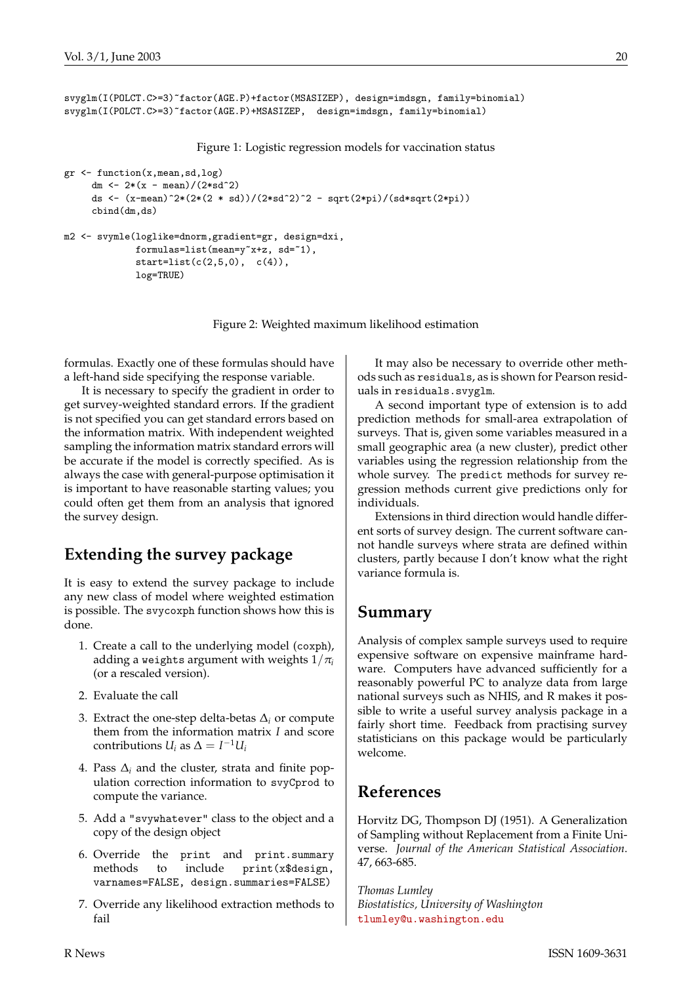```
svyglm(I(POLCT.C>=3)~factor(AGE.P)+factor(MSASIZEP), design=imdsgn, family=binomial)
svyglm(I(POLCT.C>=3)~factor(AGE.P)+MSASIZEP, design=imdsgn, family=binomial)
```
<span id="page-19-0"></span>Figure 1: Logistic regression models for vaccination status

```
gr <- function(x,mean,sd,log)
     dm \leftarrow 2*(x - mean)/(2*sd^2)
     ds <- (x-mean)^2*(2*(2 * sd))/(2*sd^2)^2 - sqrt(2*pi)/(sd*sqrt(2*pi))
     cbind(dm,ds)
m2 <- svymle(loglike=dnorm,gradient=gr, design=dxi,
             formulas=list(mean=y~x+z, sd=~1),
             start=list(c(2,5,0), c(4)),log=TRUE)
```
<span id="page-19-1"></span>Figure 2: Weighted maximum likelihood estimation

formulas. Exactly one of these formulas should have a left-hand side specifying the response variable.

It is necessary to specify the gradient in order to get survey-weighted standard errors. If the gradient is not specified you can get standard errors based on the information matrix. With independent weighted sampling the information matrix standard errors will be accurate if the model is correctly specified. As is always the case with general-purpose optimisation it is important to have reasonable starting values; you could often get them from an analysis that ignored the survey design.

## **Extending the survey package**

It is easy to extend the survey package to include any new class of model where weighted estimation is possible. The svycoxph function shows how this is done.

- 1. Create a call to the underlying model (coxph), adding a weights argument with weights  $1/\pi$ <sup>*i*</sup> (or a rescaled version).
- 2. Evaluate the call
- 3. Extract the one-step delta-betas  $\Delta_i$  or compute them from the information matrix *I* and score contributions  $U_i$  as  $\Delta = I^{-1}U_i$
- 4. Pass ∆*<sup>i</sup>* and the cluster, strata and finite population correction information to svyCprod to compute the variance.
- 5. Add a "svywhatever" class to the object and a copy of the design object
- 6. Override the print and print.summary methods to include print(x\$design, varnames=FALSE, design.summaries=FALSE)
- 7. Override any likelihood extraction methods to fail

It may also be necessary to override other methods such as residuals, as is shown for Pearson residuals in residuals.svyglm.

A second important type of extension is to add prediction methods for small-area extrapolation of surveys. That is, given some variables measured in a small geographic area (a new cluster), predict other variables using the regression relationship from the whole survey. The predict methods for survey regression methods current give predictions only for individuals.

Extensions in third direction would handle different sorts of survey design. The current software cannot handle surveys where strata are defined within clusters, partly because I don't know what the right variance formula is.

### **Summary**

Analysis of complex sample surveys used to require expensive software on expensive mainframe hardware. Computers have advanced sufficiently for a reasonably powerful PC to analyze data from large national surveys such as NHIS, and R makes it possible to write a useful survey analysis package in a fairly short time. Feedback from practising survey statisticians on this package would be particularly welcome.

## **References**

Horvitz DG, Thompson DJ (1951). A Generalization of Sampling without Replacement from a Finite Universe. *Journal of the American Statistical Association*. 47, 663-685.

*Thomas Lumley Biostatistics, University of Washington* [tlumley@u.washington.edu](mailto:tlumley@u.washington.edu)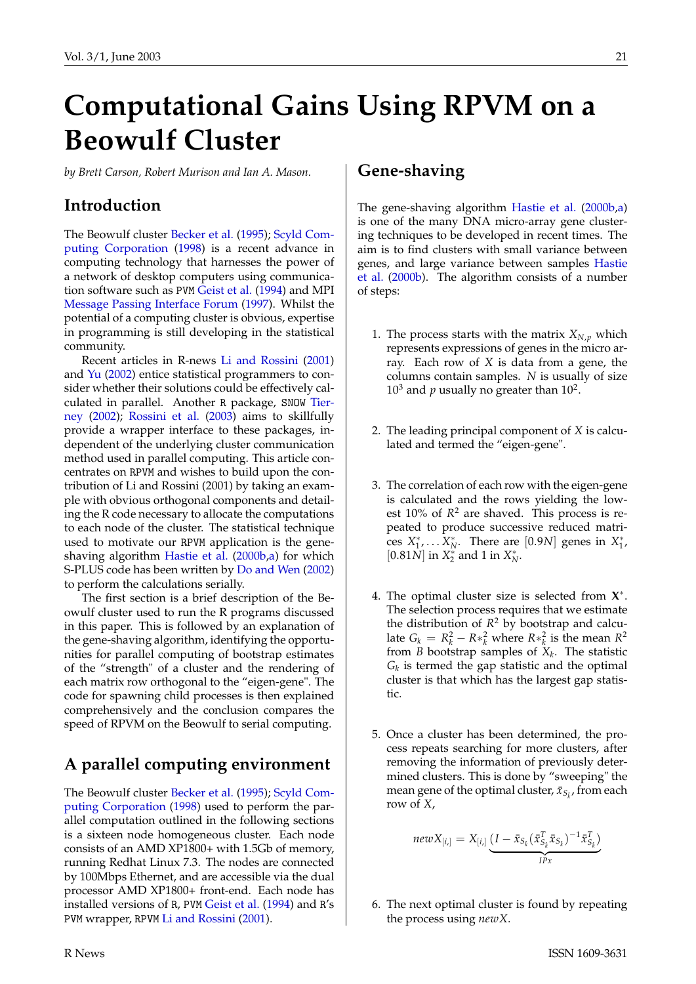# <span id="page-20-3"></span>**Computational Gains Using RPVM on a Beowulf Cluster**

<span id="page-20-0"></span>*by Brett Carson, Robert Murison and Ian A. Mason.*

### **Introduction**

The Beowulf cluster [Becker et al.](#page-24-0) [\(1995\)](#page-24-0); [Scyld Com](#page-25-1)[puting Corporation](#page-25-1) [\(1998\)](#page-25-1) is a recent advance in computing technology that harnesses the power of a network of desktop computers using communication software such as PVM [Geist et al.](#page-24-1) [\(1994\)](#page-24-1) and MPI [Message Passing Interface Forum](#page-25-2) [\(1997\)](#page-25-2). Whilst the potential of a computing cluster is obvious, expertise in programming is still developing in the statistical community.

Recent articles in R-news [Li and Rossini](#page-25-3) [\(2001\)](#page-25-3) and [Yu](#page-25-4) [\(2002\)](#page-25-4) entice statistical programmers to consider whether their solutions could be effectively calculated in parallel. Another R package, SNOW [Tier](#page-25-5)[ney](#page-25-5) [\(2002\)](#page-25-5); [Rossini et al.](#page-25-6) [\(2003\)](#page-25-6) aims to skillfully provide a wrapper interface to these packages, independent of the underlying cluster communication method used in parallel computing. This article concentrates on RPVM and wishes to build upon the contribution of Li and Rossini (2001) by taking an example with obvious orthogonal components and detailing the R code necessary to allocate the computations to each node of the cluster. The statistical technique used to motivate our RPVM application is the geneshaving algorithm [Hastie et al.](#page-25-7) [\(2000b,](#page-25-7)[a\)](#page-24-2) for which S-PLUS code has been written by [Do and Wen](#page-24-3) [\(2002\)](#page-24-3) to perform the calculations serially.

The first section is a brief description of the Beowulf cluster used to run the R programs discussed in this paper. This is followed by an explanation of the gene-shaving algorithm, identifying the opportunities for parallel computing of bootstrap estimates of the "strength" of a cluster and the rendering of each matrix row orthogonal to the "eigen-gene". The code for spawning child processes is then explained comprehensively and the conclusion compares the speed of RPVM on the Beowulf to serial computing.

# **A parallel computing environment**

The Beowulf cluster [Becker et al.](#page-24-0) [\(1995\)](#page-24-0); [Scyld Com](#page-25-1)[puting Corporation](#page-25-1) [\(1998\)](#page-25-1) used to perform the parallel computation outlined in the following sections is a sixteen node homogeneous cluster. Each node consists of an AMD XP1800+ with 1.5Gb of memory, running Redhat Linux 7.3. The nodes are connected by 100Mbps Ethernet, and are accessible via the dual processor AMD XP1800+ front-end. Each node has installed versions of R, PVM [Geist et al.](#page-24-1) [\(1994\)](#page-24-1) and R's PVM wrapper, RPVM [Li and Rossini](#page-25-3) [\(2001\)](#page-25-3).

### **Gene-shaving**

The gene-shaving algorithm [Hastie et al.](#page-25-7) [\(2000b,](#page-25-7)[a\)](#page-24-2) is one of the many DNA micro-array gene clustering techniques to be developed in recent times. The aim is to find clusters with small variance between genes, and large variance between samples [Hastie](#page-25-7) [et al.](#page-25-7) [\(2000b\)](#page-25-7). The algorithm consists of a number of steps:

- 1. The process starts with the matrix  $X_{N,p}$  which represents expressions of genes in the micro array. Each row of *X* is data from a gene, the columns contain samples. *N* is usually of size  $10<sup>3</sup>$  and *p* usually no greater than  $10<sup>2</sup>$ .
- 2. The leading principal component of *X* is calculated and termed the "eigen-gene".
- 3. The correlation of each row with the eigen-gene is calculated and the rows yielding the lowest  $10\%$  of  $R^2$  are shaved. This process is repeated to produce successive reduced matrices  $X_1^*, \ldots X_N^*$ . There are [0.9*N*] genes in  $X_1^*$ , [0.81*N*] in  $X_2^*$  and 1 in  $X_N^*$ .
- <span id="page-20-1"></span>4. The optimal cluster size is selected from **X** ∗ . The selection process requires that we estimate the distribution of  $R^2$  by bootstrap and calculate  $G_k = R_k^2 - R *_{\tilde{k}}^2$  where  $R *_{\tilde{k}}^2$  is the mean  $R^2$ from *B* bootstrap samples of *X<sup>k</sup>* . The statistic *Gk* is termed the gap statistic and the optimal cluster is that which has the largest gap statistic.
- <span id="page-20-2"></span>5. Once a cluster has been determined, the process repeats searching for more clusters, after removing the information of previously determined clusters. This is done by "sweeping" the mean gene of the optimal cluster,  $\bar{x}_{S_{\hat{k}}},$  from each row of *X*,

$$
newX_{[i,j]} = X_{[i,j]} \underbrace{(I - \bar{x}_{S_k}(\bar{x}_{S_k}^T \bar{x}_{S_k})^{-1} \bar{x}_{S_k}^T)}_{IPx}
$$

6. The next optimal cluster is found by repeating the process using *newX*.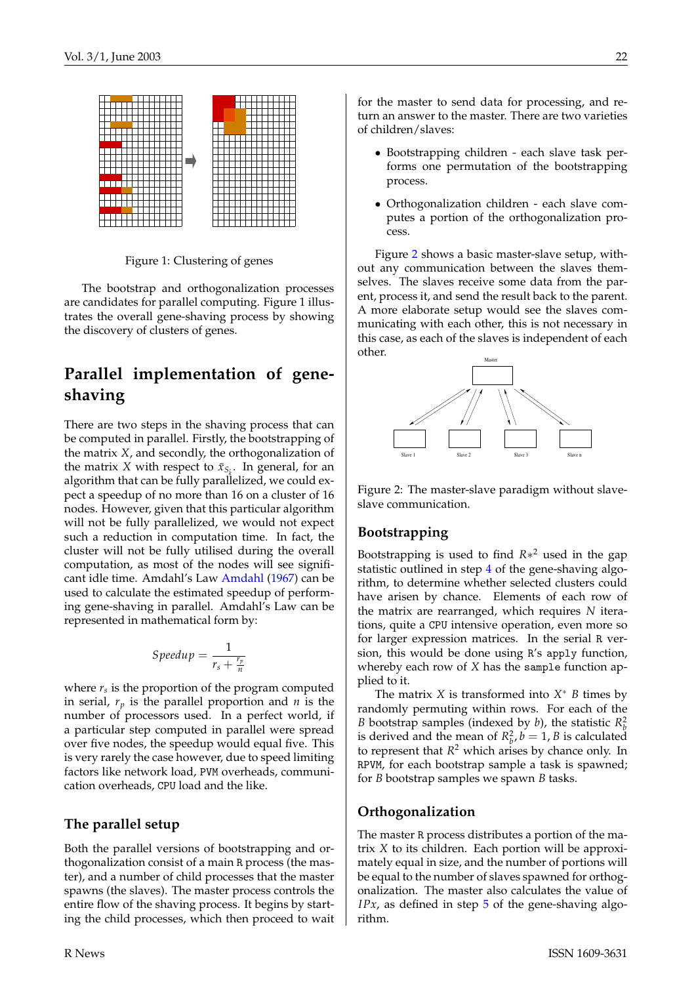<span id="page-21-1"></span>

Figure 1: Clustering of genes

The bootstrap and orthogonalization processes are candidates for parallel computing. Figure 1 illustrates the overall gene-shaving process by showing the discovery of clusters of genes.

## **Parallel implementation of geneshaving**

There are two steps in the shaving process that can be computed in parallel. Firstly, the bootstrapping of the matrix *X*, and secondly, the orthogonalization of the matrix *X* with respect to  $\bar{x}_{S_k}$ . In general, for an algorithm that can be fully parallelized, we could expect a speedup of no more than 16 on a cluster of 16 nodes. However, given that this particular algorithm will not be fully parallelized, we would not expect such a reduction in computation time. In fact, the cluster will not be fully utilised during the overall computation, as most of the nodes will see significant idle time. Amdahl's Law [Amdahl](#page-24-4) [\(1967\)](#page-24-4) can be used to calculate the estimated speedup of performing gene-shaving in parallel. Amdahl's Law can be represented in mathematical form by:

$$
Speedup = \frac{1}{r_s + \frac{r_p}{n}}
$$

where *r<sup>s</sup>* is the proportion of the program computed in serial,  $r_p$  is the parallel proportion and  $n$  is the number of processors used. In a perfect world, if a particular step computed in parallel were spread over five nodes, the speedup would equal five. This is very rarely the case however, due to speed limiting factors like network load, PVM overheads, communication overheads, CPU load and the like.

#### **The parallel setup**

Both the parallel versions of bootstrapping and orthogonalization consist of a main R process (the master), and a number of child processes that the master spawns (the slaves). The master process controls the entire flow of the shaving process. It begins by starting the child processes, which then proceed to wait for the master to send data for processing, and return an answer to the master. There are two varieties of children/slaves:

- Bootstrapping children each slave task performs one permutation of the bootstrapping process.
- Orthogonalization children each slave computes a portion of the orthogonalization process.

Figure [2](#page-21-0) shows a basic master-slave setup, without any communication between the slaves themselves. The slaves receive some data from the parent, process it, and send the result back to the parent. A more elaborate setup would see the slaves communicating with each other, this is not necessary in this case, as each of the slaves is independent of each other.



<span id="page-21-0"></span>Figure 2: The master-slave paradigm without slaveslave communication.

#### **Bootstrapping**

Bootstrapping is used to find *R*∗ <sup>2</sup> used in the gap statistic outlined in step [4](#page-20-1) of the gene-shaving algorithm, to determine whether selected clusters could have arisen by chance. Elements of each row of the matrix are rearranged, which requires *N* iterations, quite a CPU intensive operation, even more so for larger expression matrices. In the serial R version, this would be done using R's apply function, whereby each row of *X* has the sample function applied to it.

The matrix  $X$  is transformed into  $X^*$   $B$  times by randomly permuting within rows. For each of the *B* bootstrap samples (indexed by *b*), the statistic  $R_k^2$ is derived and the mean of  $R_b^2$ ,  $b = 1$ , *B* is calculated to represent that *R* <sup>2</sup> which arises by chance only. In RPVM, for each bootstrap sample a task is spawned; for *B* bootstrap samples we spawn *B* tasks.

#### **Orthogonalization**

The master R process distributes a portion of the matrix *X* to its children. Each portion will be approximately equal in size, and the number of portions will be equal to the number of slaves spawned for orthogonalization. The master also calculates the value of *IPx*, as defined in step [5](#page-20-2) of the gene-shaving algorithm.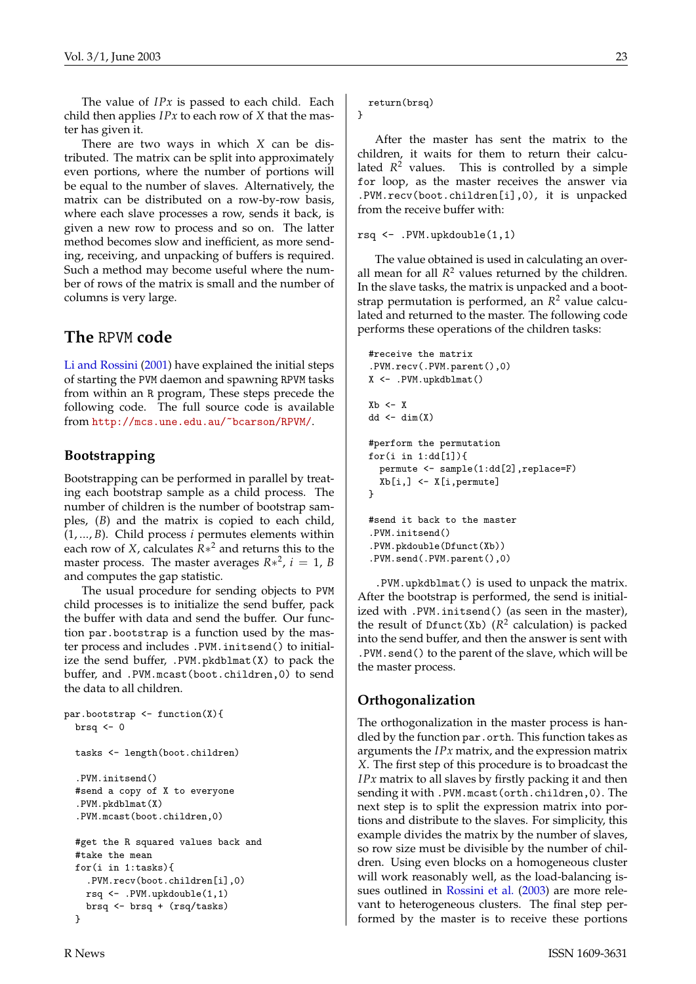<span id="page-22-0"></span>The value of *IPx* is passed to each child. Each child then applies *IPx* to each row of *X* that the master has given it.

There are two ways in which *X* can be distributed. The matrix can be split into approximately even portions, where the number of portions will be equal to the number of slaves. Alternatively, the matrix can be distributed on a row-by-row basis, where each slave processes a row, sends it back, is given a new row to process and so on. The latter method becomes slow and inefficient, as more sending, receiving, and unpacking of buffers is required. Such a method may become useful where the number of rows of the matrix is small and the number of columns is very large.

#### **The** RPVM **code**

[Li and Rossini](#page-25-3) [\(2001\)](#page-25-3) have explained the initial steps of starting the PVM daemon and spawning RPVM tasks from within an R program, These steps precede the following code. The full source code is available from <http://mcs.une.edu.au/~bcarson/RPVM/>.

#### **Bootstrapping**

Bootstrapping can be performed in parallel by treating each bootstrap sample as a child process. The number of children is the number of bootstrap samples, (*B*) and the matrix is copied to each child, (1, ..., *B*). Child process *i* permutes elements within each row of *X*, calculates *R*∗ <sup>2</sup> and returns this to the master process. The master averages  $R*^2$ ,  $i = 1$ , *B* and computes the gap statistic.

The usual procedure for sending objects to PVM child processes is to initialize the send buffer, pack the buffer with data and send the buffer. Our function par.bootstrap is a function used by the master process and includes .PVM.initsend() to initialize the send buffer,  $.PVM.pkdblmat(X)$  to pack the buffer, and .PVM.mcast(boot.children,0) to send the data to all children.

```
par.bootstrap <- function(X){
  brsq <-0tasks <- length(boot.children)
  .PVM.initsend()
  #send a copy of X to everyone
  .PVM.pkdblmat(X)
  .PVM.mcast(boot.children,0)
  #get the R squared values back and
  #take the mean
  for(i in 1:tasks){
    .PVM.recv(boot.children[i],0)
   rsq <- .PVM.upkdouble(1,1)
    brsq <- brsq + (rsq/tasks)
  }
```
return(brsq) }

After the master has sent the matrix to the children, it waits for them to return their calculated *R* <sup>2</sup> values. This is controlled by a simple for loop, as the master receives the answer via .PVM.recv(boot.children[i],0), it is unpacked from the receive buffer with:

rsq <- .PVM.upkdouble(1,1)

The value obtained is used in calculating an overall mean for all  $R<sup>2</sup>$  values returned by the children. In the slave tasks, the matrix is unpacked and a bootstrap permutation is performed, an *R* <sup>2</sup> value calculated and returned to the master. The following code performs these operations of the children tasks:

```
#receive the matrix
.PVM.recv(.PVM.parent(),0)
X <- .PVM.upkdblmat()
X<sub>b</sub> < -Xdd \leftarrow dim(X)#perform the permutation
for(i in 1:d d[1]){
  permute <- sample(1:dd[2],replace=F)
  Xb[i,] <- X[i,permute]
}
#send it back to the master
.PVM.initsend()
.PVM.pkdouble(Dfunct(Xb))
.PVM.send(.PVM.parent(),0)
```
.PVM.upkdblmat() is used to unpack the matrix. After the bootstrap is performed, the send is initialized with .PVM.initsend() (as seen in the master), the result of Dfunct(Xb)  $(R^2$  calculation) is packed into the send buffer, and then the answer is sent with .PVM.send() to the parent of the slave, which will be the master process.

#### **Orthogonalization**

The orthogonalization in the master process is handled by the function par.orth. This function takes as arguments the *IPx* matrix, and the expression matrix *X*. The first step of this procedure is to broadcast the *IPx* matrix to all slaves by firstly packing it and then sending it with .PVM.mcast(orth.children,0). The next step is to split the expression matrix into portions and distribute to the slaves. For simplicity, this example divides the matrix by the number of slaves, so row size must be divisible by the number of children. Using even blocks on a homogeneous cluster will work reasonably well, as the load-balancing issues outlined in [Rossini et al.](#page-25-6) [\(2003\)](#page-25-6) are more relevant to heterogeneous clusters. The final step performed by the master is to receive these portions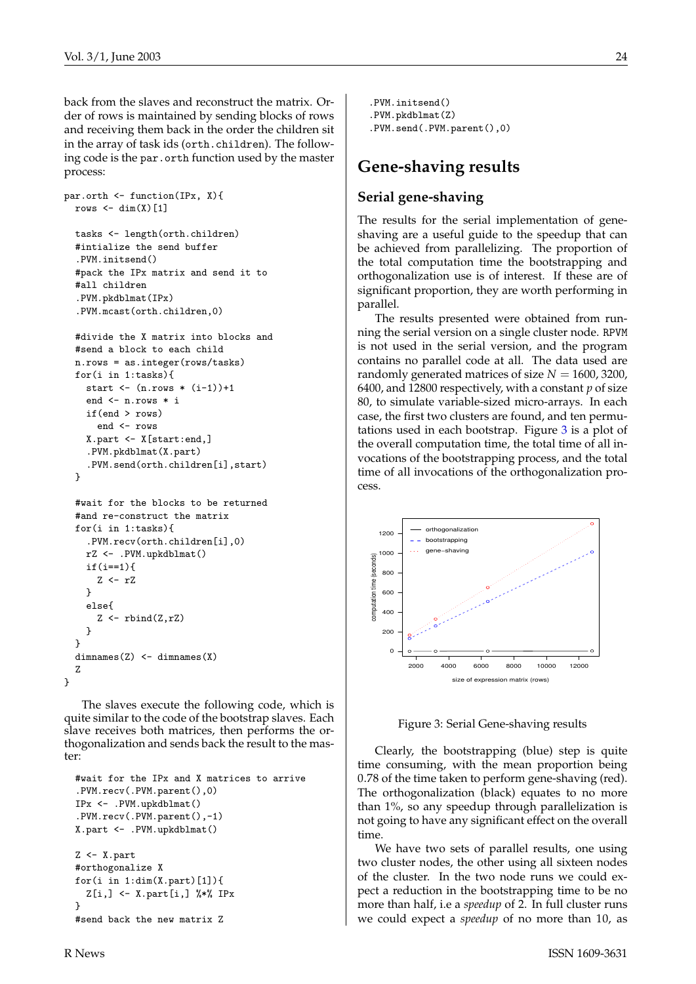back from the slaves and reconstruct the matrix. Order of rows is maintained by sending blocks of rows and receiving them back in the order the children sit in the array of task ids (orth.children). The following code is the par.orth function used by the master process:

```
par.orth <- function(IPx, X){
  rows \leftarrow dim(X)[1]
  tasks <- length(orth.children)
  #intialize the send buffer
  .PVM.initsend()
  #pack the IPx matrix and send it to
  #all children
  .PVM.pkdblmat(IPx)
  .PVM.mcast(orth.children,0)
  #divide the X matrix into blocks and
  #send a block to each child
  n.rows = as.integer(rows/tasks)
  for(i in 1:tasks){
    start \leftarrow (n.rows \ast (i-1))+1
    end <- n.rows * i
    if(end > rows)
      end <- rows
    X.part <- X[start:end,]
```

```
.PVM.pkdblmat(X.part)
  .PVM.send(orth.children[i],start)
}
```

```
#wait for the blocks to be returned
  #and re-construct the matrix
  for(i in 1:tasks){
    .PVM.recv(orth.children[i],0)
    rZ <- .PVM.upkdblmat()
    if(i==1){
      Z \leftarrow rZ}
    else{
      Z \leftarrow rbind(Z, rZ)}
  }
  dimnames(Z) <- dimnames(X)Z
}
```
The slaves execute the following code, which is quite similar to the code of the bootstrap slaves. Each slave receives both matrices, then performs the orthogonalization and sends back the result to the master:

```
#wait for the IPx and X matrices to arrive
.PVM.recv(.PVM.parent(),0)
IPx <- .PVM.upkdblmat()
.PVM.recv(.PVM.parent(),-1)
X.part <- .PVM.upkdblmat()
Z <- X.part
#orthogonalize X
for(i in 1:dim(X.path)[1]){
 Z[i,] <- X.part[i,] %*% IPx
}
#send back the new matrix Z
```
.PVM.initsend() .PVM.pkdblmat(Z) .PVM.send(.PVM.parent(),0)

## **Gene-shaving results**

#### **Serial gene-shaving**

The results for the serial implementation of geneshaving are a useful guide to the speedup that can be achieved from parallelizing. The proportion of the total computation time the bootstrapping and orthogonalization use is of interest. If these are of significant proportion, they are worth performing in parallel.

The results presented were obtained from running the serial version on a single cluster node. RPVM is not used in the serial version, and the program contains no parallel code at all. The data used are randomly generated matrices of size  $N = 1600$ , 3200, 6400, and 12800 respectively, with a constant *p* of size 80, to simulate variable-sized micro-arrays. In each case, the first two clusters are found, and ten permutations used in each bootstrap. Figure [3](#page-23-0) is a plot of the overall computation time, the total time of all invocations of the bootstrapping process, and the total time of all invocations of the orthogonalization process.



<span id="page-23-0"></span>Figure 3: Serial Gene-shaving results

Clearly, the bootstrapping (blue) step is quite time consuming, with the mean proportion being 0.78 of the time taken to perform gene-shaving (red). The orthogonalization (black) equates to no more than 1%, so any speedup through parallelization is not going to have any significant effect on the overall time.

We have two sets of parallel results, one using two cluster nodes, the other using all sixteen nodes of the cluster. In the two node runs we could expect a reduction in the bootstrapping time to be no more than half, i.e a *speedup* of 2. In full cluster runs we could expect a *speedup* of no more than 10, as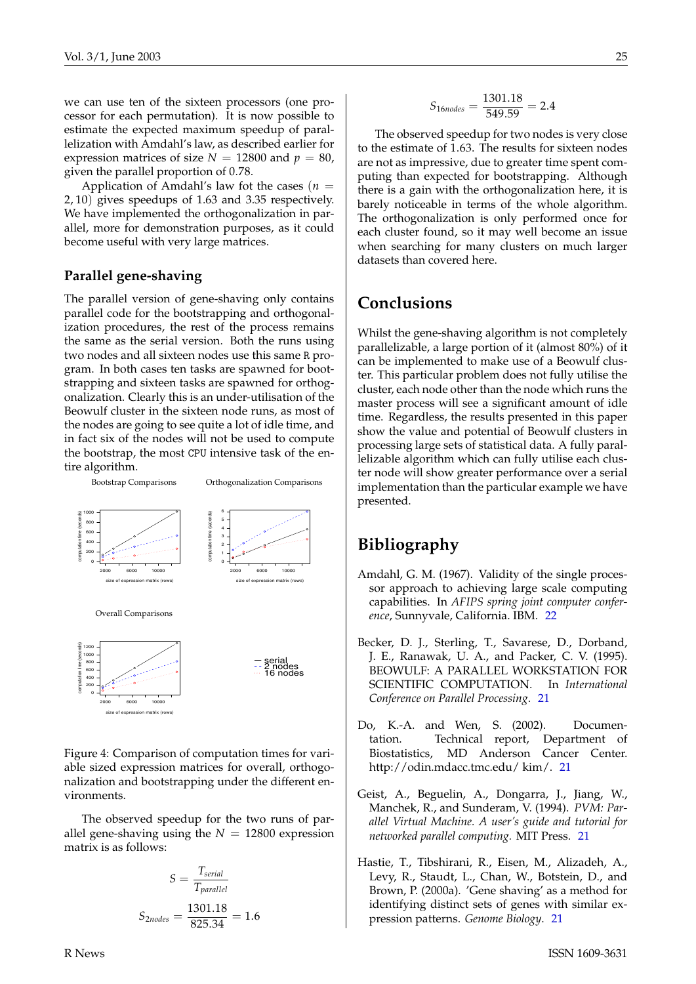we can use ten of the sixteen processors (one processor for each permutation). It is now possible to estimate the expected maximum speedup of parallelization with Amdahl's law, as described earlier for expression matrices of size  $N = 12800$  and  $p = 80$ , given the parallel proportion of 0.78.

Application of Amdahl's law fot the cases  $(n =$ 2, 10) gives speedups of 1.63 and 3.35 respectively. We have implemented the orthogonalization in parallel, more for demonstration purposes, as it could become useful with very large matrices.

#### **Parallel gene-shaving**

The parallel version of gene-shaving only contains parallel code for the bootstrapping and orthogonalization procedures, the rest of the process remains the same as the serial version. Both the runs using two nodes and all sixteen nodes use this same R program. In both cases ten tasks are spawned for bootstrapping and sixteen tasks are spawned for orthogonalization. Clearly this is an under-utilisation of the Beowulf cluster in the sixteen node runs, as most of the nodes are going to see quite a lot of idle time, and in fact six of the nodes will not be used to compute the bootstrap, the most CPU intensive task of the entire algorithm.



Figure 4: Comparison of computation times for variable sized expression matrices for overall, orthogonalization and bootstrapping under the different environments.

The observed speedup for the two runs of parallel gene-shaving using the  $N = 12800$  expression matrix is as follows:

$$
S = \frac{T_{serial}}{T_{parallel}}
$$

$$
S_{2nodes} = \frac{1301.18}{825.34} = 1.6
$$

$$
S_{16nodes} = \frac{1301.18}{549.59} = 2.4
$$

The observed speedup for two nodes is very close to the estimate of 1.63. The results for sixteen nodes are not as impressive, due to greater time spent computing than expected for bootstrapping. Although there is a gain with the orthogonalization here, it is barely noticeable in terms of the whole algorithm. The orthogonalization is only performed once for each cluster found, so it may well become an issue when searching for many clusters on much larger datasets than covered here.

### **Conclusions**

Whilst the gene-shaving algorithm is not completely parallelizable, a large portion of it (almost 80%) of it can be implemented to make use of a Beowulf cluster. This particular problem does not fully utilise the cluster, each node other than the node which runs the master process will see a significant amount of idle time. Regardless, the results presented in this paper show the value and potential of Beowulf clusters in processing large sets of statistical data. A fully parallelizable algorithm which can fully utilise each cluster node will show greater performance over a serial implementation than the particular example we have presented.

### **Bibliography**

- <span id="page-24-4"></span>Amdahl, G. M. (1967). Validity of the single processor approach to achieving large scale computing capabilities. In *AFIPS spring joint computer conference*, Sunnyvale, California. IBM. [22](#page-21-1)
- <span id="page-24-0"></span>Becker, D. J., Sterling, T., Savarese, D., Dorband, J. E., Ranawak, U. A., and Packer, C. V. (1995). BEOWULF: A PARALLEL WORKSTATION FOR SCIENTIFIC COMPUTATION. In *International Conference on Parallel Processing*. [21](#page-20-3)
- <span id="page-24-3"></span>Do, K.-A. and Wen, S. (2002). Documentation. Technical report, Department of Biostatistics, MD Anderson Cancer Center. http://odin.mdacc.tmc.edu/ kim/. [21](#page-20-3)
- <span id="page-24-1"></span>Geist, A., Beguelin, A., Dongarra, J., Jiang, W., Manchek, R., and Sunderam, V. (1994). *PVM: Parallel Virtual Machine. A user's guide and tutorial for networked parallel computing.* MIT Press. [21](#page-20-3)
- <span id="page-24-2"></span>Hastie, T., Tibshirani, R., Eisen, M., Alizadeh, A., Levy, R., Staudt, L., Chan, W., Botstein, D., and Brown, P. (2000a). 'Gene shaving' as a method for identifying distinct sets of genes with similar expression patterns. *Genome Biology*. [21](#page-20-3)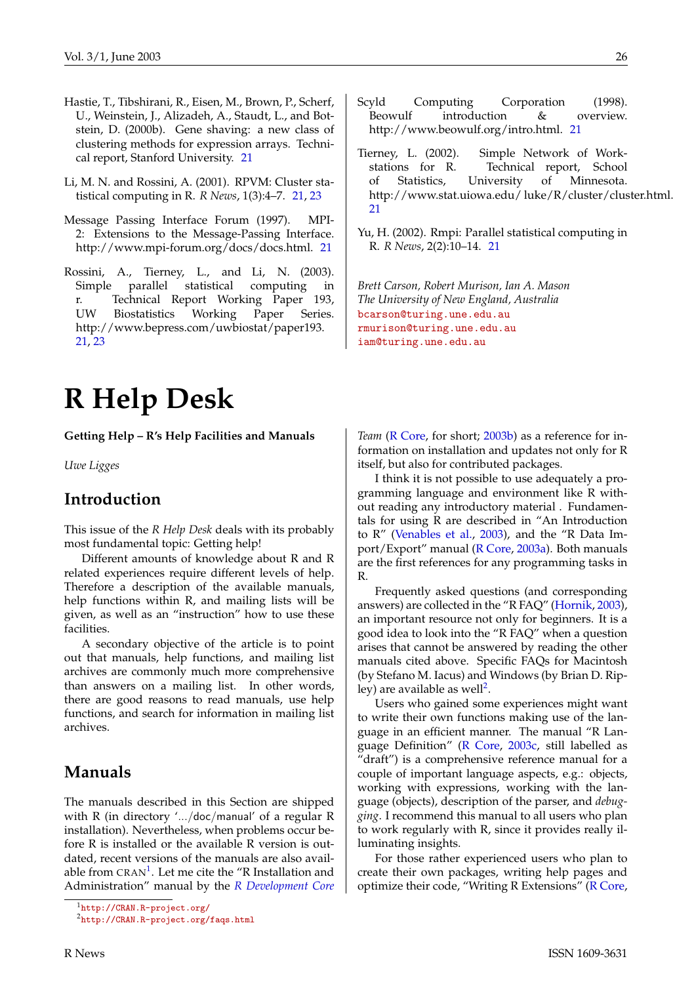- <span id="page-25-10"></span><span id="page-25-7"></span>Hastie, T., Tibshirani, R., Eisen, M., Brown, P., Scherf, U., Weinstein, J., Alizadeh, A., Staudt, L., and Botstein, D. (2000b). Gene shaving: a new class of clustering methods for expression arrays. Technical report, Stanford University. [21](#page-20-3)
- <span id="page-25-3"></span>Li, M. N. and Rossini, A. (2001). RPVM: Cluster statistical computing in R. *R News*, 1(3):4–7. [21,](#page-20-3) [23](#page-22-0)
- <span id="page-25-2"></span>Message Passing Interface Forum (1997). MPI-2: Extensions to the Message-Passing Interface. http://www.mpi-forum.org/docs/docs.html. [21](#page-20-3)
- <span id="page-25-6"></span>Rossini, A., Tierney, L., and Li, N. (2003). Simple parallel statistical computing in r. Technical Report Working Paper 193, UW Biostatistics Working Paper Series. http://www.bepress.com/uwbiostat/paper193. [21,](#page-20-3) [23](#page-22-0)

# **R Help Desk**

<span id="page-25-0"></span>**Getting Help – R's Help Facilities and Manuals**

*Uwe Ligges*

### **Introduction**

This issue of the *R Help Desk* deals with its probably most fundamental topic: Getting help!

Different amounts of knowledge about R and R related experiences require different levels of help. Therefore a description of the available manuals, help functions within R, and mailing lists will be given, as well as an "instruction" how to use these facilities.

A secondary objective of the article is to point out that manuals, help functions, and mailing list archives are commonly much more comprehensive than answers on a mailing list. In other words, there are good reasons to read manuals, use help functions, and search for information in mailing list archives.

### **Manuals**

The manuals described in this Section are shipped with R (in directory '.../doc/manual' of a regular R installation). Nevertheless, when problems occur before R is installed or the available R version is outdated, recent versions of the manuals are also available from  $\mathtt{CRAN^1}.$  $\mathtt{CRAN^1}.$  $\mathtt{CRAN^1}.$  Let me cite the "R Installation and Administration" manual by the *[R Development Core](#page-27-1)*

- <span id="page-25-1"></span>Scyld Computing Corporation (1998). Beowulf introduction & overview. http://www.beowulf.org/intro.html. [21](#page-20-3)
- <span id="page-25-5"></span>Tierney, L. (2002). Simple Network of Workstations for R. Technical report, School of Statistics, University of Minnesota. http://www.stat.uiowa.edu/ luke/R/cluster/cluster.html. [21](#page-20-3)
- <span id="page-25-4"></span>Yu, H. (2002). Rmpi: Parallel statistical computing in R. *R News*, 2(2):10–14. [21](#page-20-3)

*Brett Carson, Robert Murison, Ian A. Mason The University of New England, Australia* [bcarson@turing.une.edu.au](mailto:bcarson@turing.une.edu.au) [rmurison@turing.une.edu.au](mailto:rmurison@turing.une.edu.au) [iam@turing.une.edu.au](mailto:iam@turing.une.edu.au)

*[Team](#page-27-1)* [\(R Core,](#page-27-1) for short; [2003b\)](#page-27-1) as a reference for information on installation and updates not only for R itself, but also for contributed packages.

I think it is not possible to use adequately a programming language and environment like R without reading any introductory material . Fundamentals for using R are described in "An Introduction to R" [\(Venables et al.,](#page-27-2) [2003\)](#page-27-2), and the "R Data Import/Export" manual [\(R Core,](#page-27-3) [2003a\)](#page-27-3). Both manuals are the first references for any programming tasks in R.

Frequently asked questions (and corresponding answers) are collected in the "R FAQ" [\(Hornik,](#page-27-4) [2003\)](#page-27-4), an important resource not only for beginners. It is a good idea to look into the "R FAQ" when a question arises that cannot be answered by reading the other manuals cited above. Specific FAQs for Macintosh (by Stefano M. Iacus) and Windows (by Brian D. Rip-ley) are available as well<sup>[2](#page-25-9)</sup>.

Users who gained some experiences might want to write their own functions making use of the language in an efficient manner. The manual "R Language Definition" [\(R Core,](#page-27-5) [2003c,](#page-27-5) still labelled as "draft") is a comprehensive reference manual for a couple of important language aspects, e.g.: objects, working with expressions, working with the language (objects), description of the parser, and *debugging*. I recommend this manual to all users who plan to work regularly with R, since it provides really illuminating insights.

For those rather experienced users who plan to create their own packages, writing help pages and optimize their code, "Writing R Extensions" [\(R Core,](#page-27-6)

<span id="page-25-8"></span><sup>1</sup><http://CRAN.R-project.org/>

<span id="page-25-9"></span><sup>2</sup><http://CRAN.R-project.org/faqs.html>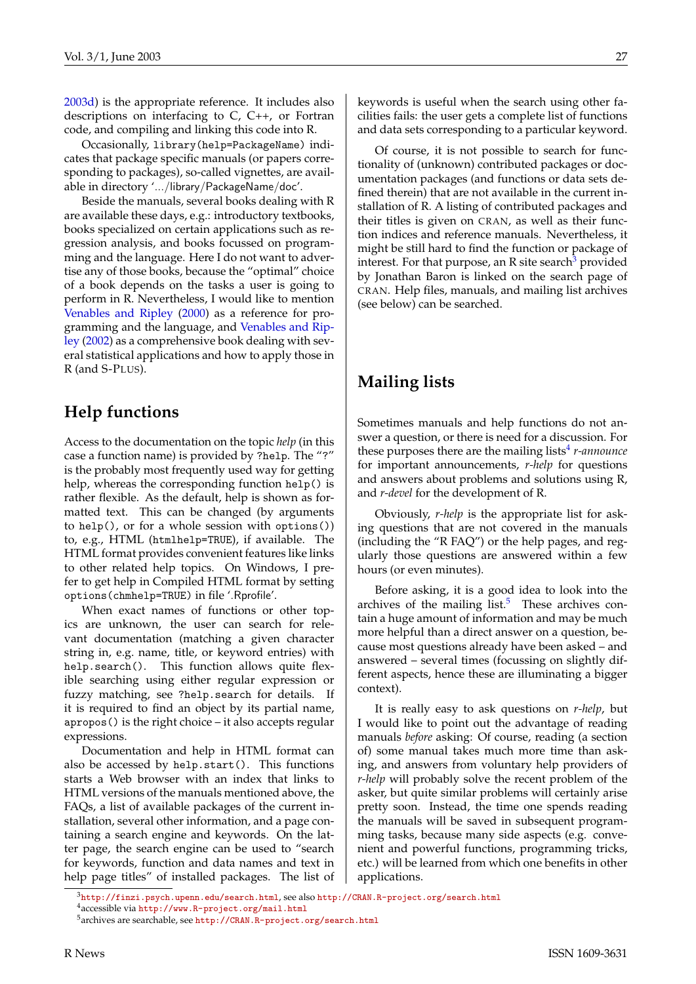<span id="page-26-3"></span>[2003d\)](#page-27-6) is the appropriate reference. It includes also descriptions on interfacing to C, C++, or Fortran code, and compiling and linking this code into R.

Occasionally, library(help=PackageName) indicates that package specific manuals (or papers corresponding to packages), so-called vignettes, are available in directory '.../library/PackageName/doc'.

Beside the manuals, several books dealing with R are available these days, e.g.: introductory textbooks, books specialized on certain applications such as regression analysis, and books focussed on programming and the language. Here I do not want to advertise any of those books, because the "optimal" choice of a book depends on the tasks a user is going to perform in R. Nevertheless, I would like to mention [Venables and Ripley](#page-27-7) [\(2000\)](#page-27-7) as a reference for programming and the language, and [Venables and Rip](#page-27-8)[ley](#page-27-8) [\(2002\)](#page-27-8) as a comprehensive book dealing with several statistical applications and how to apply those in R (and S-PLUS).

## **Help functions**

Access to the documentation on the topic *help* (in this case a function name) is provided by ?help. The "?" is the probably most frequently used way for getting help, whereas the corresponding function help() is rather flexible. As the default, help is shown as formatted text. This can be changed (by arguments to help(), or for a whole session with options()) to, e.g., HTML (htmlhelp=TRUE), if available. The HTML format provides convenient features like links to other related help topics. On Windows, I prefer to get help in Compiled HTML format by setting options(chmhelp=TRUE) in file '.Rprofile'.

When exact names of functions or other topics are unknown, the user can search for relevant documentation (matching a given character string in, e.g. name, title, or keyword entries) with help.search(). This function allows quite flexible searching using either regular expression or fuzzy matching, see ?help.search for details. If it is required to find an object by its partial name, apropos() is the right choice – it also accepts regular expressions.

Documentation and help in HTML format can also be accessed by help.start(). This functions starts a Web browser with an index that links to HTML versions of the manuals mentioned above, the FAQs, a list of available packages of the current installation, several other information, and a page containing a search engine and keywords. On the latter page, the search engine can be used to "search for keywords, function and data names and text in help page titles" of installed packages. The list of

keywords is useful when the search using other facilities fails: the user gets a complete list of functions and data sets corresponding to a particular keyword.

Of course, it is not possible to search for functionality of (unknown) contributed packages or documentation packages (and functions or data sets defined therein) that are not available in the current installation of R. A listing of contributed packages and their titles is given on CRAN, as well as their function indices and reference manuals. Nevertheless, it might be still hard to find the function or package of interest. For that purpose, an R site search<sup>[3](#page-26-0)</sup> provided by Jonathan Baron is linked on the search page of CRAN. Help files, manuals, and mailing list archives (see below) can be searched.

## **Mailing lists**

Sometimes manuals and help functions do not answer a question, or there is need for a discussion. For these purposes there are the mailing lists<sup>[4](#page-26-1)</sup> *r-announce* for important announcements, *r-help* for questions and answers about problems and solutions using R, and *r-devel* for the development of R.

Obviously, *r-help* is the appropriate list for asking questions that are not covered in the manuals (including the "R FAQ") or the help pages, and regularly those questions are answered within a few hours (or even minutes).

Before asking, it is a good idea to look into the archives of the mailing list. $5$  These archives contain a huge amount of information and may be much more helpful than a direct answer on a question, because most questions already have been asked – and answered – several times (focussing on slightly different aspects, hence these are illuminating a bigger context).

It is really easy to ask questions on *r-help*, but I would like to point out the advantage of reading manuals *before* asking: Of course, reading (a section of) some manual takes much more time than asking, and answers from voluntary help providers of *r-help* will probably solve the recent problem of the asker, but quite similar problems will certainly arise pretty soon. Instead, the time one spends reading the manuals will be saved in subsequent programming tasks, because many side aspects (e.g. convenient and powerful functions, programming tricks, etc.) will be learned from which one benefits in other applications.

<span id="page-26-1"></span><span id="page-26-0"></span> $^3$ [http://finzi.psych.upenn.edu/search.html](http://finzi.psych.upenn.edu/ search.html), see also <http://CRAN.R-project.org/search.html> <sup>4</sup>accessible via <http://www.R-project.org/mail.html>

<span id="page-26-2"></span><sup>5</sup>archives are searchable, see [http://CRAN.R-project.org/search.html](http://CRAN.R-project.org/ search.html)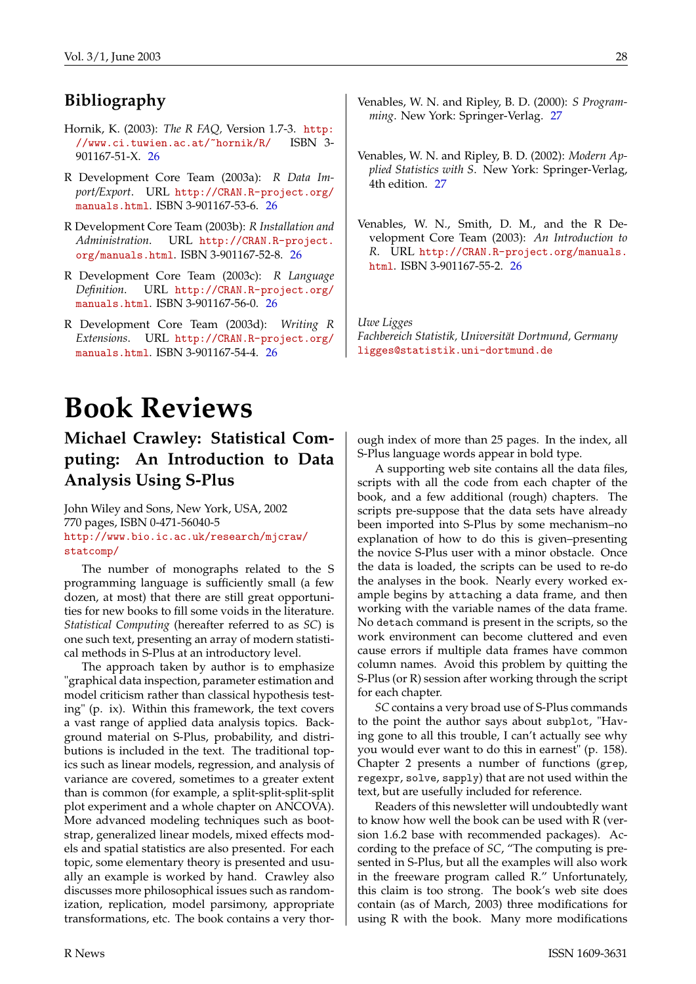# **Bibliography**

- <span id="page-27-4"></span>Hornik, K. (2003): *The R FAQ,* Version 1.7-3. [http:](http://www.ci.tuwien.ac.at/~hornik/R/) [//www.ci.tuwien.ac.at/~hornik/R/](http://www.ci.tuwien.ac.at/~hornik/R/) ISBN 3- 901167-51-X. [26](#page-25-10)
- <span id="page-27-3"></span>R Development Core Team (2003a): *R Data Import/Export*. URL [http://CRAN.R-project.org/](http://CRAN.R-project.org/manuals.html) [manuals.html](http://CRAN.R-project.org/manuals.html). ISBN 3-901167-53-6. [26](#page-25-10)
- <span id="page-27-1"></span>R Development Core Team (2003b): *R Installation and Administration*. URL [http://CRAN.R-project.](http://CRAN.R-project.org/manuals.html) [org/manuals.html](http://CRAN.R-project.org/manuals.html). ISBN 3-901167-52-8. [26](#page-25-10)
- <span id="page-27-5"></span>R Development Core Team (2003c): *R Language Definition*. URL [http://CRAN.R-project.org/](http://CRAN.R-project.org/manuals.html) [manuals.html](http://CRAN.R-project.org/manuals.html). ISBN 3-901167-56-0. [26](#page-25-10)
- <span id="page-27-6"></span>R Development Core Team (2003d): *Writing R Extensions*. URL [http://CRAN.R-project.org/](http://CRAN.R-project.org/manuals.html) [manuals.html](http://CRAN.R-project.org/manuals.html). ISBN 3-901167-54-4. [26](#page-25-10)
- <span id="page-27-7"></span>Venables, W. N. and Ripley, B. D. (2000): *S Programming*. New York: Springer-Verlag. [27](#page-26-3)
- <span id="page-27-8"></span>Venables, W. N. and Ripley, B. D. (2002): *Modern Applied Statistics with S*. New York: Springer-Verlag, 4th edition. [27](#page-26-3)
- <span id="page-27-2"></span>Venables, W. N., Smith, D. M., and the R Development Core Team (2003): *An Introduction to R*. URL [http://CRAN.R-project.org/manuals.](http://CRAN.R-project.org/manuals.html) [html](http://CRAN.R-project.org/manuals.html). ISBN 3-901167-55-2. [26](#page-25-10)

*Uwe Ligges Fachbereich Statistik, Universität Dortmund, Germany* [ligges@statistik.uni-dortmund.de](mailto:ligges@statistik.uni-dortmund.de)

# **Book Reviews**

# <span id="page-27-0"></span>**Michael Crawley: Statistical Computing: An Introduction to Data Analysis Using S-Plus**

John Wiley and Sons, New York, USA, 2002 770 pages, ISBN 0-471-56040-5 [http://www.bio.ic.ac.uk/research/mjcraw/](http://www.bio.ic.ac.uk/research/mjcraw/statcomp/) [statcomp/](http://www.bio.ic.ac.uk/research/mjcraw/statcomp/)

The number of monographs related to the S programming language is sufficiently small (a few dozen, at most) that there are still great opportunities for new books to fill some voids in the literature. *Statistical Computing* (hereafter referred to as *SC*) is one such text, presenting an array of modern statistical methods in S-Plus at an introductory level.

The approach taken by author is to emphasize "graphical data inspection, parameter estimation and model criticism rather than classical hypothesis testing" (p. ix). Within this framework, the text covers a vast range of applied data analysis topics. Background material on S-Plus, probability, and distributions is included in the text. The traditional topics such as linear models, regression, and analysis of variance are covered, sometimes to a greater extent than is common (for example, a split-split-split-split plot experiment and a whole chapter on ANCOVA). More advanced modeling techniques such as bootstrap, generalized linear models, mixed effects models and spatial statistics are also presented. For each topic, some elementary theory is presented and usually an example is worked by hand. Crawley also discusses more philosophical issues such as randomization, replication, model parsimony, appropriate transformations, etc. The book contains a very thorough index of more than 25 pages. In the index, all S-Plus language words appear in bold type.

A supporting web site contains all the data files, scripts with all the code from each chapter of the book, and a few additional (rough) chapters. The scripts pre-suppose that the data sets have already been imported into S-Plus by some mechanism–no explanation of how to do this is given–presenting the novice S-Plus user with a minor obstacle. Once the data is loaded, the scripts can be used to re-do the analyses in the book. Nearly every worked example begins by attaching a data frame, and then working with the variable names of the data frame. No detach command is present in the scripts, so the work environment can become cluttered and even cause errors if multiple data frames have common column names. Avoid this problem by quitting the S-Plus (or R) session after working through the script for each chapter.

*SC* contains a very broad use of S-Plus commands to the point the author says about subplot, "Having gone to all this trouble, I can't actually see why you would ever want to do this in earnest" (p. 158). Chapter 2 presents a number of functions (grep, regexpr, solve, sapply) that are not used within the text, but are usefully included for reference.

Readers of this newsletter will undoubtedly want to know how well the book can be used with R (version 1.6.2 base with recommended packages). According to the preface of *SC*, "The computing is presented in S-Plus, but all the examples will also work in the freeware program called R." Unfortunately, this claim is too strong. The book's web site does contain (as of March, 2003) three modifications for using R with the book. Many more modifications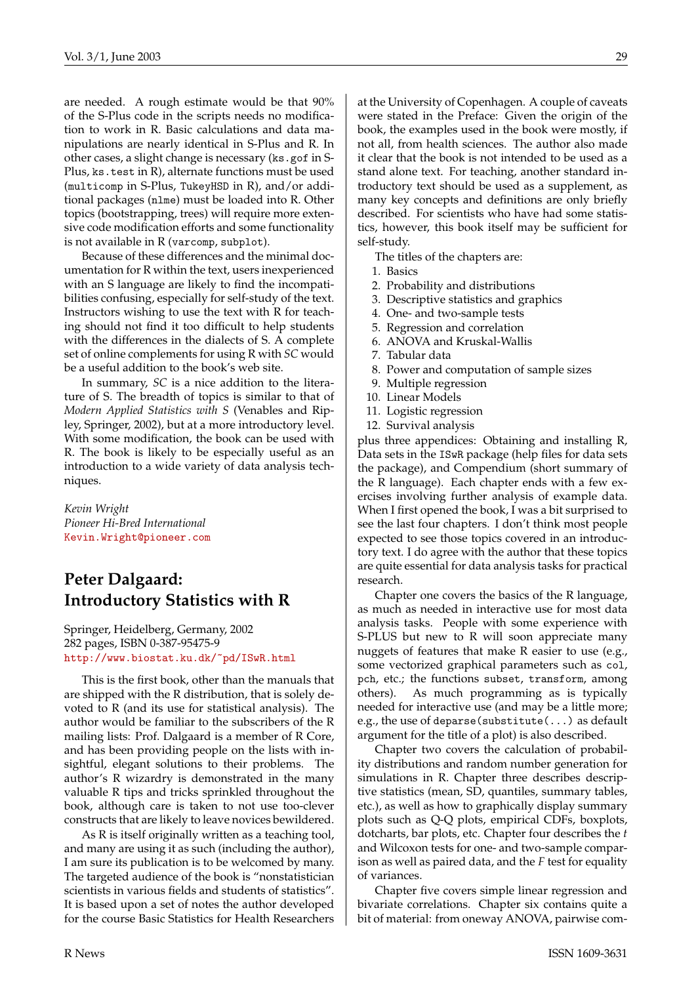are needed. A rough estimate would be that 90% of the S-Plus code in the scripts needs no modification to work in R. Basic calculations and data manipulations are nearly identical in S-Plus and R. In other cases, a slight change is necessary (ks.gof in S-Plus, ks.test in R), alternate functions must be used (multicomp in S-Plus, TukeyHSD in R), and/or additional packages (nlme) must be loaded into R. Other topics (bootstrapping, trees) will require more extensive code modification efforts and some functionality is not available in R (varcomp, subplot).

Because of these differences and the minimal documentation for R within the text, users inexperienced with an S language are likely to find the incompatibilities confusing, especially for self-study of the text. Instructors wishing to use the text with R for teaching should not find it too difficult to help students with the differences in the dialects of S. A complete set of online complements for using R with *SC* would be a useful addition to the book's web site.

In summary, *SC* is a nice addition to the literature of S. The breadth of topics is similar to that of *Modern Applied Statistics with S* (Venables and Ripley, Springer, 2002), but at a more introductory level. With some modification, the book can be used with R. The book is likely to be especially useful as an introduction to a wide variety of data analysis techniques.

*Kevin Wright Pioneer Hi-Bred International* [Kevin.Wright@pioneer.com](mailto:Kevin.Wright@pioneer.com)

## **Peter Dalgaard: Introductory Statistics with R**

Springer, Heidelberg, Germany, 2002 282 pages, ISBN 0-387-95475-9 <http://www.biostat.ku.dk/~pd/ISwR.html>

This is the first book, other than the manuals that are shipped with the R distribution, that is solely devoted to R (and its use for statistical analysis). The author would be familiar to the subscribers of the R mailing lists: Prof. Dalgaard is a member of R Core, and has been providing people on the lists with insightful, elegant solutions to their problems. The author's R wizardry is demonstrated in the many valuable R tips and tricks sprinkled throughout the book, although care is taken to not use too-clever constructs that are likely to leave novices bewildered.

As R is itself originally written as a teaching tool, and many are using it as such (including the author), I am sure its publication is to be welcomed by many. The targeted audience of the book is "nonstatistician scientists in various fields and students of statistics". It is based upon a set of notes the author developed for the course Basic Statistics for Health Researchers

at the University of Copenhagen. A couple of caveats were stated in the Preface: Given the origin of the book, the examples used in the book were mostly, if not all, from health sciences. The author also made it clear that the book is not intended to be used as a stand alone text. For teaching, another standard introductory text should be used as a supplement, as many key concepts and definitions are only briefly described. For scientists who have had some statistics, however, this book itself may be sufficient for self-study.

The titles of the chapters are:

- 1. Basics
- 2. Probability and distributions
- 3. Descriptive statistics and graphics
- 4. One- and two-sample tests
- 5. Regression and correlation
- 6. ANOVA and Kruskal-Wallis
- 7. Tabular data
- 8. Power and computation of sample sizes
- 9. Multiple regression
- 10. Linear Models
- 11. Logistic regression
- 12. Survival analysis

plus three appendices: Obtaining and installing R, Data sets in the ISwR package (help files for data sets the package), and Compendium (short summary of the R language). Each chapter ends with a few exercises involving further analysis of example data. When I first opened the book, I was a bit surprised to see the last four chapters. I don't think most people expected to see those topics covered in an introductory text. I do agree with the author that these topics are quite essential for data analysis tasks for practical research.

Chapter one covers the basics of the R language, as much as needed in interactive use for most data analysis tasks. People with some experience with S-PLUS but new to R will soon appreciate many nuggets of features that make R easier to use (e.g., some vectorized graphical parameters such as col, pch, etc.; the functions subset, transform, among others). As much programming as is typically needed for interactive use (and may be a little more; e.g., the use of deparse(substitute(...) as default argument for the title of a plot) is also described.

Chapter two covers the calculation of probability distributions and random number generation for simulations in R. Chapter three describes descriptive statistics (mean, SD, quantiles, summary tables, etc.), as well as how to graphically display summary plots such as Q-Q plots, empirical CDFs, boxplots, dotcharts, bar plots, etc. Chapter four describes the *t* and Wilcoxon tests for one- and two-sample comparison as well as paired data, and the *F* test for equality of variances.

Chapter five covers simple linear regression and bivariate correlations. Chapter six contains quite a bit of material: from oneway ANOVA, pairwise com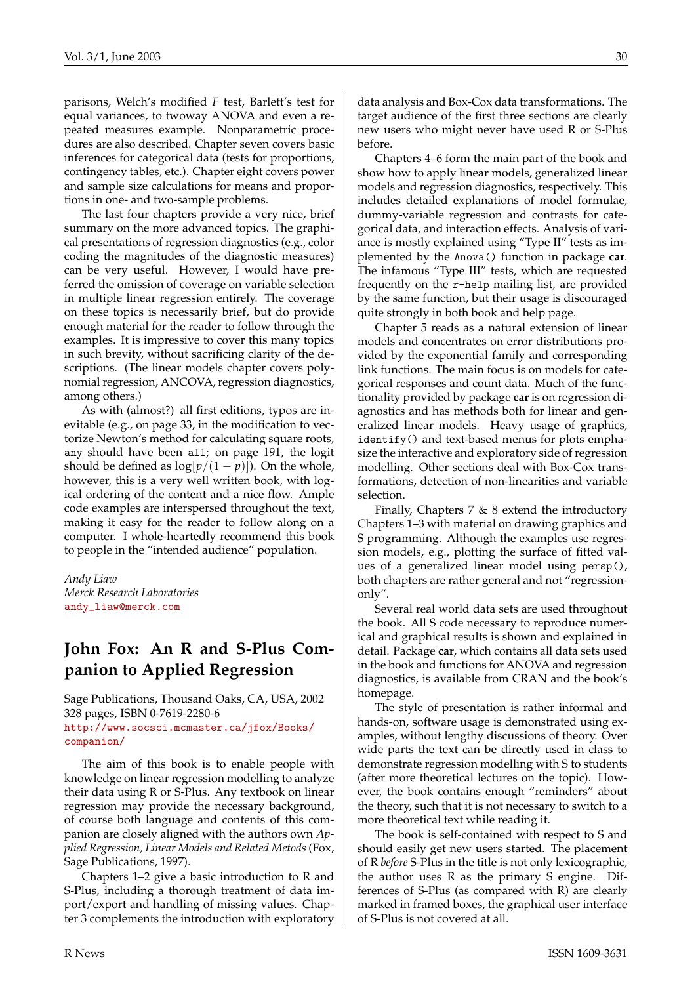parisons, Welch's modified *F* test, Barlett's test for equal variances, to twoway ANOVA and even a repeated measures example. Nonparametric procedures are also described. Chapter seven covers basic inferences for categorical data (tests for proportions, contingency tables, etc.). Chapter eight covers power and sample size calculations for means and proportions in one- and two-sample problems.

The last four chapters provide a very nice, brief summary on the more advanced topics. The graphical presentations of regression diagnostics (e.g., color coding the magnitudes of the diagnostic measures) can be very useful. However, I would have preferred the omission of coverage on variable selection in multiple linear regression entirely. The coverage on these topics is necessarily brief, but do provide enough material for the reader to follow through the examples. It is impressive to cover this many topics in such brevity, without sacrificing clarity of the descriptions. (The linear models chapter covers polynomial regression, ANCOVA, regression diagnostics, among others.)

As with (almost?) all first editions, typos are inevitable (e.g., on page 33, in the modification to vectorize Newton's method for calculating square roots, any should have been all; on page 191, the logit should be defined as  $\log[p/(1-p)])$ . On the whole, however, this is a very well written book, with logical ordering of the content and a nice flow. Ample code examples are interspersed throughout the text, making it easy for the reader to follow along on a computer. I whole-heartedly recommend this book to people in the "intended audience" population.

*Andy Liaw Merck Research Laboratories* [andy\\_liaw@merck.com](mailto:andyprotect T1	extunderscore liaw@merck.com)

## **John Fox: An R and S-Plus Companion to Applied Regression**

Sage Publications, Thousand Oaks, CA, USA, 2002 328 pages, ISBN 0-7619-2280-6 [http://www.socsci.mcmaster.ca/jfox/Books/](http://www.socsci.mcmaster.ca/jfox/Books/companion/) [companion/](http://www.socsci.mcmaster.ca/jfox/Books/companion/)

The aim of this book is to enable people with knowledge on linear regression modelling to analyze their data using R or S-Plus. Any textbook on linear regression may provide the necessary background, of course both language and contents of this companion are closely aligned with the authors own *Applied Regression, Linear Models and Related Metods*(Fox, Sage Publications, 1997).

Chapters 1–2 give a basic introduction to R and S-Plus, including a thorough treatment of data import/export and handling of missing values. Chapter 3 complements the introduction with exploratory

data analysis and Box-Cox data transformations. The target audience of the first three sections are clearly new users who might never have used R or S-Plus before.

Chapters 4–6 form the main part of the book and show how to apply linear models, generalized linear models and regression diagnostics, respectively. This includes detailed explanations of model formulae, dummy-variable regression and contrasts for categorical data, and interaction effects. Analysis of variance is mostly explained using "Type II" tests as implemented by the Anova() function in package **car**. The infamous "Type III" tests, which are requested frequently on the r-help mailing list, are provided by the same function, but their usage is discouraged quite strongly in both book and help page.

Chapter 5 reads as a natural extension of linear models and concentrates on error distributions provided by the exponential family and corresponding link functions. The main focus is on models for categorical responses and count data. Much of the functionality provided by package **car** is on regression diagnostics and has methods both for linear and generalized linear models. Heavy usage of graphics, identify() and text-based menus for plots emphasize the interactive and exploratory side of regression modelling. Other sections deal with Box-Cox transformations, detection of non-linearities and variable selection.

Finally, Chapters 7 & 8 extend the introductory Chapters 1–3 with material on drawing graphics and S programming. Although the examples use regression models, e.g., plotting the surface of fitted values of a generalized linear model using persp(), both chapters are rather general and not "regressiononly".

Several real world data sets are used throughout the book. All S code necessary to reproduce numerical and graphical results is shown and explained in detail. Package **car**, which contains all data sets used in the book and functions for ANOVA and regression diagnostics, is available from CRAN and the book's homepage.

The style of presentation is rather informal and hands-on, software usage is demonstrated using examples, without lengthy discussions of theory. Over wide parts the text can be directly used in class to demonstrate regression modelling with S to students (after more theoretical lectures on the topic). However, the book contains enough "reminders" about the theory, such that it is not necessary to switch to a more theoretical text while reading it.

The book is self-contained with respect to S and should easily get new users started. The placement of R *before* S-Plus in the title is not only lexicographic, the author uses R as the primary S engine. Differences of S-Plus (as compared with R) are clearly marked in framed boxes, the graphical user interface of S-Plus is not covered at all.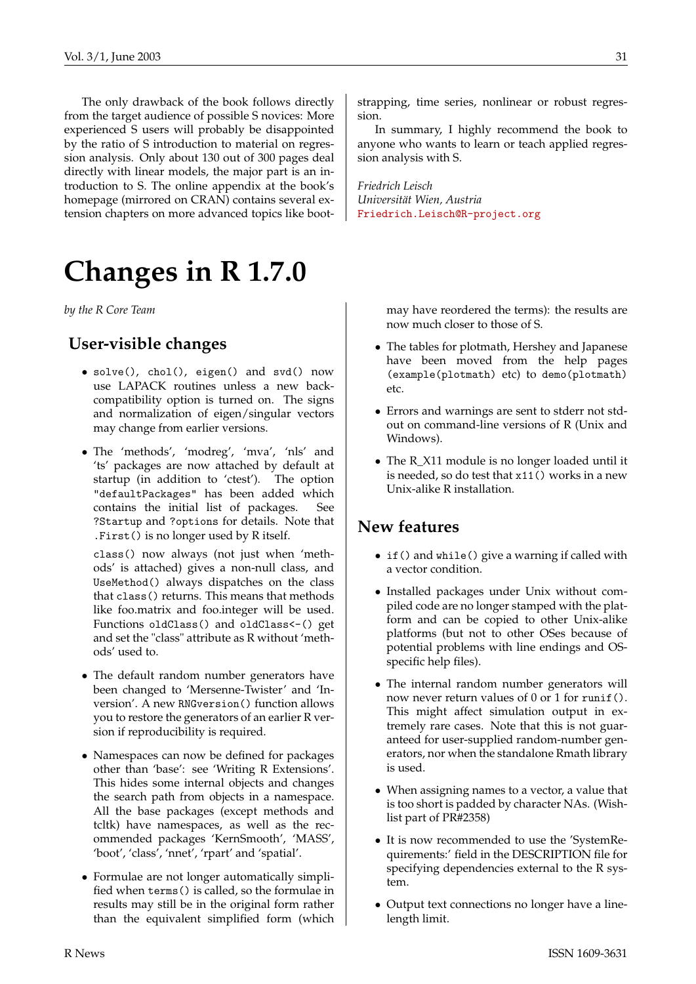The only drawback of the book follows directly from the target audience of possible S novices: More experienced S users will probably be disappointed by the ratio of S introduction to material on regression analysis. Only about 130 out of 300 pages deal directly with linear models, the major part is an introduction to S. The online appendix at the book's homepage (mirrored on CRAN) contains several extension chapters on more advanced topics like boot-

# **Changes in R 1.7.0**

<span id="page-30-0"></span>*by the R Core Team*

## **User-visible changes**

- solve(), chol(), eigen() and svd() now use LAPACK routines unless a new backcompatibility option is turned on. The signs and normalization of eigen/singular vectors may change from earlier versions.
- The 'methods', 'modreg', 'mva', 'nls' and 'ts' packages are now attached by default at startup (in addition to 'ctest'). The option "defaultPackages" has been added which contains the initial list of packages. See ?Startup and ?options for details. Note that .First() is no longer used by R itself.

class() now always (not just when 'methods' is attached) gives a non-null class, and UseMethod() always dispatches on the class that class() returns. This means that methods like foo.matrix and foo.integer will be used. Functions oldClass() and oldClass<-() get and set the "class" attribute as R without 'methods' used to.

- The default random number generators have been changed to 'Mersenne-Twister' and 'Inversion'. A new RNGversion() function allows you to restore the generators of an earlier R version if reproducibility is required.
- Namespaces can now be defined for packages other than 'base': see 'Writing R Extensions'. This hides some internal objects and changes the search path from objects in a namespace. All the base packages (except methods and tcltk) have namespaces, as well as the recommended packages 'KernSmooth', 'MASS', 'boot', 'class', 'nnet', 'rpart' and 'spatial'.
- Formulae are not longer automatically simplified when terms() is called, so the formulae in results may still be in the original form rather than the equivalent simplified form (which

strapping, time series, nonlinear or robust regression.

In summary, I highly recommend the book to anyone who wants to learn or teach applied regression analysis with S.

*Friedrich Leisch Universität Wien, Austria* [Friedrich.Leisch@R-project.org](mailto:Friedrich.Leisch@R-project.org)

> may have reordered the terms): the results are now much closer to those of S.

- The tables for plotmath, Hershey and Japanese have been moved from the help pages (example(plotmath) etc) to demo(plotmath) etc.
- Errors and warnings are sent to stderr not stdout on command-line versions of R (Unix and Windows).
- The R\_X11 module is no longer loaded until it is needed, so do test that x11() works in a new Unix-alike R installation.

## **New features**

- if() and while() give a warning if called with a vector condition.
- Installed packages under Unix without compiled code are no longer stamped with the platform and can be copied to other Unix-alike platforms (but not to other OSes because of potential problems with line endings and OSspecific help files).
- The internal random number generators will now never return values of 0 or 1 for runif(). This might affect simulation output in extremely rare cases. Note that this is not guaranteed for user-supplied random-number generators, nor when the standalone Rmath library is used.
- When assigning names to a vector, a value that is too short is padded by character NAs. (Wishlist part of PR#2358)
- It is now recommended to use the 'SystemRequirements:' field in the DESCRIPTION file for specifying dependencies external to the R system.
- Output text connections no longer have a linelength limit.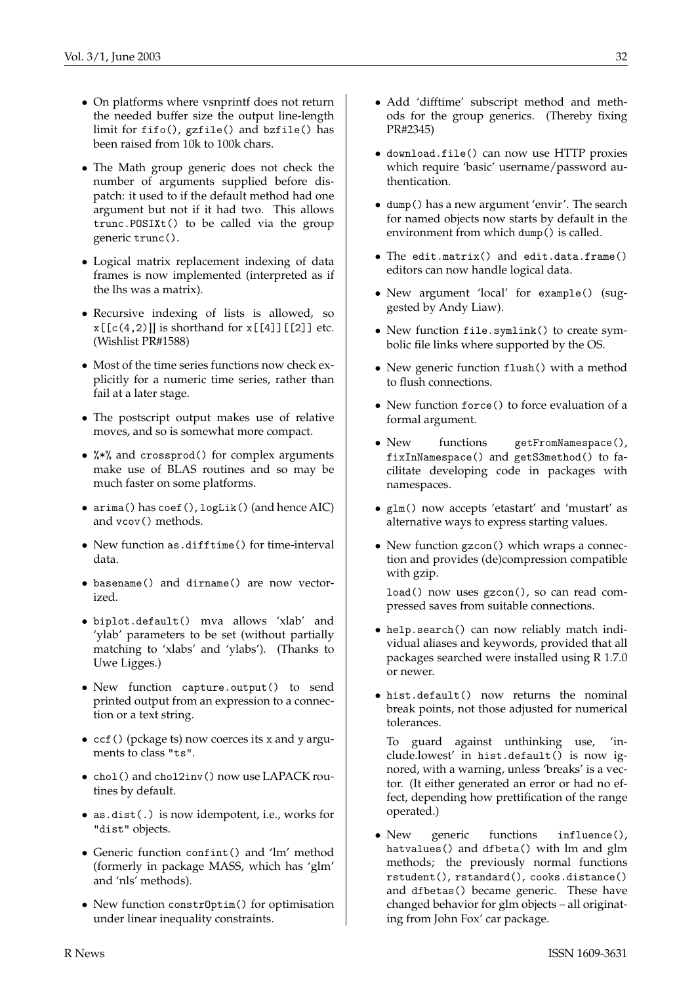- On platforms where vsnprintf does not return the needed buffer size the output line-length limit for fifo(), gzfile() and bzfile() has been raised from 10k to 100k chars.
- The Math group generic does not check the number of arguments supplied before dispatch: it used to if the default method had one argument but not if it had two. This allows trunc.POSIXt() to be called via the group generic trunc().
- Logical matrix replacement indexing of data frames is now implemented (interpreted as if the lhs was a matrix).
- Recursive indexing of lists is allowed, so  $x[[c(4,2)]]$  is shorthand for  $x[[4]][[2]]$  etc. (Wishlist PR#1588)
- Most of the time series functions now check explicitly for a numeric time series, rather than fail at a later stage.
- The postscript output makes use of relative moves, and so is somewhat more compact.
- %\*% and crossprod() for complex arguments make use of BLAS routines and so may be much faster on some platforms.
- arima() has coef(), logLik() (and hence AIC) and vcov() methods.
- New function as.difftime() for time-interval data.
- basename() and dirname() are now vectorized.
- biplot.default() mva allows 'xlab' and 'ylab' parameters to be set (without partially matching to 'xlabs' and 'ylabs'). (Thanks to Uwe Ligges.)
- New function capture.output() to send printed output from an expression to a connection or a text string.
- ccf() (pckage ts) now coerces its x and y arguments to class "ts".
- chol() and chol2inv() now use LAPACK routines by default.
- as.dist(.) is now idempotent, i.e., works for "dist" objects.
- Generic function confint() and 'lm' method (formerly in package MASS, which has 'glm' and 'nls' methods).
- New function constrOptim() for optimisation under linear inequality constraints.
- Add 'difftime' subscript method and methods for the group generics. (Thereby fixing PR#2345)
- download.file() can now use HTTP proxies which require 'basic' username/password authentication.
- dump() has a new argument 'envir'. The search for named objects now starts by default in the environment from which dump() is called.
- The edit.matrix() and edit.data.frame() editors can now handle logical data.
- New argument 'local' for example() (suggested by Andy Liaw).
- New function file.symlink() to create symbolic file links where supported by the OS.
- New generic function flush() with a method to flush connections.
- New function force() to force evaluation of a formal argument.
- New functions getFromNamespace(), fixInNamespace() and getS3method() to facilitate developing code in packages with namespaces.
- glm() now accepts 'etastart' and 'mustart' as alternative ways to express starting values.
- New function gzcon() which wraps a connection and provides (de)compression compatible with gzip.

load() now uses gzcon(), so can read compressed saves from suitable connections.

- help.search() can now reliably match individual aliases and keywords, provided that all packages searched were installed using R 1.7.0 or newer.
- hist.default() now returns the nominal break points, not those adjusted for numerical tolerances.

To guard against unthinking use, 'include.lowest' in hist.default() is now ignored, with a warning, unless 'breaks' is a vector. (It either generated an error or had no effect, depending how prettification of the range operated.)

• New generic functions influence(), hatvalues() and dfbeta() with lm and glm methods; the previously normal functions rstudent(), rstandard(), cooks.distance() and dfbetas() became generic. These have changed behavior for glm objects – all originating from John Fox' car package.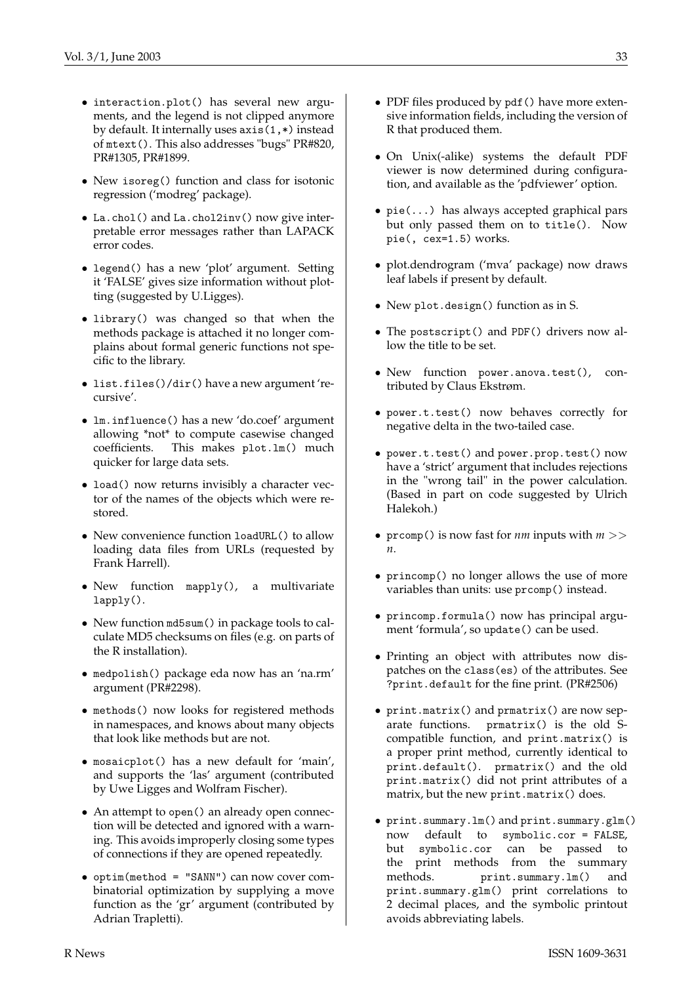- interaction.plot() has several new arguments, and the legend is not clipped anymore by default. It internally uses axis(1,\*) instead of mtext(). This also addresses "bugs" PR#820, PR#1305, PR#1899.
- New isoreg() function and class for isotonic regression ('modreg' package).
- La.chol() and La.chol2inv() now give interpretable error messages rather than LAPACK error codes.
- legend() has a new 'plot' argument. Setting it 'FALSE' gives size information without plotting (suggested by U.Ligges).
- library() was changed so that when the methods package is attached it no longer complains about formal generic functions not specific to the library.
- list.files()/dir() have a new argument 'recursive'.
- lm.influence() has a new 'do.coef' argument allowing \*not\* to compute casewise changed coefficients. This makes plot.lm() much quicker for large data sets.
- load() now returns invisibly a character vector of the names of the objects which were restored.
- New convenience function loadURL() to allow loading data files from URLs (requested by Frank Harrell).
- New function mapply(), a multivariate lapply().
- New function md5sum() in package tools to calculate MD5 checksums on files (e.g. on parts of the R installation).
- medpolish() package eda now has an 'na.rm' argument (PR#2298).
- methods() now looks for registered methods in namespaces, and knows about many objects that look like methods but are not.
- mosaicplot() has a new default for 'main', and supports the 'las' argument (contributed by Uwe Ligges and Wolfram Fischer).
- An attempt to open() an already open connection will be detected and ignored with a warning. This avoids improperly closing some types of connections if they are opened repeatedly.
- optim(method = "SANN") can now cover combinatorial optimization by supplying a move function as the 'gr' argument (contributed by Adrian Trapletti).
- PDF files produced by pdf () have more extensive information fields, including the version of R that produced them.
- On Unix(-alike) systems the default PDF viewer is now determined during configuration, and available as the 'pdfviewer' option.
- pie(...) has always accepted graphical pars but only passed them on to title(). Now pie(, cex=1.5) works.
- plot.dendrogram ('mva' package) now draws leaf labels if present by default.
- New plot.design() function as in S.
- The postscript() and PDF() drivers now allow the title to be set.
- New function power.anova.test(), contributed by Claus Ekstrøm.
- power.t.test() now behaves correctly for negative delta in the two-tailed case.
- power.t.test() and power.prop.test() now have a 'strict' argument that includes rejections in the "wrong tail" in the power calculation. (Based in part on code suggested by Ulrich Halekoh.)
- prcomp() is now fast for *nm* inputs with *m* >> *n*.
- princomp() no longer allows the use of more variables than units: use prcomp() instead.
- princomp.formula() now has principal argument 'formula', so update() can be used.
- Printing an object with attributes now dispatches on the class(es) of the attributes. See ?print.default for the fine print. (PR#2506)
- print.matrix() and prmatrix() are now separate functions. prmatrix() is the old Scompatible function, and print.matrix() is a proper print method, currently identical to print.default(). prmatrix() and the old print.matrix() did not print attributes of a matrix, but the new print.matrix() does.
- print.summary.lm() and print.summary.glm() now default to symbolic.cor = FALSE, but symbolic.cor can be passed to the print methods from the summary methods. print.summary.lm() and print.summary.glm() print correlations to 2 decimal places, and the symbolic printout avoids abbreviating labels.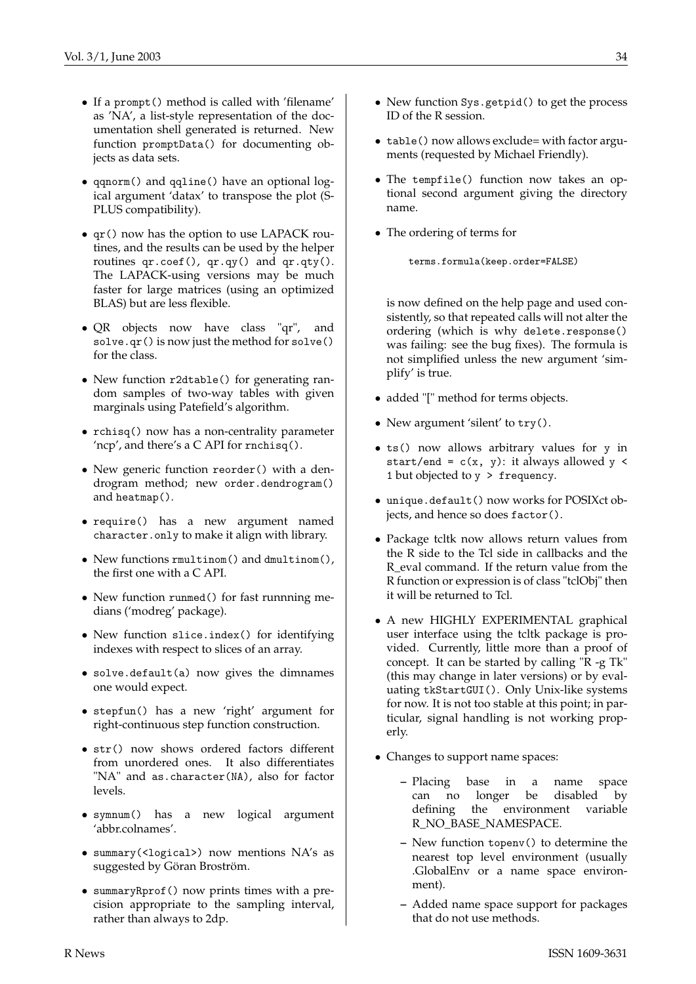- If a prompt() method is called with 'filename' as 'NA', a list-style representation of the documentation shell generated is returned. New function promptData() for documenting objects as data sets.
- qqnorm() and qqline() have an optional logical argument 'datax' to transpose the plot (S-PLUS compatibility).
- qr() now has the option to use LAPACK routines, and the results can be used by the helper routines qr.coef(), qr.qy() and qr.qty(). The LAPACK-using versions may be much faster for large matrices (using an optimized BLAS) but are less flexible.
- QR objects now have class "qr", and solve.qr() is now just the method for solve() for the class.
- New function r2dtable() for generating random samples of two-way tables with given marginals using Patefield's algorithm.
- rchisq() now has a non-centrality parameter 'ncp', and there's a C API for rnchisq().
- New generic function reorder() with a dendrogram method; new order.dendrogram() and heatmap().
- require() has a new argument named character.only to make it align with library.
- New functions rmultinom() and dmultinom(), the first one with a C API.
- New function runmed() for fast runnning medians ('modreg' package).
- New function slice.index() for identifying indexes with respect to slices of an array.
- solve.default(a) now gives the dimnames one would expect.
- stepfun() has a new 'right' argument for right-continuous step function construction.
- str() now shows ordered factors different from unordered ones. It also differentiates "NA" and as.character(NA), also for factor levels.
- symnum() has a new logical argument 'abbr.colnames'.
- summary(<logical>) now mentions NA's as suggested by Göran Broström.
- summaryRprof() now prints times with a precision appropriate to the sampling interval, rather than always to 2dp.
- New function Sys.getpid() to get the process ID of the R session.
- table() now allows exclude= with factor arguments (requested by Michael Friendly).
- The tempfile() function now takes an optional second argument giving the directory name.
- The ordering of terms for

terms.formula(keep.order=FALSE)

is now defined on the help page and used consistently, so that repeated calls will not alter the ordering (which is why delete.response() was failing: see the bug fixes). The formula is not simplified unless the new argument 'simplify' is true.

- added "[" method for terms objects.
- New argument 'silent' to try().
- ts() now allows arbitrary values for y in start/end =  $c(x, y)$ : it always allowed y < 1 but objected to y > frequency.
- unique.default() now works for POSIXct objects, and hence so does factor().
- Package tcltk now allows return values from the R side to the Tcl side in callbacks and the R\_eval command. If the return value from the R function or expression is of class "tclObj" then it will be returned to Tcl.
- A new HIGHLY EXPERIMENTAL graphical user interface using the tcltk package is provided. Currently, little more than a proof of concept. It can be started by calling "R -g Tk" (this may change in later versions) or by evaluating tkStartGUI(). Only Unix-like systems for now. It is not too stable at this point; in particular, signal handling is not working properly.
- Changes to support name spaces:
	- **–** Placing base in a name space can no longer be disabled by defining the environment variable R\_NO\_BASE\_NAMESPACE.
	- **–** New function topenv() to determine the nearest top level environment (usually .GlobalEnv or a name space environment).
	- **–** Added name space support for packages that do not use methods.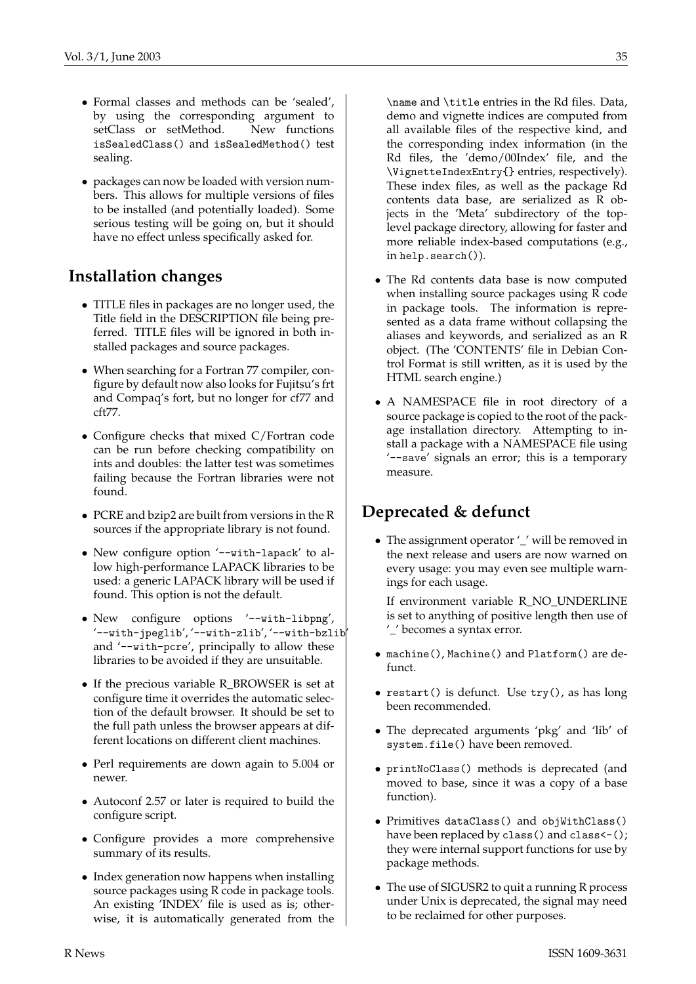- Formal classes and methods can be 'sealed', by using the corresponding argument to setClass or setMethod. New functions isSealedClass() and isSealedMethod() test sealing.
- packages can now be loaded with version numbers. This allows for multiple versions of files to be installed (and potentially loaded). Some serious testing will be going on, but it should have no effect unless specifically asked for.

## **Installation changes**

- TITLE files in packages are no longer used, the Title field in the DESCRIPTION file being preferred. TITLE files will be ignored in both installed packages and source packages.
- When searching for a Fortran 77 compiler, configure by default now also looks for Fujitsu's frt and Compaq's fort, but no longer for cf77 and cft77.
- Configure checks that mixed C/Fortran code can be run before checking compatibility on ints and doubles: the latter test was sometimes failing because the Fortran libraries were not found.
- PCRE and bzip2 are built from versions in the R sources if the appropriate library is not found.
- New configure option '--with-lapack' to allow high-performance LAPACK libraries to be used: a generic LAPACK library will be used if found. This option is not the default.
- New configure options '--with-libpng', '--with-jpeglib', '--with-zlib', '--with-bzlib' and '--with-pcre', principally to allow these libraries to be avoided if they are unsuitable.
- If the precious variable R\_BROWSER is set at configure time it overrides the automatic selection of the default browser. It should be set to the full path unless the browser appears at different locations on different client machines.
- Perl requirements are down again to 5.004 or newer.
- Autoconf 2.57 or later is required to build the configure script.
- Configure provides a more comprehensive summary of its results.
- Index generation now happens when installing source packages using R code in package tools. An existing 'INDEX' file is used as is; otherwise, it is automatically generated from the

\name and \title entries in the Rd files. Data, demo and vignette indices are computed from all available files of the respective kind, and the corresponding index information (in the Rd files, the 'demo/00Index' file, and the \VignetteIndexEntry{} entries, respectively). These index files, as well as the package Rd contents data base, are serialized as R objects in the 'Meta' subdirectory of the toplevel package directory, allowing for faster and more reliable index-based computations (e.g., in help.search()).

- The Rd contents data base is now computed when installing source packages using R code in package tools. The information is represented as a data frame without collapsing the aliases and keywords, and serialized as an R object. (The 'CONTENTS' file in Debian Control Format is still written, as it is used by the HTML search engine.)
- A NAMESPACE file in root directory of a source package is copied to the root of the package installation directory. Attempting to install a package with a NAMESPACE file using '--save' signals an error; this is a temporary measure.

# **Deprecated & defunct**

• The assignment operator '\_' will be removed in the next release and users are now warned on every usage: you may even see multiple warnings for each usage.

If environment variable R\_NO\_UNDERLINE is set to anything of positive length then use of '\_' becomes a syntax error.

- machine(), Machine() and Platform() are defunct.
- restart() is defunct. Use try(), as has long been recommended.
- The deprecated arguments 'pkg' and 'lib' of system.file() have been removed.
- printNoClass() methods is deprecated (and moved to base, since it was a copy of a base function).
- Primitives dataClass() and objWithClass() have been replaced by class() and class <- (); they were internal support functions for use by package methods.
- The use of SIGUSR2 to quit a running R process under Unix is deprecated, the signal may need to be reclaimed for other purposes.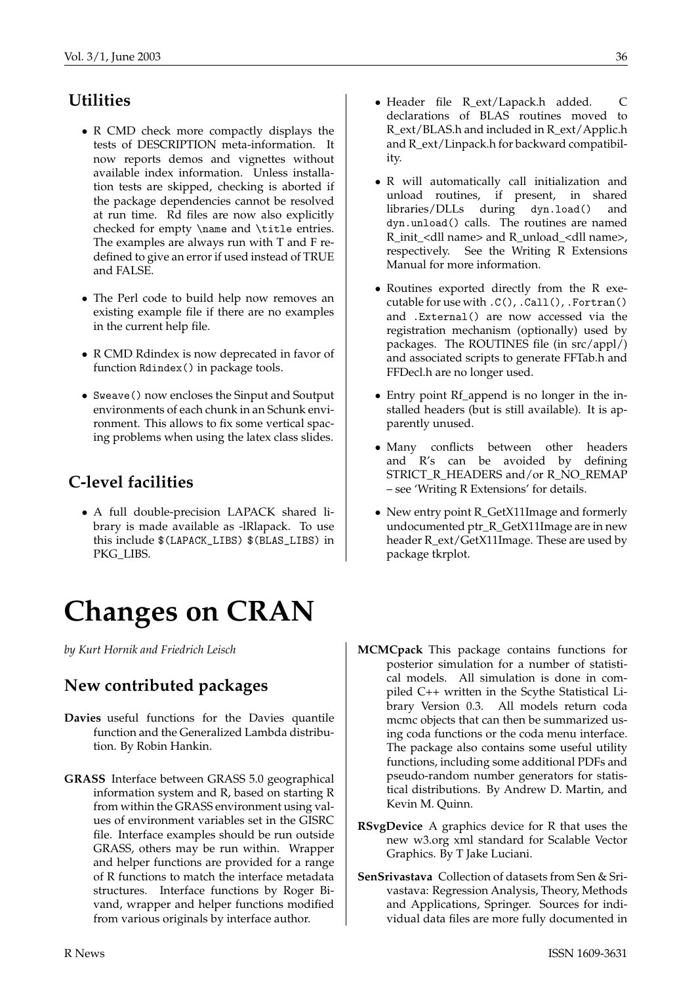# **Utilities**

- R CMD check more compactly displays the tests of DESCRIPTION meta-information. It now reports demos and vignettes without available index information. Unless installation tests are skipped, checking is aborted if the package dependencies cannot be resolved at run time. Rd files are now also explicitly checked for empty \name and \title entries. The examples are always run with T and F redefined to give an error if used instead of TRUE and FALSE.
- The Perl code to build help now removes an existing example file if there are no examples in the current help file.
- R CMD Rdindex is now deprecated in favor of function Rdindex() in package tools.
- Sweave() now encloses the Sinput and Soutput environments of each chunk in an Schunk environment. This allows to fix some vertical spacing problems when using the latex class slides.

## **C-level facilities**

• A full double-precision LAPACK shared library is made available as -lRlapack. To use this include \$(LAPACK\_LIBS) \$(BLAS\_LIBS) in PKG\_LIBS.

# **Changes on CRAN**

<span id="page-35-0"></span>*by Kurt Hornik and Friedrich Leisch*

## **New contributed packages**

- **Davies** useful functions for the Davies quantile function and the Generalized Lambda distribution. By Robin Hankin.
- **GRASS** Interface between GRASS 5.0 geographical information system and R, based on starting R from within the GRASS environment using values of environment variables set in the GISRC file. Interface examples should be run outside GRASS, others may be run within. Wrapper and helper functions are provided for a range of R functions to match the interface metadata structures. Interface functions by Roger Bivand, wrapper and helper functions modified from various originals by interface author.
- Header file R\_ext/Lapack.h added. C declarations of BLAS routines moved to R\_ext/BLAS.h and included in R\_ext/Applic.h and R\_ext/Linpack.h for backward compatibility.
- R will automatically call initialization and unload routines, if present, in shared libraries/DLLs during dyn.load() and dyn.unload() calls. The routines are named R\_init\_<dll name> and R\_unload\_<dll name>, respectively. See the Writing R Extensions Manual for more information.
- Routines exported directly from the R executable for use with .C(), .Call(), .Fortran() and .External() are now accessed via the registration mechanism (optionally) used by packages. The ROUTINES file (in src/appl/) and associated scripts to generate FFTab.h and FFDecl.h are no longer used.
- Entry point Rf\_append is no longer in the installed headers (but is still available). It is apparently unused.
- Many conflicts between other headers and R's can be avoided by defining STRICT\_R\_HEADERS and/or R\_NO\_REMAP – see 'Writing R Extensions' for details.
- New entry point R\_GetX11Image and formerly undocumented ptr\_R\_GetX11Image are in new header R\_ext/GetX11Image. These are used by package tkrplot.
- **MCMCpack** This package contains functions for posterior simulation for a number of statistical models. All simulation is done in compiled C++ written in the Scythe Statistical Library Version 0.3. All models return coda mcmc objects that can then be summarized using coda functions or the coda menu interface. The package also contains some useful utility functions, including some additional PDFs and pseudo-random number generators for statistical distributions. By Andrew D. Martin, and Kevin M. Quinn.
- **RSvgDevice** A graphics device for R that uses the new w3.org xml standard for Scalable Vector Graphics. By T Jake Luciani.
- **SenSrivastava** Collection of datasets from Sen & Srivastava: Regression Analysis, Theory, Methods and Applications, Springer. Sources for individual data files are more fully documented in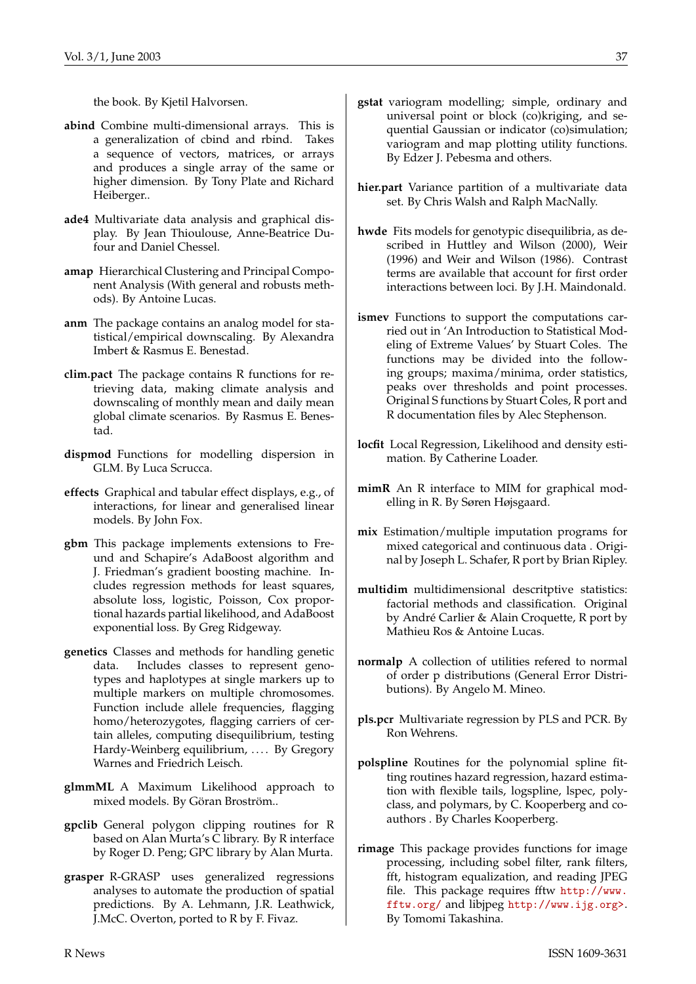the book. By Kjetil Halvorsen.

- **abind** Combine multi-dimensional arrays. This is a generalization of cbind and rbind. Takes a sequence of vectors, matrices, or arrays and produces a single array of the same or higher dimension. By Tony Plate and Richard Heiberger..
- **ade4** Multivariate data analysis and graphical display. By Jean Thioulouse, Anne-Beatrice Dufour and Daniel Chessel.
- **amap** Hierarchical Clustering and Principal Component Analysis (With general and robusts methods). By Antoine Lucas.
- **anm** The package contains an analog model for statistical/empirical downscaling. By Alexandra Imbert & Rasmus E. Benestad.
- **clim.pact** The package contains R functions for retrieving data, making climate analysis and downscaling of monthly mean and daily mean global climate scenarios. By Rasmus E. Benestad.
- **dispmod** Functions for modelling dispersion in GLM. By Luca Scrucca.
- **effects** Graphical and tabular effect displays, e.g., of interactions, for linear and generalised linear models. By John Fox.
- **gbm** This package implements extensions to Freund and Schapire's AdaBoost algorithm and J. Friedman's gradient boosting machine. Includes regression methods for least squares, absolute loss, logistic, Poisson, Cox proportional hazards partial likelihood, and AdaBoost exponential loss. By Greg Ridgeway.
- **genetics** Classes and methods for handling genetic data. Includes classes to represent genotypes and haplotypes at single markers up to multiple markers on multiple chromosomes. Function include allele frequencies, flagging homo/heterozygotes, flagging carriers of certain alleles, computing disequilibrium, testing Hardy-Weinberg equilibrium, .... By Gregory Warnes and Friedrich Leisch.
- **glmmML** A Maximum Likelihood approach to mixed models. By Göran Broström..
- **gpclib** General polygon clipping routines for R based on Alan Murta's C library. By R interface by Roger D. Peng; GPC library by Alan Murta.
- **grasper** R-GRASP uses generalized regressions analyses to automate the production of spatial predictions. By A. Lehmann, J.R. Leathwick, J.McC. Overton, ported to R by F. Fivaz.
- **gstat** variogram modelling; simple, ordinary and universal point or block (co)kriging, and sequential Gaussian or indicator (co)simulation; variogram and map plotting utility functions. By Edzer J. Pebesma and others.
- **hier.part** Variance partition of a multivariate data set. By Chris Walsh and Ralph MacNally.
- **hwde** Fits models for genotypic disequilibria, as described in Huttley and Wilson (2000), Weir (1996) and Weir and Wilson (1986). Contrast terms are available that account for first order interactions between loci. By J.H. Maindonald.
- **ismev** Functions to support the computations carried out in 'An Introduction to Statistical Modeling of Extreme Values' by Stuart Coles. The functions may be divided into the following groups; maxima/minima, order statistics, peaks over thresholds and point processes. Original S functions by Stuart Coles, R port and R documentation files by Alec Stephenson.
- **locfit** Local Regression, Likelihood and density estimation. By Catherine Loader.
- **mimR** An R interface to MIM for graphical modelling in R. By Søren Højsgaard.
- **mix** Estimation/multiple imputation programs for mixed categorical and continuous data . Original by Joseph L. Schafer, R port by Brian Ripley.
- **multidim** multidimensional descritptive statistics: factorial methods and classification. Original by André Carlier & Alain Croquette, R port by Mathieu Ros & Antoine Lucas.
- **normalp** A collection of utilities refered to normal of order p distributions (General Error Distributions). By Angelo M. Mineo.
- **pls.pcr** Multivariate regression by PLS and PCR. By Ron Wehrens.
- **polspline** Routines for the polynomial spline fitting routines hazard regression, hazard estimation with flexible tails, logspline, lspec, polyclass, and polymars, by C. Kooperberg and coauthors . By Charles Kooperberg.
- **rimage** This package provides functions for image processing, including sobel filter, rank filters, fft, histogram equalization, and reading JPEG file. This package requires fftw [http://www.](http://www.fftw.org/) [fftw.org/](http://www.fftw.org/) and libjpeg <http://www.ijg.org>>. By Tomomi Takashina.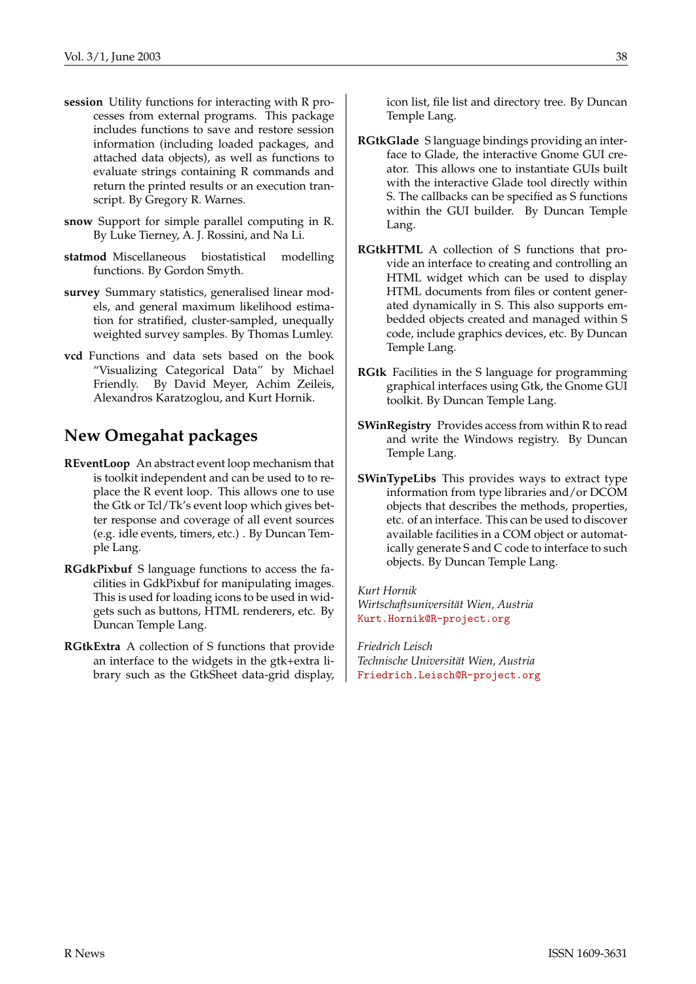- **session** Utility functions for interacting with R processes from external programs. This package includes functions to save and restore session information (including loaded packages, and attached data objects), as well as functions to evaluate strings containing R commands and return the printed results or an execution transcript. By Gregory R. Warnes.
- **snow** Support for simple parallel computing in R. By Luke Tierney, A. J. Rossini, and Na Li.
- **statmod** Miscellaneous biostatistical modelling functions. By Gordon Smyth.
- **survey** Summary statistics, generalised linear models, and general maximum likelihood estimation for stratified, cluster-sampled, unequally weighted survey samples. By Thomas Lumley.
- **vcd** Functions and data sets based on the book "Visualizing Categorical Data" by Michael Friendly. By David Meyer, Achim Zeileis, Alexandros Karatzoglou, and Kurt Hornik.

## **New Omegahat packages**

- **REventLoop** An abstract event loop mechanism that is toolkit independent and can be used to to replace the R event loop. This allows one to use the Gtk or Tcl/Tk's event loop which gives better response and coverage of all event sources (e.g. idle events, timers, etc.) . By Duncan Temple Lang.
- **RGdkPixbuf** S language functions to access the facilities in GdkPixbuf for manipulating images. This is used for loading icons to be used in widgets such as buttons, HTML renderers, etc. By Duncan Temple Lang.
- **RGtkExtra** A collection of S functions that provide an interface to the widgets in the gtk+extra library such as the GtkSheet data-grid display,

icon list, file list and directory tree. By Duncan Temple Lang.

- **RGtkGlade** S language bindings providing an interface to Glade, the interactive Gnome GUI creator. This allows one to instantiate GUIs built with the interactive Glade tool directly within S. The callbacks can be specified as S functions within the GUI builder. By Duncan Temple Lang.
- **RGtkHTML** A collection of S functions that provide an interface to creating and controlling an HTML widget which can be used to display HTML documents from files or content generated dynamically in S. This also supports embedded objects created and managed within S code, include graphics devices, etc. By Duncan Temple Lang.
- **RGtk** Facilities in the S language for programming graphical interfaces using Gtk, the Gnome GUI toolkit. By Duncan Temple Lang.
- **SWinRegistry** Provides access from within R to read and write the Windows registry. By Duncan Temple Lang.
- **SWinTypeLibs** This provides ways to extract type information from type libraries and/or DCOM objects that describes the methods, properties, etc. of an interface. This can be used to discover available facilities in a COM object or automatically generate S and C code to interface to such objects. By Duncan Temple Lang.

*Kurt Hornik Wirtschaftsuniversität Wien, Austria* [Kurt.Hornik@R-project.org](mailto:Kurt.Hornik@R-project.org)

*Friedrich Leisch Technische Universität Wien, Austria* [Friedrich.Leisch@R-project.org](mailto:Friedrich.Leisch@R-project.org)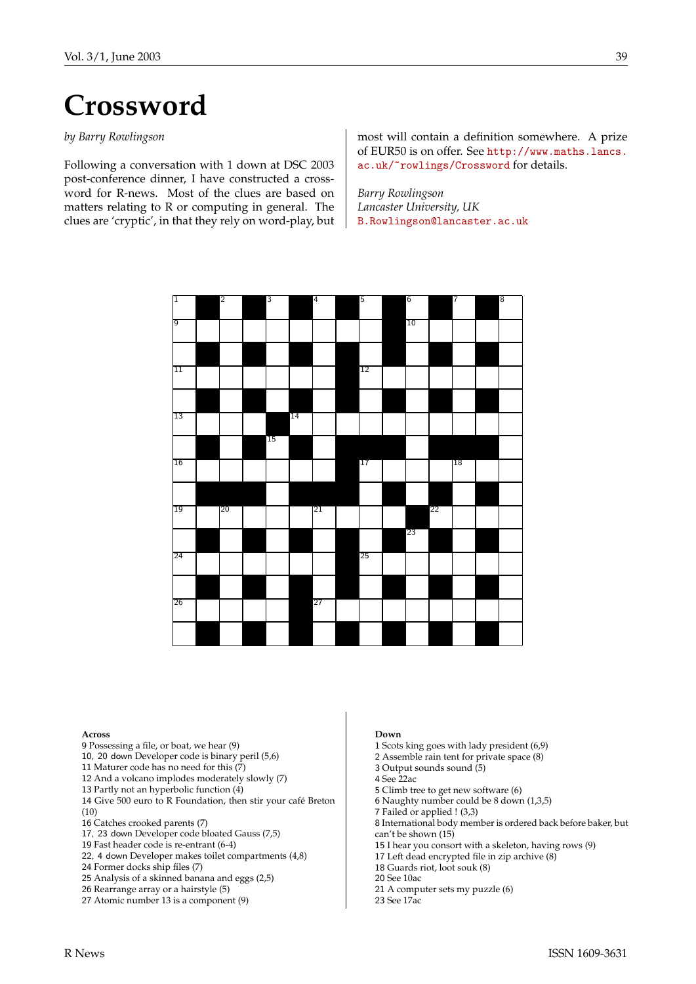# **Crossword**

#### <span id="page-38-0"></span>*by Barry Rowlingson*

Following a conversation with 1 down at DSC 2003 post-conference dinner, I have constructed a crossword for R-news. Most of the clues are based on matters relating to R or computing in general. The clues are 'cryptic', in that they rely on word-play, but most will contain a definition somewhere. A prize of EUR50 is on offer. See [http://www.maths.lancs.](http://www.maths.lancs.ac.uk/~rowlings/Crossword) [ac.uk/~rowlings/Crossword](http://www.maths.lancs.ac.uk/~rowlings/Crossword) for details.

*Barry Rowlingson Lancaster University, UK* [B.Rowlingson@lancaster.ac.uk](mailto:B.Rowlingson@lancaster.ac.uk)



#### **Across**

- 9 Possessing a file, or boat, we hear (9)
- 10, 20 down Developer code is binary peril (5,6)
- 11 Maturer code has no need for this (7)
- 12 And a volcano implodes moderately slowly (7)
- 13 Partly not an hyperbolic function (4)
- 14 Give 500 euro to R Foundation, then stir your café Breton (10)
- 16 Catches crooked parents (7)
- 17, 23 down Developer code bloated Gauss (7,5)
- 19 Fast header code is re-entrant (6-4)
- 22, 4 down Developer makes toilet compartments (4,8)
- 24 Former docks ship files (7)
- 25 Analysis of a skinned banana and eggs (2,5)
- 26 Rearrange array or a hairstyle (5)
- 27 Atomic number 13 is a component (9)

#### **Down**

- 1 Scots king goes with lady president (6,9)
- 2 Assemble rain tent for private space (8)
- $3$  Output sounds sound  $(5)$
- 4 See 22ac
- 5 Climb tree to get new software (6)
- 6 Naughty number could be 8 down (1,3,5)
- 7 Failed or applied ! (3,3)
- 8 International body member is ordered back before baker, but can't be shown (15)
- 15 I hear you consort with a skeleton, having rows (9)
- 17 Left dead encrypted file in zip archive  $(8)$
- 18 Guards riot, loot souk (8)
- 20 See 10ac
- 21 A computer sets my puzzle (6)
- 23 See 17ac